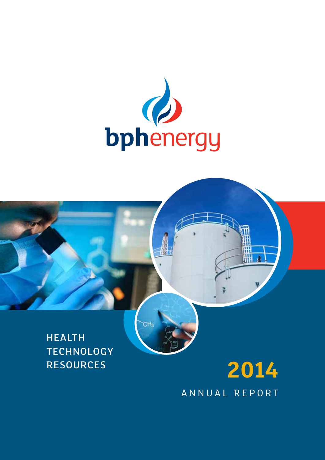

HEALTH **TECHNOLOGY** RESOURCES





ANNUAL REPORT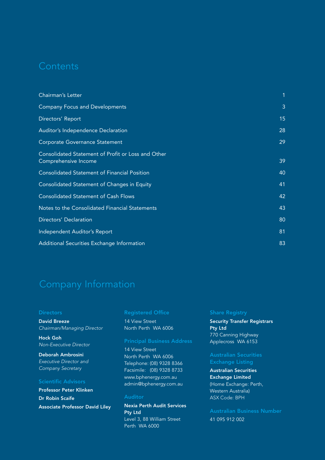# **Contents**

| Chairman's Letter                                                          | 1  |
|----------------------------------------------------------------------------|----|
| <b>Company Focus and Developments</b>                                      | 3  |
| Directors' Report                                                          | 15 |
| Auditor's Independence Declaration                                         | 28 |
| Corporate Governance Statement                                             | 29 |
| Consolidated Statement of Profit or Loss and Other<br>Comprehensive Income | 39 |
| <b>Consolidated Statement of Financial Position</b>                        | 40 |
| Consolidated Statement of Changes in Equity                                | 41 |
| <b>Consolidated Statement of Cash Flows</b>                                | 42 |
| Notes to the Consolidated Financial Statements                             | 43 |
| Directors' Declaration                                                     | 80 |
| Independent Auditor's Report                                               | 81 |
| Additional Securities Exchange Information                                 | 83 |

#### **Directors**

David Breeze *Chairman/Managing Director*

Hock Goh *Non-Executive Director*

Deborah Ambrosini *Executive Director and Company Secretary*

### Scientific Advisors

Professor Peter Klinken Dr Robin Scaife Associate Professor David Liley

14 View Street North Perth WA 6006

14 View Street North Perth WA 6006 Telephone: (08) 9328 8366 Facsimile: (08) 9328 8733 www.bphenergy.com.au admin@bphenergy.com.au

#### Auditor

Nexia Perth Audit Services Pty Ltd Level 3, 88 William Street Perth WA 6000

#### Share Registry

Security Transfer Registrars Pty Ltd 770 Canning Highway Applecross WA 6153

# Exchange Listing

Australian Securities Exchange Limited (Home Exchange: Perth, Western Australia) ASX Code: BPH

Australian Business Number 41 095 912 002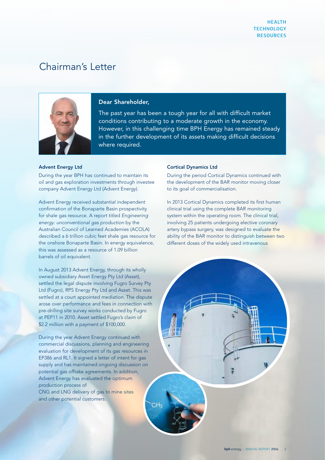# Chairman's Letter



## Dear Shareholder,

The past year has been a tough year for all with difficult market conditions contributing to a moderate growth in the economy. However, in this challenging time BPH Energy has remained steady in the further development of its assets making difficult decisions where required.

#### Advent Energy Ltd

During the year BPH has continued to maintain its oil and gas exploration investments through investee company Advent Energy Ltd (Advent Energy).

Advent Energy received substantial independent confirmation of the Bonaparte Basin prospectivity for shale gas resource. A report titled *Engineering energy: unconventional gas production* by the Australian Council of Learned Academies (ACOLA) described a 6 trillion cubic feet shale gas resource for the onshore Bonaparte Basin. In energy equivalence, this was assessed as a resource of 1.09 billion barrels of oil equivalent.

In August 2013 Advent Energy, through its wholly owned subsidiary Asset Energy Pty Ltd (Asset), settled the legal dispute involving Fugro Survey Pty Ltd (Fugro), RPS Energy Pty Ltd and Asset. This was settled at a court appointed mediation. The dispute arose over performance and fees in connection with pre-drilling site survey works conducted by Fugro at PEP11 in 2010. Asset settled Fugro's claim of \$2.2 million with a payment of \$100,000.

During the year Advent Energy continued with commercial discussions, planning and engineering evaluation for development of its gas resources in EP386 and RL1. It signed a letter of intent for gas supply and has maintained ongoing discussion on potential gas offtake agreements. In addition, Advent Energy has evaluated the optimum production process of CNG and LNG delivery of gas to mine sites and other potential customers.

#### Cortical Dynamics Ltd

During the period Cortical Dynamics continued with the development of the BAR monitor moving closer to its goal of commercialisation.

In 2013 Cortical Dynamics completed its first human clinical trial using the complete BAR monitoring system within the operating room. The clinical trial, involving 25 patients undergoing elective coronary artery bypass surgery, was designed to evaluate the ability of the BAR monitor to distinguish between two different doses of the widely used intravenous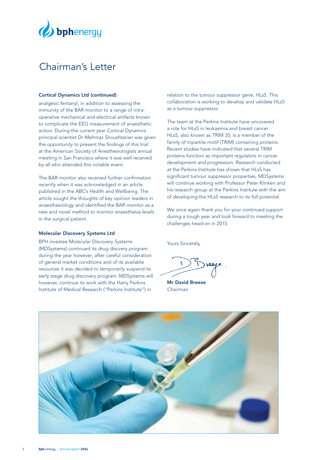

# Chairman's Letter

#### Cortical Dynamics Ltd (continued)

analgesic fentanyl, in addition to assessing the immunity of the BAR monitor to a range of intraoperative mechanical and electrical artifacts known to complicate the EEG measurement of anaesthetic action. During the current year Cortical Dynamics principal scientist Dr Mehrnaz Shoushtarian was given the opportunity to present the findings of this trial at the American Society of Anesthesiologists annual meeting in San Francisco where it was well received by all who attended this notable event.

The BAR monitor also received further confirmation recently when it was acknowledged in an article published in the ABC's Health and Wellbeing. The article sought the thoughts of key opinion leaders in anaesthesiology and identified the BAR monitor as a new and novel method to monitor anaesthesia levels in the surgical patient.

#### Molecular Discovery Systems Ltd

BPH investee Molecular Discovery Systems (MDSystems) continued its drug discvery program during the year however; after careful consideration of general market conditions and of its available resources it was decided to temporarily suspend its early stage drug discovery program. MDSystems will however, continue its work with the Harry Perkins Institute of Medical Research ("Perkins Institute") in

relation to the tumour suppressor gene, HLs5. This collaboration is working to develop and validate HLs5 as a tumour suppressor.

The team at the Perkins Institute have uncovered a role for HLs5 in leukaemia and breast cancer. HLs5, also known as TRIM 35, is a member of the family of tripartite motif (TRIM) containing proteins. Recent studies have indicated that several TRIM proteins function as important regulators in cancer development and progression. Research conducted at the Perkins Institute has shown that HLs5 has significant tumour suppressor properties. MDSystems will continue working with Professor Peter Klinken and his research group at the Perkins Institute with the aim of developing the HLs5 research to its full potential.

We once again thank you for your continued support during a tough year and look forward to meeting the challenges head-on in 2015.

Yours Sincerely,

Mr David Breeze *Chairman*

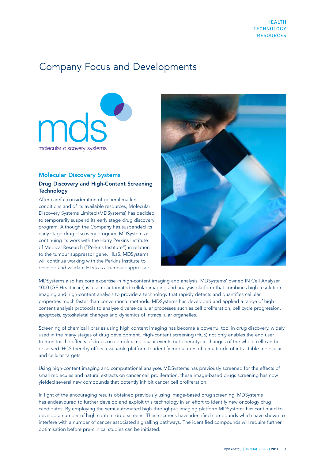# Company Focus and Developments



#### Molecular Discovery Systems

# Drug Discovery and High-Content Screening **Technology**

After careful consideration of general market conditions and of its available resources, Molecular Discovery Systems Limited (MDSystems) has decided to temporarily suspend its early stage drug discovery program. Although the Company has suspended its early stage drug discovery program, MDSystems is continuing its work with the Harry Perkins Institute of Medical Research ("Perkins Institute") in relation to the tumour suppressor gene, HLs5. MDSystems will continue working with the Perkins Institute to develop and validate HLs5 as a tumour suppressor.



MDSystems also has core expertise in high-content imaging and analysis. MDSystems' owned IN Cell Analyser 1000 (GE Healthcare) is a semi-automated cellular imaging and analysis platform that combines high-resolution imaging and high-content analysis to provide a technology that rapidly detects and quantifies cellular properties much faster than conventional methods. MDSystems has developed and applied a range of highcontent analysis protocols to analyse diverse cellular processes such as cell proliferation, cell cycle progression, apoptosis, cytoskeletal changes and dynamics of intracellular organelles.

Screening of chemical libraries using high content imaging has become a powerful tool in drug discovery, widely used in the many stages of drug development. High-content screening (HCS) not only enables the end user to monitor the effects of drugs on complex molecular events but phenotypic changes of the whole cell can be observed. HCS thereby offers a valuable platform to identify modulators of a multitude of intractable molecular and cellular targets.

Using high-content imaging and computational analyses MDSystems has previously screened for the effects of small molecules and natural extracts on cancer cell proliferation, these image-based drugs screening has now yielded several new compounds that potently inhibit cancer cell proliferation.

In light of the encouraging results obtained previously using image-based drug screening, MDSystems has endeavoured to further develop and exploit this technology in an effort to identify new oncology drug candidates. By employing the semi-automated high-throughput imaging platform MDSystems has continued to develop a number of high content drug screens. These screens have identified compounds which have shown to interfere with a number of cancer associated signalling pathways. The identified compounds will require further optimisation before pre-clinical studies can be initiated.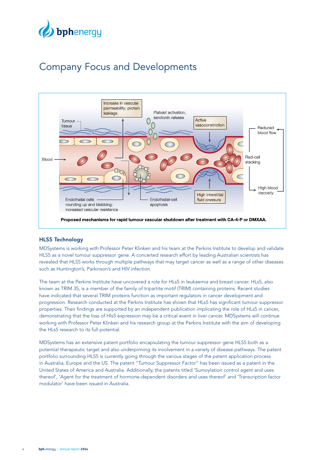

# Company Focus and Developments



### HLS5 Technology

MDSystems is working with Professor Peter Klinken and his team at the Perkins Institute to develop and validate HLS5 as a novel tumour suppressor gene. A concerted research effort by leading Australian scientists has revealed that HLS5 works through multiple pathways that may target cancer as well as a range of other diseases such as Huntington's, Parkinson's and HIV infection.

The team at the Perkins Institute have uncovered a role for HLs5 in leukaemia and breast cancer. HLs5, also known as TRIM 35, is a member of the family of tripartite motif (TRIM) containing proteins. Recent studies have indicated that several TRIM proteins function as important regulators in cancer development and progression. Research conducted at the Perkins Institute has shown that HLs5 has significant tumour suppressor properties. Their findings are supported by an independent publication implicating the role of HLs5 in cancer, demonstrating that the loss of Hls5 expression may be a critical event in liver cancer. MDSystems will continue working with Professor Peter Klinken and his research group at the Perkins Institute with the aim of developing the HLs5 research to its full potential.

MDSystems has an extensive patent portfolio encapsulating the tumour suppressor gene HLS5 both as a potential therapeutic target and also underpinning its involvement in a variety of disease pathways. The patent portfolio surrounding HLS5 is currently going through the various stages of the patent application process in Australia, Europe and the US. The patent "Tumour Suppressor Factor" has been issued as a patent in the United States of America and Australia. Additionally, the patents titled 'Sumoylation control agent and uses thereof', 'Agent for the treatment of hormone-dependent disorders and uses thereof' and 'Transcription factor modulator' have been issued in Australia.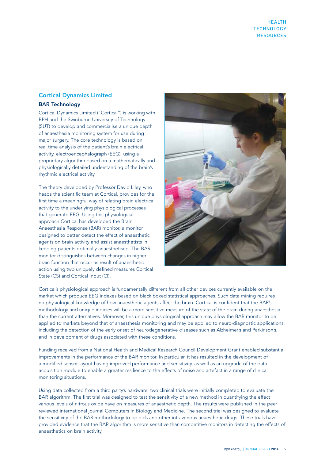#### HEALTH TECHNOLOGY **RESOURCES**

# Cortical Dynamics Limited BAR Technology

Cortical Dynamics Limited ("Cortical") is working with BPH and the Swinburne University of Technology (SUT) to develop and commercialise a unique depth of anaesthesia monitoring system for use during major surgery. The core technology is based on real time analysis of the patient's brain electrical activity, electroencephalograph (EEG), using a proprietary algorithm based on a mathematically and physiologically detailed understanding of the brain's rhythmic electrical activity.

The theory developed by Professor David Liley, who heads the scientific team at Cortical, provides for the first time a meaningful way of relating brain electrical activity to the underlying physiological processes that generate EEG. Using this physiological approach Cortical has developed the Brain Anaesthesia Response (BAR) monitor, a monitor designed to better detect the effect of anaesthetic agents on brain activity and assist anaesthetists in keeping patients optimally anaesthetised. The BAR monitor distinguishes between changes in higher brain function that occur as result of anaesthetic action using two uniquely defined measures Cortical State (CS) and Cortical Input (CI).



Cortical's physiological approach is fundamentally different from all other devices currently available on the market which produce EEG indexes based on black boxed statistical approaches. Such data mining requires no physiological knowledge of how anaesthetic agents affect the brain. Cortical is confident that the BAR's methodology and unique indicies will be a more sensitive measure of the state of the brain during anaesthesia than the current alternatives. Moreover, this unique physiological approach may allow the BAR monitor to be applied to markets beyond that of anaesthesia monitoring and may be applied to neuro-diagnostic applications, including the detection of the early onset of neurodegenerative diseases such as Alzheimer's and Parkinson's, and in development of drugs associated with these conditions.

Funding received from a National Health and Medical Research Council Development Grant enabled substantial improvements in the performance of the BAR monitor. In particular, it has resulted in the development of a modified sensor layout having improved performance and sensitivity, as well as an upgrade of the data acquisition module to enable a greater resilience to the effects of noise and artefact in a range of clinical monitoring situations.

Using data collected from a third party's hardware, two clinical trials were initially completed to evaluate the BAR algorithm. The first trial was designed to test the sensitivity of a new method in quantifying the effect various levels of nitrous oxide have on measures of anaesthetic depth. The results were published in the peer reviewed international journal Computers in Biology and Medicine. The second trial was designed to evaluate the sensitivity of the BAR methodology to opioids and other intravenous anaesthetic drugs. These trials have provided evidence that the BAR algorithm is more sensitive than competitive monitors in detecting the effects of anaesthetics on brain activity.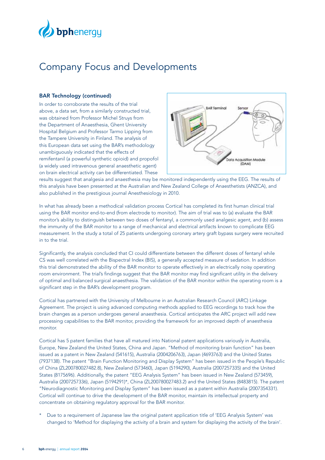

# Company Focus and Developments

### BAR Technology (continued)

In order to corroborate the results of the trial above, a data set, from a similarly constructed trial, was obtained from Professor Michel Struys from the Department of Anaesthesia, Ghent University Hospital Belgium and Professor Tarmo Lipping from the Tampere University in Finland. The analysis of this European data set using the BAR's methodology unambiguously indicated that the effects of remifentanil (a powerful synthetic opioid) and propofol (a widely used intravenous general anaesthetic agent) on brain electrical activity can be differentiated. These



results suggest that analgesia and anaesthesia may be monitored independently using the EEG. The results of this analysis have been presented at the Australian and New Zealand College of Anaesthetists (ANZCA), and also published in the prestigious journal Anesthesiology in 2010.

In what has already been a methodical validation process Cortical has completed its first human clinical trial using the BAR monitor end-to-end (from electrode to monitor). The aim of trial was to (a) evaluate the BAR monitor's ability to distinguish between two doses of fentanyl, a commonly used analgesic agent, and (b) assess the immunity of the BAR monitor to a range of mechanical and electrical artifacts known to complicate EEG measurement. In the study a total of 25 patients undergoing coronary artery graft bypass surgery were recruited in to the trial.

Significantly, the analysis concluded that CI could differentiate between the different doses of fentanyl while CS was well correlated with the Bispectral Index (BIS), a generally accepted measure of sedation. In addition this trial demonstrated the ability of the BAR monitor to operate effectively in an electrically noisy operating room environment. The trial's findings suggest that the BAR monitor may find significant utility in the delivery of optimal and balanced surgical anaesthesia. The validation of the BAR monitor within the operating room is a significant step in the BAR's development program.

Cortical has partnered with the University of Melbourne in an Australian Research Council (ARC) Linkage Agreement. The project is using advanced computing methods applied to EEG recordings to track how the brain changes as a person undergoes general anaesthesia. Cortical anticipates the ARC project will add new processing capabilities to the BAR monitor, providing the framework for an improved depth of anaesthesia monitor.

Cortical has 5 patent families that have all matured into National patent applications variously in Australia, Europe, New Zealand the United States, China and Japan. "Method of monitoring brain function" has been issued as a patent in New Zealand (541615), Australia (2004206763), Japan (4693763) and the United States (7937138). The patent "Brain Function Monitoring and Display System" has been issued in the People's Republic of China (ZL200780027482.8), New Zealand (573460), Japan (5194290), Australia (2007257335) and the United States (8175696). Additionally, the patent "EEG Analysis System" has been issued in New Zealand (573459), Australia (2007257336), Japan (5194291)\*, China (ZL200780027483.2) and the United States (8483815). The patent "Neurodiagnostic Monitoring and Display System" has been issued as a patent within Australia (2007354331). Cortical will continue to drive the development of the BAR monitor, maintain its intellectual property and concentrate on obtaining regulatory approval for the BAR monitor.

Due to a requirement of Japanese law the original patent application title of 'EEG Analysis System' was changed to 'Method for displaying the activity of a brain and system for displaying the activity of the brain'.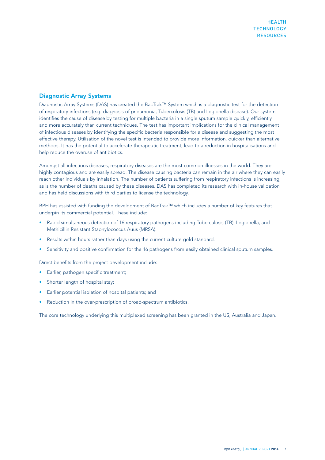# Diagnostic Array Systems

Diagnostic Array Systems (DAS) has created the BacTrak™ System which is a diagnostic test for the detection of respiratory infections (e.g. diagnosis of pneumonia, Tuberculosis (TB) and Legionella disease). Our system identifies the cause of disease by testing for multiple bacteria in a single sputum sample quickly, efficiently and more accurately than current techniques. The test has important implications for the clinical management of infectious diseases by identifying the specific bacteria responsible for a disease and suggesting the most effective therapy. Utilisation of the novel test is intended to provide more information, quicker than alternative methods. It has the potential to accelerate therapeutic treatment, lead to a reduction in hospitalisations and help reduce the overuse of antibiotics.

Amongst all infectious diseases, respiratory diseases are the most common illnesses in the world. They are highly contagious and are easily spread. The disease causing bacteria can remain in the air where they can easily reach other individuals by inhalation. The number of patients suffering from respiratory infections is increasing, as is the number of deaths caused by these diseases. DAS has completed its research with in-house validation and has held discussions with third parties to license the technology.

BPH has assisted with funding the development of BacTrak™ which includes a number of key features that underpin its commercial potential. These include:

- Rapid simultaneous detection of 16 respiratory pathogens including Tuberculosis (TB), Legionella, and Methicillin Resistant Staphylococcus Auus (MRSA).
- Results within hours rather than days using the current culture gold standard.
- Sensitivity and positive confirmation for the 16 pathogens from easily obtained clinical sputum samples.

Direct benefits from the project development include:

- Earlier, pathogen specific treatment;
- Shorter length of hospital stay;
- Earlier potential isolation of hospital patients; and
- Reduction in the over-prescription of broad-spectrum antibiotics.

The core technology underlying this multiplexed screening has been granted in the US, Australia and Japan.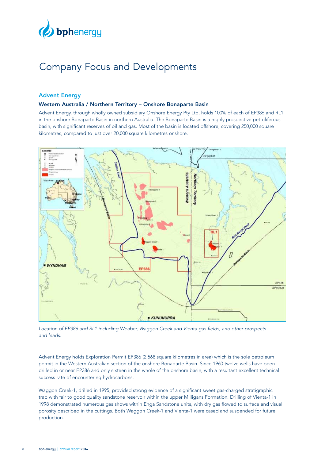

# Company Focus and Developments

## Advent Energy

#### Western Australia / Northern Territory – Onshore Bonaparte Basin

Advent Energy, through wholly owned subsidiary Onshore Energy Pty Ltd, holds 100% of each of EP386 and RL1 in the onshore Bonaparte Basin in northern Australia. The Bonaparte Basin is a highly prospective petroliferous basin, with significant reserves of oil and gas. Most of the basin is located offshore, covering 250,000 square kilometres, compared to just over 20,000 square kilometres onshore.



*Location of EP386 and RL1 including Weaber, Waggon Creek and Vienta gas fields, and other prospects and leads.*

Advent Energy holds Exploration Permit EP386 (2,568 square kilometres in area) which is the sole petroleum permit in the Western Australian section of the onshore Bonaparte Basin. Since 1960 twelve wells have been drilled in or near EP386 and only sixteen in the whole of the onshore basin, with a resultant excellent technical success rate of encountering hydrocarbons.

Waggon Creek-1, drilled in 1995, provided strong evidence of a significant sweet gas-charged stratigraphic trap with fair to good quality sandstone reservoir within the upper Milligans Formation. Drilling of Vienta-1 in 1998 demonstrated numerous gas shows within Enga Sandstone units, with dry gas flowed to surface and visual porosity described in the cuttings. Both Waggon Creek-1 and Vienta-1 were cased and suspended for future production.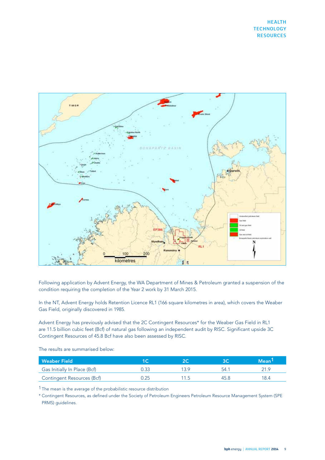

Following application by Advent Energy, the WA Department of Mines & Petroleum granted a suspension of the condition requiring the completion of the Year 2 work by 31 March 2015.

In the NT, Advent Energy holds Retention Licence RL1 (166 square kilometres in area), which covers the Weaber Gas Field, originally discovered in 1985.

Advent Energy has previously advised that the 2C Contingent Resources\* for the Weaber Gas Field in RL1 are 11.5 billion cubic feet (Bcf) of natural gas following an independent audit by RISC. Significant upside 3C Contingent Resources of 45.8 Bcf have also been assessed by RISC.

The results are summarised below:

| Weaber Field                      |      |      |      | Mean <sup>1</sup> |
|-----------------------------------|------|------|------|-------------------|
| Gas Initially In Place (Bcf)      | 0.33 | 13.9 | 54.7 |                   |
| <b>Contingent Resources (Bcf)</b> |      | 11 5 | 45.8 | 18.4              |

1 The mean is the average of the probabilistic resource distribution

\* Contingent Resources, as defined under the Society of Petroleum Engineers Petroleum Resource Management System (SPE PRMS) guidelines.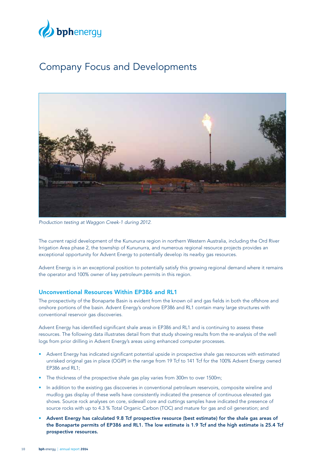

# Company Focus and Developments



*Production testing at Waggon Creek-1 during 2012.*

The current rapid development of the Kununurra region in northern Western Australia, including the Ord River Irrigation Area phase 2, the township of Kununurra, and numerous regional resource projects provides an exceptional opportunity for Advent Energy to potentially develop its nearby gas resources.

Advent Energy is in an exceptional position to potentially satisfy this growing regional demand where it remains the operator and 100% owner of key petroleum permits in this region.

#### Unconventional Resources Within EP386 and RL1

The prospectivity of the Bonaparte Basin is evident from the known oil and gas fields in both the offshore and onshore portions of the basin. Advent Energy's onshore EP386 and RL1 contain many large structures with conventional reservoir gas discoveries.

Advent Energy has identified significant shale areas in EP386 and RL1 and is continuing to assess these resources. The following data illustrates detail from that study showing results from the re-analysis of the well logs from prior drilling in Advent Energy's areas using enhanced computer processes.

- Advent Energy has indicated significant potential upside in prospective shale gas resources with estimated unrisked original gas in place (OGIP) in the range from 19 Tcf to 141 Tcf for the 100% Advent Energy owned EP386 and RL1;
- The thickness of the prospective shale gas play varies from 300m to over 1500m;
- In addition to the existing gas discoveries in conventional petroleum reservoirs, composite wireline and mudlog gas display of these wells have consistently indicated the presence of continuous elevated gas shows. Source rock analyses on core, sidewall core and cuttings samples have indicated the presence of source rocks with up to 4.3 % Total Organic Carbon (TOC) and mature for gas and oil generation; and
- Advent Energy has calculated 9.8 Tcf prospective resource (best estimate) for the shale gas areas of the Bonaparte permits of EP386 and RL1. The low estimate is 1.9 Tcf and the high estimate is 25.4 Tcf prospective resources.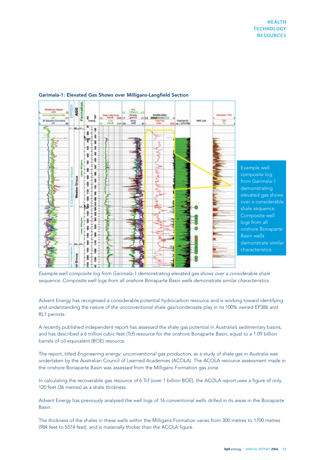

#### Garimala-1: Elevated Gas Shows over Milligans-Langfield Section

*Example well composite log from Garimala-1 demonstrating elevated gas shows over a considerable shale sequence. Composite well logs from all onshore Bonaparte Basin wells demonstrate similar characteristics.*

Advent Energy has recognised a considerable potential hydrocarbon resource and is working toward identifying and understanding the nature of the unconventional shale gas/condensate play in its 100% owned EP386 and RL1 permits.

A recently published independent report has assessed the shale gas potential in Australia's sedimentary basins, and has described a 6 trillion cubic feet (Tcf) resource for the onshore Bonaparte Basin, equal to a 1.09 billion barrels of oil equivalent (BOE) resource.

The report, titled *Engineering energy: unconventional gas production*, as a study of shale gas in Australia was undertaken by the Australian Council of Learned Academies (ACOLA). The ACOLA resource assessment made in the onshore Bonaparte Basin was assessed from the Milligans Formation gas zone.

In calculating the recoverable gas resource of 6 Tcf (over 1 billion BOE), the ACOLA report uses a figure of only 120 feet (36 metres) as a shale thickness.

Advent Energy has previously analysed the well logs of 16 conventional wells drilled in its areas in the Bonaparte Basin.

The thickness of the shales in these wells within the Milligans Formation varies from 300 metres to 1700 metres (984 feet to 5574 feet), and is materially thicker than the ACOLA figure.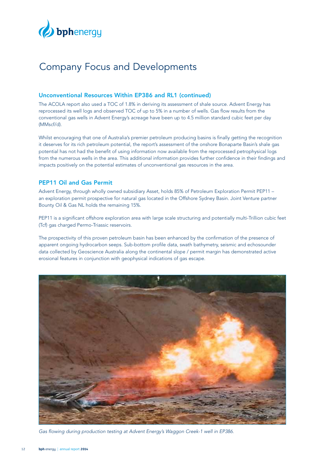

# Company Focus and Developments

### Unconventional Resources Within EP386 and RL1 (continued)

The ACOLA report also used a TOC of 1.8% in deriving its assessment of shale source. Advent Energy has reprocessed its well logs and observed TOC of up to 5% in a number of wells. Gas flow results from the conventional gas wells in Advent Energy's acreage have been up to 4.5 million standard cubic feet per day (MMscf/d).

Whilst encouraging that one of Australia's premier petroleum producing basins is finally getting the recognition it deserves for its rich petroleum potential, the report's assessment of the onshore Bonaparte Basin's shale gas potential has not had the benefit of using information now available from the reprocessed petrophysical logs from the numerous wells in the area. This additional information provides further confidence in their findings and impacts positively on the potential estimates of unconventional gas resources in the area.

### PEP11 Oil and Gas Permit

Advent Energy, through wholly owned subsidiary Asset, holds 85% of Petroleum Exploration Permit PEP11 – an exploration permit prospective for natural gas located in the Offshore Sydney Basin. Joint Venture partner Bounty Oil & Gas NL holds the remaining 15%.

PEP11 is a significant offshore exploration area with large scale structuring and potentially multi-Trillion cubic feet (Tcf) gas charged Permo-Triassic reservoirs.

The prospectivity of this proven petroleum basin has been enhanced by the confirmation of the presence of apparent ongoing hydrocarbon seeps. Sub-bottom profile data, swath bathymetry, seismic and echosounder data collected by Geoscience Australia along the continental slope / permit margin has demonstrated active erosional features in conjunction with geophysical indications of gas escape.



*Gas flowing during production testing at Advent Energy's Waggon Creek-1 well in EP386.*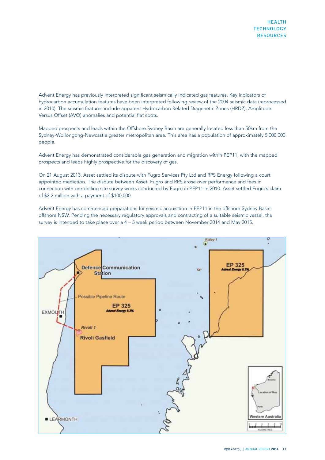Advent Energy has previously interpreted significant seismically indicated gas features. Key indicators of hydrocarbon accumulation features have been interpreted following review of the 2004 seismic data (reprocessed in 2010). The seismic features include apparent Hydrocarbon Related Diagenetic Zones (HRDZ), Amplitude Versus Offset (AVO) anomalies and potential flat spots.

Mapped prospects and leads within the Offshore Sydney Basin are generally located less than 50km from the Sydney-Wollongong-Newcastle greater metropolitan area. This area has a population of approximately 5,000,000 people.

Advent Energy has demonstrated considerable gas generation and migration within PEP11, with the mapped prospects and leads highly prospective for the discovery of gas.

On 21 August 2013, Asset settled its dispute with Fugro Services Pty Ltd and RPS Energy following a court appointed mediation. The dispute between Asset, Fugro and RPS arose over performance and fees in connection with pre-drilling site survey works conducted by Fugro in PEP11 in 2010. Asset settled Fugro's claim of \$2.2 million with a payment of \$100,000.

Advent Energy has commenced preparations for seismic acquisition in PEP11 in the offshore Sydney Basin, offshore NSW. Pending the necessary regulatory approvals and contracting of a suitable seismic vessel, the survey is intended to take place over a 4 – 5 week period between November 2014 and May 2015.

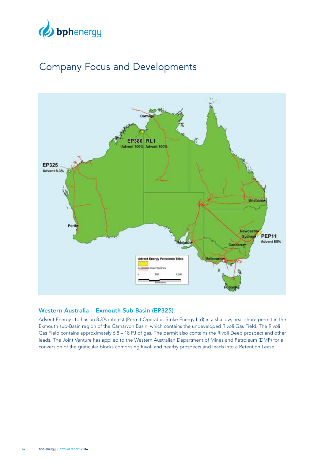

# Company Focus and Developments



## Western Australia – Exmouth Sub-Basin (EP325)

Advent Energy Ltd has an 8.3% interest (Permit Operator: Strike Energy Ltd) in a shallow, near shore permit in the Exmouth sub-Basin region of the Carnarvon Basin, which contains the undeveloped Rivoli Gas Field. The Rivoli Gas Field contains approximately 6.8 – 18 PJ of gas. The permit also contains the Rivoli Deep prospect and other leads. The Joint Venture has applied to the Western Australian Department of Mines and Petroleum (DMP) for a conversion of the graticular blocks comprising Rivoli and nearby prospects and leads into a Retention Lease.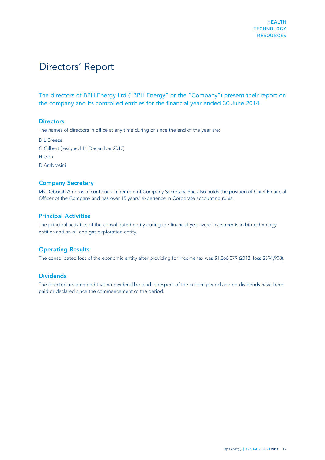# Directors' Report

The directors of BPH Energy Ltd ("BPH Energy" or the "Company") present their report on the company and its controlled entities for the financial year ended 30 June 2014.

### **Directors**

The names of directors in office at any time during or since the end of the year are:

D L Breeze

G Gilbert (resigned 11 December 2013)

H Goh

D Ambrosini

### Company Secretary

Ms Deborah Ambrosini continues in her role of Company Secretary. She also holds the position of Chief Financial Officer of the Company and has over 15 years' experience in Corporate accounting roles.

### Principal Activities

The principal activities of the consolidated entity during the financial year were investments in biotechnology entities and an oil and gas exploration entity.

# Operating Results

The consolidated loss of the economic entity after providing for income tax was \$1,266,079 (2013: loss \$594,908).

### Dividends

The directors recommend that no dividend be paid in respect of the current period and no dividends have been paid or declared since the commencement of the period.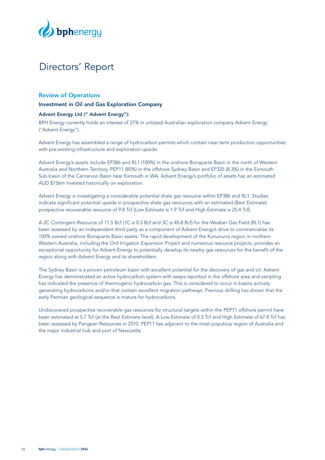

# Directors' Report

# Review of Operations Investment in Oil and Gas Exploration Company

#### Advent Energy Ltd (" Advent Energy"):

BPH Energy currently holds an interest of 27% in unlisted Australian exploration company Advent Energy ("Advent Energy").

Advent Energy has assembled a range of hydrocarbon permits which contain near term production opportunities with pre-existing infrastructure and exploration upside.

Advent Energy's assets include EP386 and RL1 (100%) in the onshore Bonaparte Basin in the north of Western Australia and Northern Territory, PEP11 (85%) in the offshore Sydney Basin and EP325 (8.3%) in the Exmouth Sub-basin of the Carnarvon Basin near Exmouth in WA. Advent Energy's portfolio of assets has an estimated AUD \$156m invested historically on exploration.

Advent Energy is investigating a considerable potential shale gas resource within EP386 and RL1. Studies indicate significant potential upside in prospective shale gas resources with an estimated (Best Estimate) prospective recoverable resource of 9.8 Tcf (Low Estimate is 1.9 Tcf and High Estimate is 25.4 Tcf).

A 2C Contingent Resource of 11.5 Bcf (1C is 0.3 Bcf and 3C is 45.8 Bcf) for the Weaber Gas Field (RL1) has been assessed by an independent third party as a component of Advent Energy's drive to commercialise its 100% owned onshore Bonaparte Basin assets. The rapid development of the Kununurra region in northern Western Australia, including the Ord Irrigation Expansion Project and numerous resource projects, provides an exceptional opportunity for Advent Energy to potentially develop its nearby gas resources for the benefit of the region along with Advent Energy and its shareholders.

The Sydney Basin is a proven petroleum basin with excellent potential for the discovery of gas and oil. Advent Energy has demonstrated an active hydrocarbon system with seeps reported in the offshore area and sampling has indicated the presence of thermogenic hydrocarbon gas. This is considered to occur in basins actively generating hydrocarbons and/or that contain excellent migration pathways. Previous drilling has shown that the early Permian geological sequence is mature for hydrocarbons.

Undiscovered prospective recoverable gas resources for structural targets within the PEP11 offshore permit have been estimated at 5.7 Tcf (at the Best Estimate level). A Low Estimate of 0.3 Tcf and High Estimate of 67.8 Tcf has been assessed by Pangean Resources in 2010. PEP11 lies adjacent to the most populous region of Australia and the major industrial hub and port of Newcastle.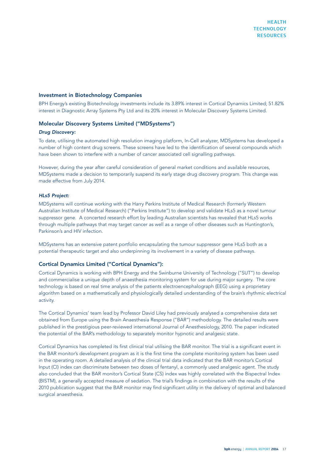#### Investment in Biotechnology Companies

BPH Energy's existing Biotechnology investments include its 3.89% interest in Cortical Dynamics Limited; 51.82% interest in Diagnostic Array Systems Pty Ltd and its 20% interest in Molecular Discovery Systems Limited.

#### Molecular Discovery Systems Limited ("MDSystems")

#### *Drug Discovery:*

To date, utilising the automated high resolution imaging platform, In-Cell analyzer, MDSystems has developed a number of high content drug screens. These screens have led to the identification of several compounds which have been shown to interfere with a number of cancer associated cell signalling pathways.

However, during the year after careful consideration of general market conditions and available resources, MDSystems made a decision to temporarily suspend its early stage drug discovery program. This change was made effective from July 2014.

#### *HLs5 Project:*

MDSystems will continue working with the Harry Perkins Institute of Medical Research (formerly Western Australian Institute of Medical Research) ("Perkins Institute") to develop and validate HLs5 as a novel tumour suppressor gene. A concerted research effort by leading Australian scientists has revealed that HLs5 works through multiple pathways that may target cancer as well as a range of other diseases such as Huntington's, Parkinson's and HIV infection.

MDSystems has an extensive patent portfolio encapsulating the tumour suppressor gene HLs5 both as a potential therapeutic target and also underpinning its involvement in a variety of disease pathways.

#### Cortical Dynamics Limited ("Cortical Dynamics"):

Cortical Dynamics is working with BPH Energy and the Swinburne University of Technology ("SUT") to develop and commercialise a unique depth of anaesthesia monitoring system for use during major surgery. The core technology is based on real time analysis of the patients electroencephalograph (EEG) using a proprietary algorithm based on a mathematically and physiologically detailed understanding of the brain's rhythmic electrical activity.

The Cortical Dynamics' team lead by Professor David Liley had previously analysed a comprehensive data set obtained from Europe using the Brain Anaesthesia Response ("BAR") methodology. The detailed results were published in the prestigious peer-reviewed international Journal of Anesthesiology, 2010. The paper indicated the potential of the BAR's methodology to separately monitor hypnotic and analgesic state.

Cortical Dynamics has completed its first clinical trial utilising the BAR monitor. The trial is a significant event in the BAR monitor's development program as it is the first time the complete monitoring system has been used in the operating room. A detailed analysis of the clinical trial data indicated that the BAR monitor's Cortical Input (CI) index can discriminate between two doses of fentanyl, a commonly used analgesic agent. The study also concluded that the BAR monitor's Cortical State (CS) index was highly correlated with the Bispectral Index (BISTM), a generally accepted measure of sedation. The trial's findings in combination with the results of the 2010 publication suggest that the BAR monitor may find significant utility in the delivery of optimal and balanced surgical anaesthesia.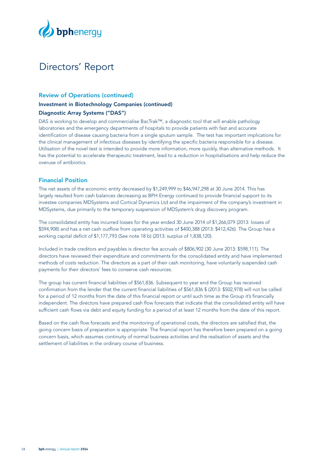

# Directors' Report

### Review of Operations (continued)

# Investment in Biotechnology Companies (continued) Diagnostic Array Systems ("DAS")

DAS is working to develop and commercialise BacTrak™, a diagnostic tool that will enable pathology laboratories and the emergency departments of hospitals to provide patients with fast and accurate identification of disease causing bacteria from a single sputum sample. The test has important implications for the clinical management of infectious diseases by identifying the specific bacteria responsible for a disease. Utilisation of the novel test is intended to provide more information, more quickly, than alternative methods. It has the potential to accelerate therapeutic treatment, lead to a reduction in hospitalisations and help reduce the overuse of antibiotics.

### Financial Position

The net assets of the economic entity decreased by \$1,249,999 to \$46,947,298 at 30 June 2014. This has largely resulted from cash balances decreasing as BPH Energy continued to provide financial support to its investee companies MDSystems and Cortical Dynamics Ltd and the impairment of the company's investment in MDSystems, due primarily to the temporary suspension of MDSystem's drug discovery program.

The consolidated entity has incurred losses for the year ended 30 June 2014 of \$1,266,079 (2013: losses of \$594,908) and has a net cash outflow from operating activities of \$400,388 (2013: \$412,426). The Group has a working capital deficit of \$1,177,793 (See note 18 b) (2013: surplus of 1,838,120).

Included in trade creditors and payables is director fee accruals of \$806,902 (30 June 2013: \$598,111). The directors have reviewed their expenditure and commitments for the consolidated entity and have implemented methods of costs reduction. The directors as a part of their cash monitoring, have voluntarily suspended cash payments for their directors' fees to conserve cash resources.

The group has current financial liabilities of \$561,836. Subsequent to year end the Group has received confirmation from the lender that the current financial liabilities of \$561,836 \$ (2013: \$502,978) will not be called for a period of 12 months from the date of this financial report or until such time as the Group it's financially independent. The directors have prepared cash flow forecasts that indicate that the consolidated entity will have sufficient cash flows via debt and equity funding for a period of at least 12 months from the date of this report.

Based on the cash flow forecasts and the monitoring of operational costs, the directors are satisfied that, the going concern basis of preparation is appropriate. The financial report has therefore been prepared on a going concern basis, which assumes continuity of normal business activities and the realisation of assets and the settlement of liabilities in the ordinary course of business.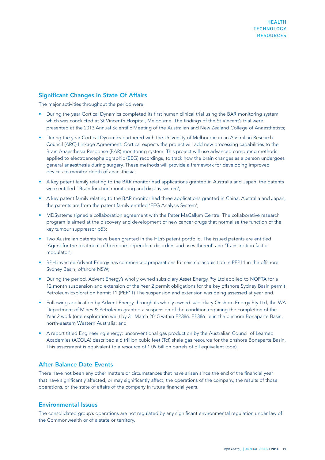# Significant Changes in State Of Affairs

The major activities throughout the period were:

- • During the year Cortical Dynamics completed its first human clinical trial using the BAR monitoring system which was conducted at St Vincent's Hospital, Melbourne. The findings of the St Vincent's trial were presented at the 2013 Annual Scientific Meeting of the Australian and New Zealand College of Anaesthetists;
- • During the year Cortical Dynamics partnered with the University of Melbourne in an Australian Research Council (ARC) Linkage Agreement. Cortical expects the project will add new processing capabilities to the Brain Anaesthesia Response (BAR) monitoring system. This project will use advanced computing methods applied to electroencephalographic (EEG) recordings, to track how the brain changes as a person undergoes general anaesthesia during surgery. These methods will provide a framework for developing improved devices to monitor depth of anaesthesia;
- • A key patent family relating to the BAR monitor had applications granted in Australia and Japan, the patents were entitled ' Brain function monitoring and display system';
- • A key patent family relating to the BAR monitor had three applications granted in China, Australia and Japan, the patents are from the patent family entitled 'EEG Analysis System';
- • MDSystems signed a collaboration agreement with the Peter MaCallum Centre. The collaborative research program is aimed at the discovery and development of new cancer drugs that normalise the function of the key tumour suppressor p53;
- Two Australian patents have been granted in the HLs5 patent portfolio. The issued patents are entitled 'Agent for the treatment of hormone-dependent disorders and uses thereof' and 'Transcription factor modulator';
- BPH investee Advent Energy has commenced preparations for seismic acquisition in PEP11 in the offshore Sydney Basin, offshore NSW;
- During the period, Advent Energy's wholly owned subsidiary Asset Energy Pty Ltd applied to NOPTA for a 12 month suspension and extension of the Year 2 permit obligations for the key offshore Sydney Basin permit Petroleum Exploration Permit 11 (PEP11) The suspension and extension was being assessed at year end.
- • Following application by Advent Energy through its wholly owned subsidiary Onshore Energy Pty Ltd, the WA Department of Mines & Petroleum granted a suspension of the condition requiring the completion of the Year 2 work (one exploration well) by 31 March 2015 within EP386. EP386 lie in the onshore Bonaparte Basin, north-eastern Western Australia; and
- • A report titled Engineering energy: unconventional gas production by the Australian Council of Learned Academies (ACOLA) described a 6 trillion cubic feet (Tcf) shale gas resource for the onshore Bonaparte Basin. This assessment is equivalent to a resource of 1.09 billion barrels of oil equivalent (boe).

### After Balance Date Events

There have not been any other matters or circumstances that have arisen since the end of the financial year that have significantly affected, or may significantly affect, the operations of the company, the results of those operations, or the state of affairs of the company in future financial years.

### Environmental Issues

The consolidated group's operations are not regulated by any significant environmental regulation under law of the Commonwealth or of a state or territory.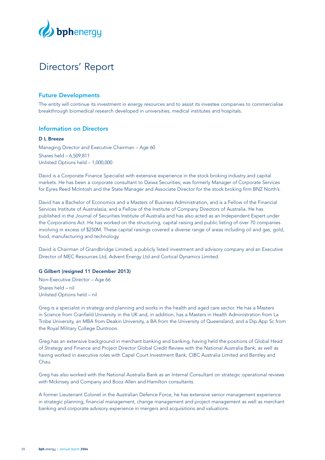

# Directors' Report

# Future Developments

The entity will continue its investment in energy resources and to assist its investee companies to commercialise breakthrough biomedical research developed in universities, medical institutes and hospitals.

### Information on Directors

#### D L Breeze

Managing Director and Executive Chairman – Age 60 Shares held – 6,509,811 Unlisted Options held – 1,000,000

David is a Corporate Finance Specialist with extensive experience in the stock broking industry and capital markets. He has been a corporate consultant to Daiwa Securities; was formerly Manager of Corporate Services for Eyres Reed McIntosh and the State Manager and Associate Director for the stock broking firm BNZ North's.

David has a Bachelor of Economics and a Masters of Business Administration, and is a Fellow of the Financial Services Institute of Australasia, and a Fellow of the Institute of Company Directors of Australia. He has published in the Journal of Securities Institute of Australia and has also acted as an Independent Expert under the Corporations Act. He has worked on the structuring, capital raising and public listing of over 70 companies involving in excess of \$250M. These capital raisings covered a diverse range of areas including oil and gas, gold, food, manufacturing and technology.

David is Chairman of Grandbridge Limited, a publicly listed investment and advisory company and an Executive Director of MEC Resources Ltd, Advent Energy Ltd and Cortical Dynamics Limited.

#### G Gilbert (resigned 11 December 2013)

Non-Executive Director – Age 66 Shares held – nil Unlisted Options held – nil

Greg is a specialist in strategy and planning and works in the health and aged care sector. He has a Masters in Science from Cranfield University in the UK and, in addition, has a Masters in Health Administration from La Trobe University, an MBA from Deakin University, a BA from the University of Queensland, and a Dip.App Sc from the Royal Military College Duntroon.

Greg has an extensive background in merchant banking and banking, having held the positions of Global Head of Strategy and Finance and Project Director Global Credit Review with the National Australia Bank, as well as having worked in executive roles with Capel Court Investment Bank, CIBC Australia Limited and Bentley and Chau.

Greg has also worked with the National Australia Bank as an Internal Consultant on strategic operational reviews with Mckinsey and Company and Booz Allen and Hamilton consultants.

A former Lieutenant Colonel in the Australian Defence Force, he has extensive senior management experience in strategic planning, financial management, change management and project management as well as merchant banking and corporate advisory experience in mergers and acquisitions and valuations.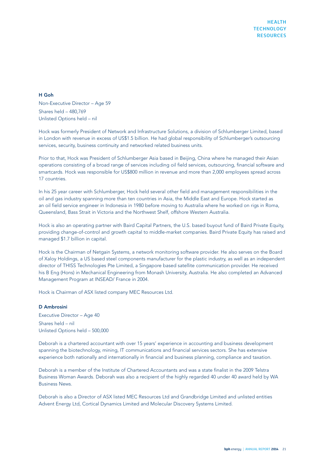H Goh Non-Executive Director – Age 59 Shares held – 480,769 Unlisted Options held – nil

Hock was formerly President of Network and Infrastructure Solutions, a division of Schlumberger Limited, based in London with revenue in excess of US\$1.5 billion. He had global responsibility of Schlumberger's outsourcing services, security, business continuity and networked related business units.

Prior to that, Hock was President of Schlumberger Asia based in Beijing, China where he managed their Asian operations consisting of a broad range of services including oil field services, outsourcing, financial software and smartcards. Hock was responsible for US\$800 million in revenue and more than 2,000 employees spread across 17 countries.

In his 25 year career with Schlumberger, Hock held several other field and management responsibilities in the oil and gas industry spanning more than ten countries in Asia, the Middle East and Europe. Hock started as an oil field service engineer in Indonesia in 1980 before moving to Australia where he worked on rigs in Roma, Queensland, Bass Strait in Victoria and the Northwest Shelf, offshore Western Australia.

Hock is also an operating partner with Baird Capital Partners, the U.S. based buyout fund of Baird Private Equity, providing change-of-control and growth capital to middle-market companies. Baird Private Equity has raised and managed \$1.7 billion in capital.

Hock is the Chairman of Netgain Systems, a network monitoring software provider. He also serves on the Board of Xaloy Holdings, a US based steel components manufacturer for the plastic industry, as well as an independent director of THISS Technologies Pte Limited, a Singapore based satellite communication provider. He received his B Eng (Hons) in Mechanical Engineering from Monash University, Australia. He also completed an Advanced Management Program at INSEAD/ France in 2004.

Hock is Chairman of ASX listed company MEC Resources Ltd.

#### D Ambrosini

Executive Director – Age 40 Shares held – nil Unlisted Options held – 500,000

Deborah is a chartered accountant with over 15 years' experience in accounting and business development spanning the biotechnology, mining, IT communications and financial services sectors. She has extensive experience both nationally and internationally in financial and business planning, compliance and taxation.

Deborah is a member of the Institute of Chartered Accountants and was a state finalist in the 2009 Telstra Business Woman Awards. Deborah was also a recipient of the highly regarded 40 under 40 award held by WA Business News.

Deborah is also a Director of ASX listed MEC Resources Ltd and Grandbridge Limited and unlisted entities Advent Energy Ltd, Cortical Dynamics Limited and Molecular Discovery Systems Limited.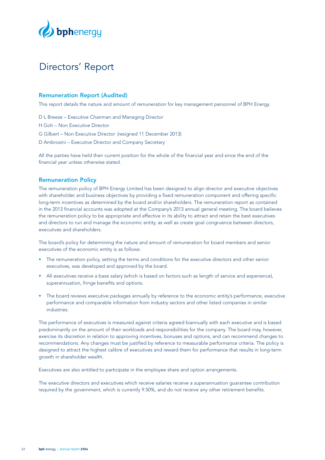

# Directors' Report

### Remuneration Report (Audited)

This report details the nature and amount of remuneration for key management personnel of BPH Energy.

- D L Breeze Executive Chairman and Managing Director
- H Goh Non Executive Director
- G Gilbert Non Executive Director (resigned 11 December 2013)
- D Ambrosini Executive Director and Company Secretary

All the parties have held their current position for the whole of the financial year and since the end of the financial year unless otherwise stated.

#### Remuneration Policy

The remuneration policy of BPH Energy Limited has been designed to align director and executive objectives with shareholder and business objectives by providing a fixed remuneration component and offering specific long-term incentives as determined by the board and/or shareholders. The remuneration report as contained in the 2013 financial accounts was adopted at the Company's 2013 annual general meeting. The board believes the remuneration policy to be appropriate and effective in its ability to attract and retain the best executives and directors to run and manage the economic entity, as well as create goal congruence between directors, executives and shareholders.

The board's policy for determining the nature and amount of remuneration for board members and senior executives of the economic entity is as follows:

- The remuneration policy, setting the terms and conditions for the executive directors and other senior executives, was developed and approved by the board.
- • All executives receive a base salary (which is based on factors such as length of service and experience), superannuation, fringe benefits and options.
- The board reviews executive packages annually by reference to the economic entity's performance, executive performance and comparable information from industry sectors and other listed companies in similar industries.

The performance of executives is measured against criteria agreed biannually with each executive and is based predominantly on the amount of their workloads and responsibilities for the company. The board may, however, exercise its discretion in relation to approving incentives, bonuses and options, and can recommend changes to recommendations. Any changes must be justified by reference to measurable performance criteria. The policy is designed to attract the highest calibre of executives and reward them for performance that results in long-term growth in shareholder wealth.

Executives are also entitled to participate in the employee share and option arrangements.

The executive directors and executives which receive salaries receive a superannuation guarantee contribution required by the government, which is currently 9.50%, and do not receive any other retirement benefits.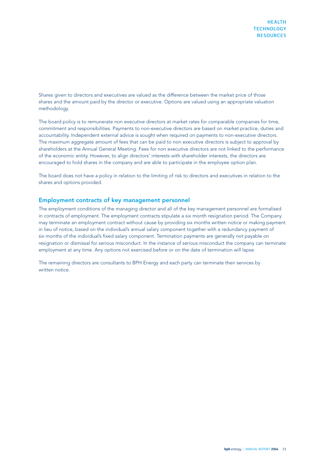Shares given to directors and executives are valued as the difference between the market price of those shares and the amount paid by the director or executive. Options are valued using an appropriate valuation methodology.

The board policy is to remunerate non executive directors at market rates for comparable companies for time, commitment and responsibilities. Payments to non-executive directors are based on market practice, duties and accountability. Independent external advice is sought when required on payments to non-executive directors. The maximum aggregate amount of fees that can be paid to non executive directors is subject to approval by shareholders at the Annual General Meeting. Fees for non executive directors are not linked to the performance of the economic entity. However, to align directors' interests with shareholder interests, the directors are encouraged to hold shares in the company and are able to participate in the employee option plan.

The board does not have a policy in relation to the limiting of risk to directors and executives in relation to the shares and options provided.

#### Employment contracts of key management personnel

The employment conditions of the managing director and all of the key management personnel are formalised in contracts of employment. The employment contracts stipulate a six month resignation period. The Company may terminate an employment contract without cause by providing six months written notice or making payment in lieu of notice, based on the individual's annual salary component together with a redundancy payment of six months of the individual's fixed salary component. Termination payments are generally not payable on resignation or dismissal for serious misconduct. In the instance of serious misconduct the company can terminate employment at any time. Any options not exercised before or on the date of termination will lapse.

The remaining directors are consultants to BPH Energy and each party can terminate their services by written notice.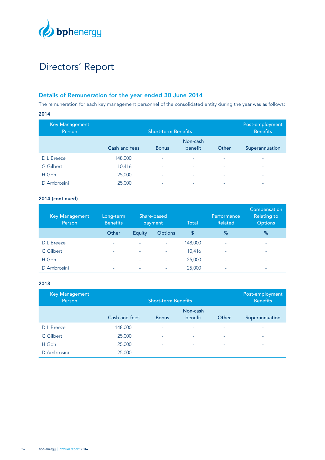

# Directors' Report

# Details of Remuneration for the year ended 30 June 2014

The remuneration for each key management personnel of the consolidated entity during the year was as follows:

### 2014

| <b>Key Management</b><br>Person |               | <b>Short-term Benefits</b> |                          |       |                          |  |  |
|---------------------------------|---------------|----------------------------|--------------------------|-------|--------------------------|--|--|
|                                 | Cash and fees | <b>Bonus</b>               | Non-cash<br>benefit      | Other | Superannuation           |  |  |
| D L Breeze                      | 148,000       | $\overline{\phantom{0}}$   | ۰                        | ۰.    | ۰                        |  |  |
| <b>G</b> Gilbert                | 10,416        | $\overline{\phantom{0}}$   | $\overline{\phantom{a}}$ | ۰     | $\overline{\phantom{a}}$ |  |  |
| H Goh                           | 25,000        | $\overline{\phantom{0}}$   | $\overline{\phantom{a}}$ | ۰.    | $\overline{\phantom{a}}$ |  |  |
| D Ambrosini                     | 25,000        | $\overline{\phantom{0}}$   | ۰                        | -     | ۰                        |  |  |

### 2014 (continued)

| <b>Key Management</b><br>Person | Long-term<br><b>Benefits</b> |                          | Share-based<br>payment   | Total   | Performance<br>Related   | Compensation<br><b>Relating to</b><br><b>Options</b> |
|---------------------------------|------------------------------|--------------------------|--------------------------|---------|--------------------------|------------------------------------------------------|
|                                 | Other                        | Equity                   | <b>Options</b>           | \$      | %                        | $\%$                                                 |
| D L Breeze                      | ۰                            | ۰                        | $\overline{\phantom{a}}$ | 148,000 | ٠                        | ۰                                                    |
| G Gilbert                       | $\overline{\phantom{a}}$     | $\overline{\phantom{a}}$ | $\overline{\phantom{a}}$ | 10,416  | $\overline{\phantom{a}}$ | $\overline{\phantom{0}}$                             |
| H Goh                           | ۰                            | ۰                        | $\sim$                   | 25,000  | $\overline{\phantom{0}}$ | ۰                                                    |
| D Ambrosini                     | ۰                            | $\overline{\phantom{a}}$ | $\overline{\phantom{a}}$ | 25,000  | ۰                        | ۰                                                    |

### 2013

| <b>Key Management</b><br>Person | <b>Short-term Benefits</b> | Post-employment<br><b>Benefits</b> |                          |                          |                |
|---------------------------------|----------------------------|------------------------------------|--------------------------|--------------------------|----------------|
|                                 | Cash and fees              | <b>Bonus</b>                       | Non-cash<br>benefit      | Other                    | Superannuation |
| D L Breeze                      | 148,000                    | $\overline{\phantom{a}}$           | $\overline{\phantom{a}}$ | $\overline{\phantom{a}}$ | ۰              |
| G Gilbert                       | 25,000                     | $\overline{\phantom{a}}$           | $\overline{\phantom{a}}$ | $\overline{\phantom{a}}$ | ۰              |
| H Goh                           | 25,000                     | ٠                                  | $\overline{\phantom{a}}$ | ۰                        | ۰              |
| D Ambrosini                     | 25,000                     | ۰                                  | $\overline{\phantom{0}}$ | ۰                        | ٠              |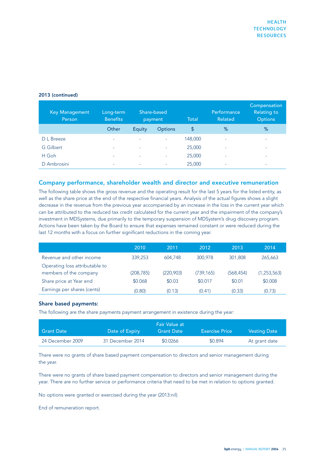#### 2013 (continued)

| <b>Key Management</b><br>Person | Long-term<br><b>Benefits</b> |                          | Share-based<br>payment   | <b>Total</b> | Performance<br>Related | Compensation<br><b>Relating to</b><br><b>Options</b> |
|---------------------------------|------------------------------|--------------------------|--------------------------|--------------|------------------------|------------------------------------------------------|
|                                 | Other                        | Equity                   | <b>Options</b>           | \$           | %                      | %                                                    |
| D L Breeze                      | $\overline{\phantom{0}}$     | $\qquad \qquad$          | ۰                        | 148,000      | -                      | $\overline{\phantom{a}}$                             |
| G Gilbert                       | $\overline{\phantom{a}}$     | $\overline{\phantom{a}}$ | $\overline{\phantom{0}}$ | 25,000       | ÷                      | $\overline{\phantom{a}}$                             |
| H Goh                           | $\overline{\phantom{a}}$     | ۰                        | ۰                        | 25,000       | ٠                      | $\overline{\phantom{0}}$                             |
| D Ambrosini                     | $\overline{\phantom{a}}$     | $\overline{\phantom{a}}$ | ۰                        | 25,000       | ۰                      | -                                                    |

## Company performance, shareholder wealth and director and executive remuneration

The following table shows the gross revenue and the operating result for the last 5 years for the listed entity, as well as the share price at the end of the respective financial years. Analysis of the actual figures shows a slight decrease in the revenue from the previous year accompanied by an increase in the loss in the current year which can be attributed to the reduced tax credit calculated for the current year and the impairment of the company's investment in MDSystems, due primarily to the temporary suspension of MDSystem's drug discovery program. Actions have been taken by the Board to ensure that expenses remained constant or were reduced during the last 12 months with a focus on further significant reductions in the coming year.

|                                                          | 2010      | 2011       | 2012       | 2013       | 2014          |
|----------------------------------------------------------|-----------|------------|------------|------------|---------------|
| Revenue and other income                                 | 339,253   | 604,748    | 300,978    | 301,808    | 265,663       |
| Operating loss attributable to<br>members of the company | (208,785) | (220, 903) | (739, 165) | (568, 454) | (1, 253, 563) |
| Share price at Year end                                  | \$0.068   | \$0.03     | \$0.017    | \$0.01     | \$0,008       |
| Earnings per shares (cents)                              | (0.80)    | (0.13)     | (0.41)     | (0.33)     | (0.73)        |

#### Share based payments:

The following are the share payments payment arrangement in existence during the year:

| <b>Fair Value at</b> |                  |                   |                       |                     |  |  |  |
|----------------------|------------------|-------------------|-----------------------|---------------------|--|--|--|
| <b>Grant Date</b>    | Date of Expiry   | <b>Grant Date</b> | <b>Exercise Price</b> | <b>Vesting Date</b> |  |  |  |
| 24 December 2009     | 31 December 2014 | \$0.0266          | \$0.894               | At grant date       |  |  |  |

There were no grants of share based payment compensation to directors and senior management during the year.

There were no grants of share based payment compensation to directors and senior management during the year. There are no further service or performance criteria that need to be met in relation to options granted.

No options were granted or exercised during the year (2013:nil).

End of remuneration report.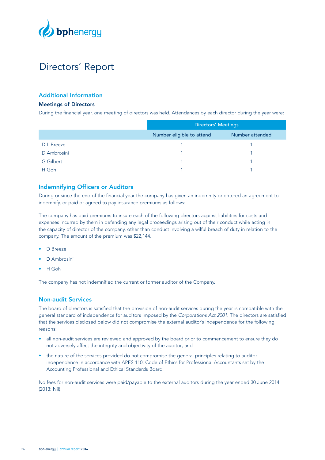

# Directors' Report

# Additional Information

### Meetings of Directors

During the financial year, one meeting of directors was held. Attendances by each director during the year were:

|                  | <b>Directors' Meetings</b> |                 |  |  |
|------------------|----------------------------|-----------------|--|--|
|                  | Number eligible to attend  | Number attended |  |  |
| D L Breeze       |                            |                 |  |  |
| D Ambrosini      |                            |                 |  |  |
| <b>G</b> Gilbert |                            |                 |  |  |
| H Goh            |                            |                 |  |  |

# Indemnifying Officers or Auditors

During or since the end of the financial year the company has given an indemnity or entered an agreement to indemnify, or paid or agreed to pay insurance premiums as follows:

The company has paid premiums to insure each of the following directors against liabilities for costs and expenses incurred by them in defending any legal proceedings arising out of their conduct while acting in the capacity of director of the company, other than conduct involving a wilful breach of duty in relation to the company. The amount of the premium was \$22,144.

- • D Breeze
- D Ambrosini
- • H Goh

The company has not indemnified the current or former auditor of the Company.

### Non-audit Services

The board of directors is satisfied that the provision of non-audit services during the year is compatible with the general standard of independence for auditors imposed by the *Corporations Act 2001*. The directors are satisfied that the services disclosed below did not compromise the external auditor's independence for the following reasons:

- all non-audit services are reviewed and approved by the board prior to commencement to ensure they do not adversely affect the integrity and objectivity of the auditor; and
- the nature of the services provided do not compromise the general principles relating to auditor independence in accordance with APES 110: Code of Ethics for Professional Accountants set by the Accounting Professional and Ethical Standards Board.

No fees for non-audit services were paid/payable to the external auditors during the year ended 30 June 2014 (2013: Nil).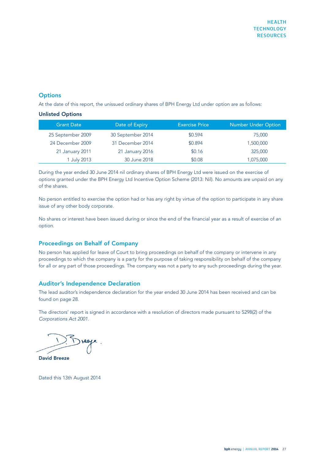### **Options**

At the date of this report, the unissued ordinary shares of BPH Energy Ltd under option are as follows:

Unlisted Options

| Date of Expiry    | <b>Exercise Price</b> | <b>Number Under Option</b> |
|-------------------|-----------------------|----------------------------|
| 30 September 2014 | \$0.594               | 75,000                     |
| 31 December 2014  | \$0.894               | 1,500,000                  |
| 21 January 2016   | \$0.16                | 325,000                    |
| 30 June 2018      | \$0.08                | 1,075,000                  |
|                   |                       |                            |

During the year ended 30 June 2014 nil ordinary shares of BPH Energy Ltd were issued on the exercise of options granted under the BPH Energy Ltd Incentive Option Scheme (2013: Nil). No amounts are unpaid on any of the shares.

No person entitled to exercise the option had or has any right by virtue of the option to participate in any share issue of any other body corporate.

No shares or interest have been issued during or since the end of the financial year as a result of exercise of an option.

### Proceedings on Behalf of Company

No person has applied for leave of Court to bring proceedings on behalf of the company or intervene in any proceedings to which the company is a party for the purpose of taking responsibility on behalf of the company for all or any part of those proceedings. The company was not a party to any such proceedings during the year.

### Auditor's Independence Declaration

The lead auditor's independence declaration for the year ended 30 June 2014 has been received and can be found on page 28.

The directors' report is signed in accordance with a resolution of directors made pursuant to S298(2) of the *Corporations Act 2001*.

David Breeze

Dated this 13th August 2014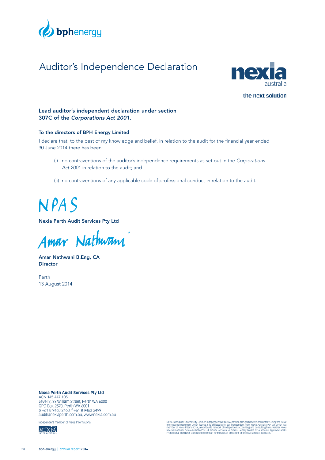

# Auditor's Independence Declaration



the next solution

### Lead auditor's independent declaration under section 307C of the *Corporations Act 2001.*

#### To the directors of BPH Energy Limited

I declare that, to the best of my knowledge and belief, in relation to the audit for the financial year ended 30 June 2014 there has been:

- (i) no contraventions of the auditor's independence requirements as set out in the *Corporations Act 2001* in relation to the audit; and
- (ii) no contraventions of any applicable code of professional conduct in relation to the audit.

NPAS

Nexia Perth Audit Services Pty Ltd

Amar Nathwani

Amar Nathwani B.Eng, CA **Director** 

Perth 13 August 2014

**Nexia Perth Audit Services Pty Ltd** ACN 145 447 105<br>Level 3, 88 William Street, Perth WA 6000<br>GPO Box 2570, Perth WA 6001 0 + 61 8 9463 2463, f + 61 8 9463 2499 audit@nexiaperth.com.au, www.nexia.com.au

Independent member of Nexia International

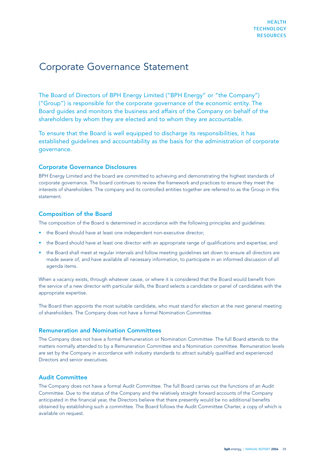# Corporate Governance Statement

The Board of Directors of BPH Energy Limited ("BPH Energy" or "the Company") ("Group") is responsible for the corporate governance of the economic entity. The Board guides and monitors the business and affairs of the Company on behalf of the shareholders by whom they are elected and to whom they are accountable.

To ensure that the Board is well equipped to discharge its responsibilities, it has established guidelines and accountability as the basis for the administration of corporate governance.

### Corporate Governance Disclosures

BPH Energy Limited and the board are committed to achieving and demonstrating the highest standards of corporate governance. The board continues to review the framework and practices to ensure they meet the interests of shareholders. The company and its controlled entities together are referred to as the Group in this statement.

### Composition of the Board

The composition of the Board is determined in accordance with the following principles and guidelines:

- the Board should have at least one independent non-executive director;
- the Board should have at least one director with an appropriate range of qualifications and expertise; and
- the Board shall meet at regular intervals and follow meeting guidelines set down to ensure all directors are made aware of, and have available all necessary information, to participate in an informed discussion of all agenda items.

When a vacancy exists, through whatever cause, or where it is considered that the Board would benefit from the service of a new director with particular skills, the Board selects a candidate or panel of candidates with the appropriate expertise.

The Board then appoints the most suitable candidate, who must stand for election at the next general meeting of shareholders. The Company does not have a formal Nomination Committee.

### Remuneration and Nomination Committees

The Company does not have a formal Remuneration or Nomination Committee. The full Board attends to the matters normally attended to by a Remuneration Committee and a Nomination committee. Remuneration levels are set by the Company in accordance with industry standards to attract suitably qualified and experienced Directors and senior executives.

### Audit Committee

The Company does not have a formal Audit Committee. The full Board carries out the functions of an Audit Committee. Due to the status of the Company and the relatively straight forward accounts of the Company anticipated in the financial year, the Directors believe that there presently would be no additional benefits obtained by establishing such a committee. The Board follows the Audit Committee Charter, a copy of which is available on request.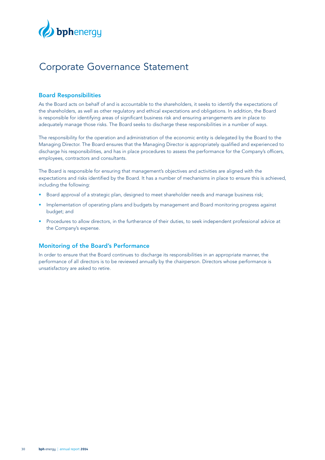

# Corporate Governance Statement

### Board Responsibilities

As the Board acts on behalf of and is accountable to the shareholders, it seeks to identify the expectations of the shareholders, as well as other regulatory and ethical expectations and obligations. In addition, the Board is responsible for identifying areas of significant business risk and ensuring arrangements are in place to adequately manage those risks. The Board seeks to discharge these responsibilities in a number of ways.

The responsibility for the operation and administration of the economic entity is delegated by the Board to the Managing Director. The Board ensures that the Managing Director is appropriately qualified and experienced to discharge his responsibilities, and has in place procedures to assess the performance for the Company's officers, employees, contractors and consultants.

The Board is responsible for ensuring that management's objectives and activities are aligned with the expectations and risks identified by the Board. It has a number of mechanisms in place to ensure this is achieved, including the following:

- Board approval of a strategic plan, designed to meet shareholder needs and manage business risk;
- Implementation of operating plans and budgets by management and Board monitoring progress against budget; and
- Procedures to allow directors, in the furtherance of their duties, to seek independent professional advice at the Company's expense.

### Monitoring of the Board's Performance

In order to ensure that the Board continues to discharge its responsibilities in an appropriate manner, the performance of all directors is to be reviewed annually by the chairperson. Directors whose performance is unsatisfactory are asked to retire.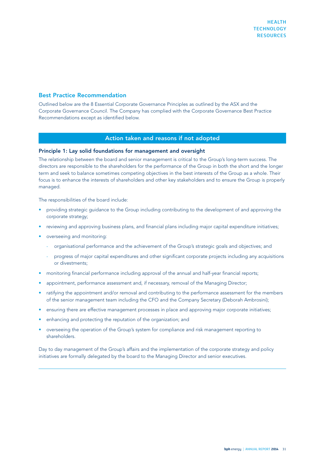### Best Practice Recommendation

Outlined below are the 8 Essential Corporate Governance Principles as outlined by the ASX and the Corporate Governance Council. The Company has complied with the Corporate Governance Best Practice Recommendations except as identified below.

#### Action taken and reasons if not adopted

#### Principle 1: Lay solid foundations for management and oversight

The relationship between the board and senior management is critical to the Group's long-term success. The directors are responsible to the shareholders for the performance of the Group in both the short and the longer term and seek to balance sometimes competing objectives in the best interests of the Group as a whole. Their focus is to enhance the interests of shareholders and other key stakeholders and to ensure the Group is properly managed.

The responsibilities of the board include:

- providing strategic guidance to the Group including contributing to the development of and approving the corporate strategy;
- reviewing and approving business plans, and financial plans including major capital expenditure initiatives;
- overseeing and monitoring:
	- organisational performance and the achievement of the Group's strategic goals and objectives; and
	- progress of major capital expenditures and other significant corporate projects including any acquisitions or divestments;
- monitoring financial performance including approval of the annual and half-year financial reports;
- appointment, performance assessment and, if necessary, removal of the Managing Director;
- ratifying the appointment and/or removal and contributing to the performance assessment for the members of the senior management team including the CFO and the Company Secretary (Deborah Ambrosini);
- ensuring there are effective management processes in place and approving major corporate initiatives;
- enhancing and protecting the reputation of the organization; and
- overseeing the operation of the Group's system for compliance and risk management reporting to shareholders.

Day to day management of the Group's affairs and the implementation of the corporate strategy and policy initiatives are formally delegated by the board to the Managing Director and senior executives.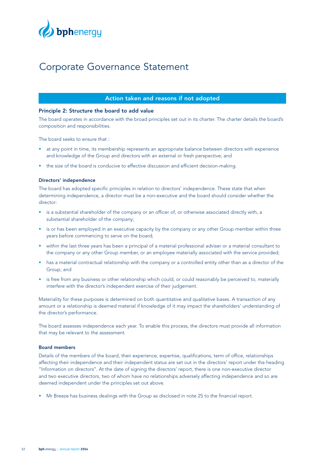

# Corporate Governance Statement

#### Action taken and reasons if not adopted

#### Principle 2: Structure the board to add value

The board operates in accordance with the broad principles set out in its charter. The charter details the board's composition and responsibilities.

The board seeks to ensure that :

- at any point in time, its membership represents an appropriate balance between directors with experience and knowledge of the Group and directors with an external or fresh perspective; and
- the size of the board is conducive to effective discussion and efficient decision-making.

#### Directors' independence

The board has adopted specific principles in relation to directors' independence. These state that when determining independence, a director must be a non-executive and the board should consider whether the director:

- is a substantial shareholder of the company or an officer of, or otherwise associated directly with, a substantial shareholder of the company;
- is or has been employed in an executive capacity by the company or any other Group member within three years before commencing to serve on the board;
- • within the last three years has been a principal of a material professional adviser or a material consultant to the company or any other Group member, or an employee materially associated with the service provided;
- has a material contractual relationship with the company or a controlled entity other than as a director of the Group; and
- is free from any business or other relationship which could, or could reasonably be perceived to, materially interfere with the director's independent exercise of their judgement.

Materiality for these purposes is determined on both quantitative and qualitative bases. A transaction of any amount or a relationship is deemed material if knowledge of it may impact the shareholders' understanding of the director's performance.

The board assesses independence each year. To enable this process, the directors must provide all information that may be relevant to the assessment.

#### Board members

Details of the members of the board, their experience, expertise, qualifications, term of office, relationships affecting their independence and their independent status are set out in the directors' report under the heading ''Information on directors''. At the date of signing the directors' report, there is one non-executive director and two executive directors, two of whom have no relationships adversely affecting independence and so are deemed independent under the principles set out above.

• Mr Breeze has business dealings with the Group as disclosed in note 25 to the financial report.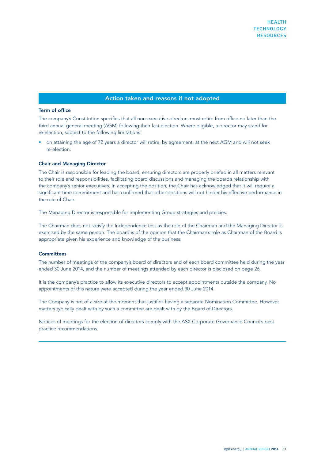# Action taken and reasons if not adopted

#### Term of office

The company's Constitution specifies that all non-executive directors must retire from office no later than the third annual general meeting (AGM) following their last election. Where eligible, a director may stand for re-election, subject to the following limitations:

• on attaining the age of 72 years a director will retire, by agreement, at the next AGM and will not seek re-election.

#### Chair and Managing Director

The Chair is responsible for leading the board, ensuring directors are properly briefed in all matters relevant to their role and responsibilities, facilitating board discussions and managing the board's relationship with the company's senior executives. In accepting the position, the Chair has acknowledged that it will require a significant time commitment and has confirmed that other positions will not hinder his effective performance in the role of Chair.

The Managing Director is responsible for implementing Group strategies and policies.

The Chairman does not satisfy the Independence test as the role of the Chairman and the Managing Director is exercised by the same person. The board is of the opinion that the Chairman's role as Chairman of the Board is appropriate given his experience and knowledge of the business.

#### **Committees**

The number of meetings of the company's board of directors and of each board committee held during the year ended 30 June 2014, and the number of meetings attended by each director is disclosed on page 26.

It is the company's practice to allow its executive directors to accept appointments outside the company. No appointments of this nature were accepted during the year ended 30 June 2014.

The Company is not of a size at the moment that justifies having a separate Nomination Committee. However, matters typically dealt with by such a committee are dealt with by the Board of Directors.

Notices of meetings for the election of directors comply with the ASX Corporate Governance Council's best practice recommendations.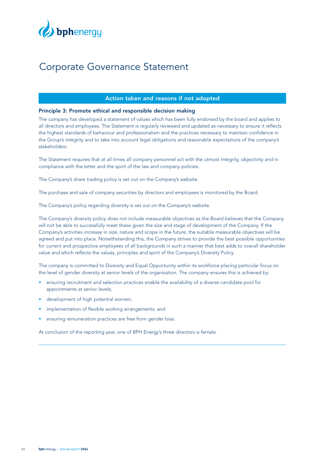

# Corporate Governance Statement

#### Action taken and reasons if not adopted

#### Principle 3: Promote ethical and responsible decision making

The company has developed a statement of values which has been fully endorsed by the board and applies to all directors and employees. The Statement is regularly reviewed and updated as necessary to ensure it reflects the highest standards of behaviour and professionalism and the practices necessary to maintain confidence in the Group's integrity and to take into account legal obligations and reasonable expectations of the company's stakeholders.

The Statement requires that at all times all company personnel act with the utmost integrity, objectivity and in compliance with the letter and the spirit of the law and company policies.

The Company's share trading policy is set out on the Company's website.

The purchase and sale of company securities by directors and employees is monitored by the Board.

The Company's policy regarding diversity is set out on the Company's website.

The Company's diversity policy does not include measurable objectives as the Board believes that the Company will not be able to successfully meet these given the size and stage of development of the Company. If the Company's activities increase in size, nature and scope in the future, the suitable measurable objectives will be agreed and put into place. Notwithstanding this, the Company strives to provide the best possible opportunities for current and prospective employees of all backgrounds in such a manner that best adds to overall shareholder value and which reflects the values, principles and spirit of the Company's Diversity Policy.

The company is committed to Diversity and Equal Opportunity within its workforce placing particular focus on the level of gender diversity at senior levels of the organisation. The company ensures this is achieved by:

- ensuring recruitment and selection practices enable the availability of a diverse candidate pool for appointments at senior levels;
- development of high potential women;
- implementation of flexible working arrangements; and
- ensuring remuneration practices are free from gender bias.

At conclusion of the reporting year, one of BPH Energy's three directors is female.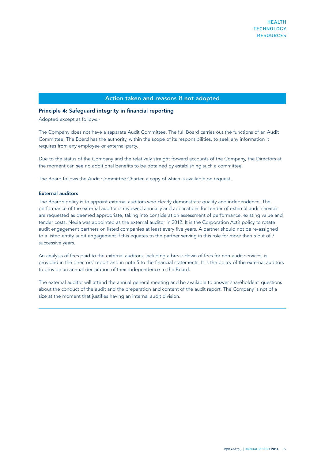## Action taken and reasons if not adopted

### Principle 4: Safeguard integrity in financial reporting

Adopted except as follows:-

The Company does not have a separate Audit Committee. The full Board carries out the functions of an Audit Committee. The Board has the authority, within the scope of its responsibilities, to seek any information it requires from any employee or external party.

Due to the status of the Company and the relatively straight forward accounts of the Company, the Directors at the moment can see no additional benefits to be obtained by establishing such a committee.

The Board follows the Audit Committee Charter, a copy of which is available on request.

#### External auditors

The Board's policy is to appoint external auditors who clearly demonstrate quality and independence. The performance of the external auditor is reviewed annually and applications for tender of external audit services are requested as deemed appropriate, taking into consideration assessment of performance, existing value and tender costs. Nexia was appointed as the external auditor in 2012. It is the Corporation Act's policy to rotate audit engagement partners on listed companies at least every five years. A partner should not be re-assigned to a listed entity audit engagement if this equates to the partner serving in this role for more than 5 out of 7 successive years.

An analysis of fees paid to the external auditors, including a break-down of fees for non-audit services, is provided in the directors' report and in note 5 to the financial statements. It is the policy of the external auditors to provide an annual declaration of their independence to the Board.

The external auditor will attend the annual general meeting and be available to answer shareholders' questions about the conduct of the audit and the preparation and content of the audit report. The Company is not of a size at the moment that justifies having an internal audit division.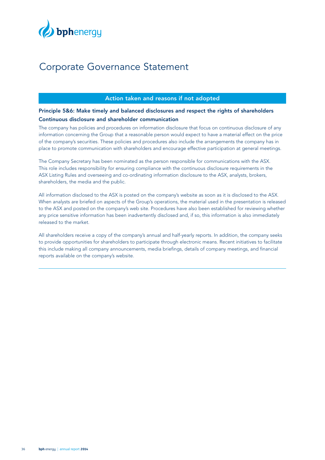

# Corporate Governance Statement

### Action taken and reasons if not adopted

## Principle 5&6: Make timely and balanced disclosures and respect the rights of shareholders Continuous disclosure and shareholder communication

The company has policies and procedures on information disclosure that focus on continuous disclosure of any information concerning the Group that a reasonable person would expect to have a material effect on the price of the company's securities. These policies and procedures also include the arrangements the company has in place to promote communication with shareholders and encourage effective participation at general meetings.

The Company Secretary has been nominated as the person responsible for communications with the ASX. This role includes responsibility for ensuring compliance with the continuous disclosure requirements in the ASX Listing Rules and overseeing and co-ordinating information disclosure to the ASX, analysts, brokers, shareholders, the media and the public.

All information disclosed to the ASX is posted on the company's website as soon as it is disclosed to the ASX. When analysts are briefed on aspects of the Group's operations, the material used in the presentation is released to the ASX and posted on the company's web site. Procedures have also been established for reviewing whether any price sensitive information has been inadvertently disclosed and, if so, this information is also immediately released to the market.

All shareholders receive a copy of the company's annual and half-yearly reports. In addition, the company seeks to provide opportunities for shareholders to participate through electronic means. Recent initiatives to facilitate this include making all company announcements, media briefings, details of company meetings, and financial reports available on the company's website.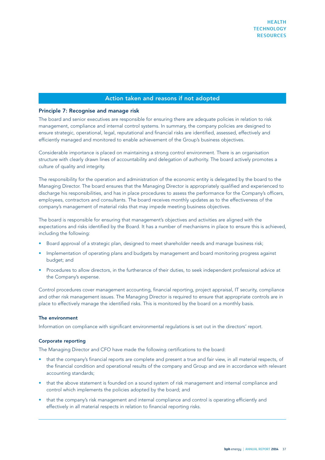## Action taken and reasons if not adopted

#### Principle 7: Recognise and manage risk

The board and senior executives are responsible for ensuring there are adequate policies in relation to risk management, compliance and internal control systems. In summary, the company policies are designed to ensure strategic, operational, legal, reputational and financial risks are identified, assessed, effectively and efficiently managed and monitored to enable achievement of the Group's business objectives.

Considerable importance is placed on maintaining a strong control environment. There is an organisation structure with clearly drawn lines of accountability and delegation of authority. The board actively promotes a culture of quality and integrity.

The responsibility for the operation and administration of the economic entity is delegated by the board to the Managing Director. The board ensures that the Managing Director is appropriately qualified and experienced to discharge his responsibilities, and has in place procedures to assess the performance for the Company's officers, employees, contractors and consultants. The board receives monthly updates as to the effectiveness of the company's management of material risks that may impede meeting business objectives.

The board is responsible for ensuring that management's objectives and activities are aligned with the expectations and risks identified by the Board. It has a number of mechanisms in place to ensure this is achieved, including the following:

- Board approval of a strategic plan, designed to meet shareholder needs and manage business risk;
- Implementation of operating plans and budgets by management and board monitoring progress against budget; and
- Procedures to allow directors, in the furtherance of their duties, to seek independent professional advice at the Company's expense.

Control procedures cover management accounting, financial reporting, project appraisal, IT security, compliance and other risk management issues. The Managing Director is required to ensure that appropriate controls are in place to effectively manage the identified risks. This is monitored by the board on a monthly basis.

#### The environment

Information on compliance with significant environmental regulations is set out in the directors' report.

#### Corporate reporting

The Managing Director and CFO have made the following certifications to the board:

- that the company's financial reports are complete and present a true and fair view, in all material respects, of the financial condition and operational results of the company and Group and are in accordance with relevant accounting standards;
- that the above statement is founded on a sound system of risk management and internal compliance and control which implements the policies adopted by the board; and
- that the company's risk management and internal compliance and control is operating efficiently and effectively in all material respects in relation to financial reporting risks.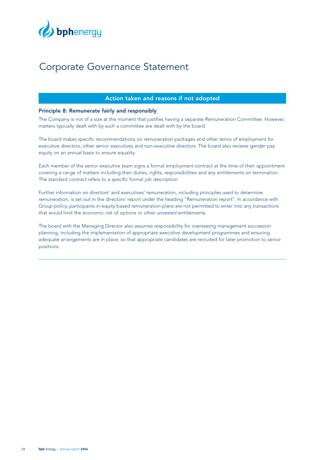

# Corporate Governance Statement

### Action taken and reasons if not adopted

#### Principle 8: Remunerate fairly and responsibly

The Company is not of a size at the moment that justifies having a separate Remuneration Committee. However, matters typically dealt with by such a committee are dealt with by the board.

The board makes specific recommendations on remuneration packages and other terms of employment for executive directors, other senior executives and non-executive directors. The board also reviews gender pay equity on an annual basis to ensure equality.

Each member of the senior executive team signs a formal employment contract at the time of their appointment covering a range of matters including their duties, rights, responsibilities and any entitlements on termination. The standard contract refers to a specific formal job description.

Further information on directors' and executives' remuneration, including principles used to determine remuneration, is set out in the directors' report under the heading ''Remuneration report''. In accordance with Group policy, participants in equity-based remuneration plans are not permitted to enter into any transactions that would limit the economic risk of options or other unvested entitlements.

The board with the Managing Director also assumes responsibility for overseeing management succession planning, including the implementation of appropriate executive development programmes and ensuring adequate arrangements are in place, so that appropriate candidates are recruited for later promotion to senior positions.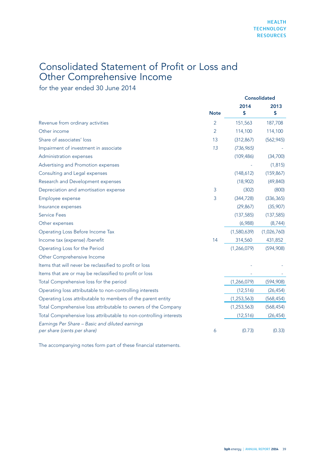## Consolidated Statement of Profit or Loss and Other Comprehensive Income

for the year ended 30 June 2014

|                                                                                |                | <b>Consolidated</b> |             |  |
|--------------------------------------------------------------------------------|----------------|---------------------|-------------|--|
|                                                                                | <b>Note</b>    | 2014<br>\$          | 2013<br>\$  |  |
| Revenue from ordinary activities                                               | $\overline{2}$ | 151,563             | 187,708     |  |
| Other income                                                                   | $\overline{2}$ | 114,100             | 114,100     |  |
| Share of associates' loss                                                      | 13             | (312, 867)          | (562, 945)  |  |
| Impairment of investment in associate                                          | 13             | (736, 965)          |             |  |
| Administration expenses                                                        |                | (109, 486)          | (34,700)    |  |
| Advertising and Promotion expenses                                             |                |                     | (1, 815)    |  |
| Consulting and Legal expenses                                                  |                | (148, 612)          | (159, 867)  |  |
| Research and Development expenses                                              |                | (18,902)            | (49, 840)   |  |
| Depreciation and amortisation expense                                          | 3              | (302)               | (800)       |  |
| Employee expense                                                               | 3              | (344, 728)          | (336, 365)  |  |
| Insurance expenses                                                             |                | (29, 867)           | (35,907)    |  |
| <b>Service Fees</b>                                                            |                | (137, 585)          | (137, 585)  |  |
| Other expenses                                                                 |                | (6,988)             | (8, 744)    |  |
| Operating Loss Before Income Tax                                               |                | (1,580,639)         | (1,026,760) |  |
| Income tax (expense) /benefit                                                  | 14             | 314,560             | 431,852     |  |
| Operating Loss for the Period                                                  |                | (1,266,079)         | (594,908)   |  |
| Other Comprehensive Income                                                     |                |                     |             |  |
| Items that will never be reclassified to profit or loss                        |                |                     |             |  |
| Items that are or may be reclassified to profit or loss                        |                |                     |             |  |
| Total Comprehensive loss for the period                                        |                | (1,266,079)         | (594,908)   |  |
| Operating loss attributable to non-controlling interests                       |                | (12, 516)           | (26, 454)   |  |
| Operating Loss attributable to members of the parent entity                    |                | (1, 253, 563)       | (568, 454)  |  |
| Total Comprehensive loss attributable to owners of the Company                 |                | (1, 253, 563)       | (568, 454)  |  |
| Total Comprehensive loss attributable to non-controlling interests             |                | (12, 516)           | (26, 454)   |  |
| Earnings Per Share - Basic and diluted earnings<br>per share (cents per share) | 6              | (0.73)              | (0.33)      |  |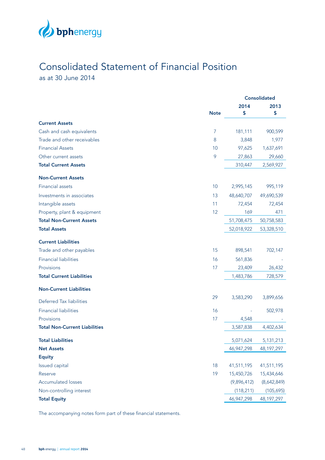

# Consolidated Statement of Financial Position

as at 30 June 2014

|                                      |             | <b>Consolidated</b> |              |  |
|--------------------------------------|-------------|---------------------|--------------|--|
|                                      |             | 2014                | 2013         |  |
|                                      | <b>Note</b> | \$                  | \$           |  |
| <b>Current Assets</b>                |             |                     |              |  |
| Cash and cash equivalents            | 7           | 181,111             | 900,599      |  |
| Trade and other receivables          | 8           | 3,848               | 1,977        |  |
| <b>Financial Assets</b>              | 10          | 97,625              | 1,637,691    |  |
| Other current assets                 | 9           | 27,863              | 29,660       |  |
| <b>Total Current Assets</b>          |             | 310,447             | 2,569,927    |  |
| <b>Non-Current Assets</b>            |             |                     |              |  |
| Financial assets                     | 10          | 2,995,145           | 995,119      |  |
| Investments in associates            | 13          | 48,640,707          | 49,690,539   |  |
| Intangible assets                    | 11          | 72,454              | 72,454       |  |
| Property, plant & equipment          | 12          | 169                 | 471          |  |
| <b>Total Non-Current Assets</b>      |             | 51,708,475          | 50,758,583   |  |
| <b>Total Assets</b>                  |             | 52,018,922          | 53,328,510   |  |
| <b>Current Liabilities</b>           |             |                     |              |  |
| Trade and other payables             | 15          | 898,541             | 702,147      |  |
| <b>Financial liabilities</b>         | 16          | 561,836             |              |  |
| Provisions                           | 17          | 23,409              | 26,432       |  |
| <b>Total Current Liabilities</b>     |             | 1,483,786           | 728,579      |  |
| <b>Non-Current Liabilities</b>       |             |                     |              |  |
| Deferred Tax liabilities             | 29          | 3,583,290           | 3,899,656    |  |
| <b>Financial liabilities</b>         | 16          |                     | 502,978      |  |
| Provisions                           | 17          | 4,548               |              |  |
| <b>Total Non-Current Liabilities</b> |             | 3,587,838           | 4,402,634    |  |
| <b>Total Liabilities</b>             |             | 5,071,624           | 5, 131, 213  |  |
| <b>Net Assets</b>                    |             | 46,947,298          | 48, 197, 297 |  |
| <b>Equity</b>                        |             |                     |              |  |
| Issued capital                       | 18          | 41,511,195          | 41,511,195   |  |
| Reserve                              | 19          | 15,450,726          | 15,434,646   |  |
| <b>Accumulated losses</b>            |             | (9,896,412)         | (8,642,849)  |  |
| Non-controlling interest             |             | (118, 211)          | (105, 695)   |  |
| <b>Total Equity</b>                  |             | 46,947,298          | 48, 197, 297 |  |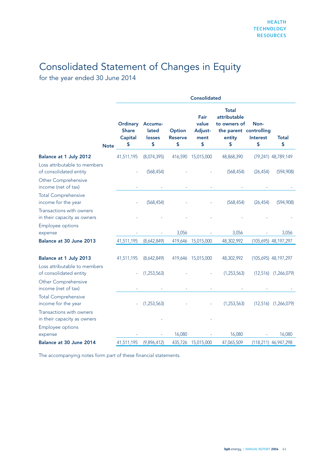# Consolidated Statement of Changes in Equity

for the year ended 30 June 2014

|                                                         |                                                  | <b>Consolidated</b>              |                                       |                                        |                                                                                        |                        |                          |  |  |
|---------------------------------------------------------|--------------------------------------------------|----------------------------------|---------------------------------------|----------------------------------------|----------------------------------------------------------------------------------------|------------------------|--------------------------|--|--|
| <b>Note</b>                                             | Ordinary<br><b>Share</b><br><b>Capital</b><br>\$ | Accumu-<br>lated<br>losses<br>\$ | <b>Option</b><br><b>Reserve</b><br>\$ | Fair<br>value<br>Adjust-<br>ment<br>\$ | <b>Total</b><br>attributable<br>to owners of<br>the parent controlling<br>entity<br>\$ | Non-<br>Interest<br>\$ | Total<br>\$              |  |  |
| Balance at 1 July 2012                                  | 41,511,195                                       | (8,074,395)                      |                                       | 416,590 15,015,000                     | 48,868,390                                                                             |                        | (79,241) 48,789,149      |  |  |
| Loss attributable to members<br>of consolidated entity  |                                                  | (568, 454)                       |                                       |                                        | (568, 454)                                                                             | (26, 454)              | (594, 908)               |  |  |
| <b>Other Comprehensive</b><br>income (net of tax)       |                                                  |                                  |                                       |                                        |                                                                                        |                        |                          |  |  |
| <b>Total Comprehensive</b><br>income for the year       |                                                  | (568, 454)                       |                                       |                                        | (568, 454)                                                                             | (26, 454)              | (594, 908)               |  |  |
| Transactions with owners<br>in their capacity as owners |                                                  |                                  |                                       |                                        |                                                                                        |                        |                          |  |  |
| Employee options<br>expense                             |                                                  |                                  | 3,056                                 |                                        | 3,056                                                                                  |                        | 3,056                    |  |  |
| Balance at 30 June 2013                                 | 41,511,195                                       | (8,642,849)                      |                                       | 419,646 15,015,000                     | 48,302,992                                                                             |                        | $(105,695)$ 48,197,297   |  |  |
| Balance at 1 July 2013                                  | 41,511,195                                       | (8,642,849)                      |                                       | 419,646 15,015,000                     | 48,302,992                                                                             |                        | (105,695) 48,197,297     |  |  |
| Loss attributable to members<br>of consolidated entity  |                                                  | (1, 253, 563)                    |                                       |                                        | (1, 253, 563)                                                                          |                        | $(12,516)$ $(1,266,079)$ |  |  |
| Other Comprehensive<br>income (net of tax)              |                                                  |                                  |                                       |                                        |                                                                                        |                        |                          |  |  |
| <b>Total Comprehensive</b><br>income for the year       |                                                  | (1, 253, 563)                    |                                       |                                        | (1, 253, 563)                                                                          |                        | $(12,516)$ $(1,266,079)$ |  |  |
| Transactions with owners<br>in their capacity as owners |                                                  |                                  |                                       |                                        |                                                                                        |                        |                          |  |  |
| Employee options<br>expense                             |                                                  |                                  | 16,080                                |                                        | 16,080                                                                                 |                        | 16,080                   |  |  |
| Balance at 30 June 2014                                 | 41,511,195                                       | (9,896,412)                      | 435,726                               | 15,015,000                             | 47,065,509                                                                             |                        | (118,211) 46,947,298     |  |  |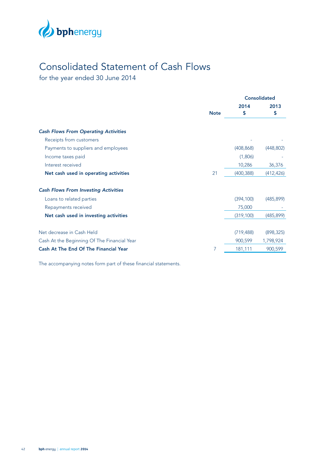

## Consolidated Statement of Cash Flows

for the year ended 30 June 2014

|                                             |             | <b>Consolidated</b> |            |  |
|---------------------------------------------|-------------|---------------------|------------|--|
|                                             |             | 2014                | 2013       |  |
|                                             | <b>Note</b> | \$                  | \$         |  |
|                                             |             |                     |            |  |
| <b>Cash Flows From Operating Activities</b> |             |                     |            |  |
| Receipts from customers                     |             |                     |            |  |
| Payments to suppliers and employees         |             | (408, 868)          | (448, 802) |  |
| Income taxes paid                           |             | (1,806)             |            |  |
| Interest received                           |             | 10,286              | 36,376     |  |
| Net cash used in operating activities       | 21          | (400, 388)          | (412, 426) |  |
| <b>Cash Flows From Investing Activities</b> |             |                     |            |  |
| Loans to related parties                    |             | (394, 100)          | (485, 899) |  |
| Repayments received                         |             | 75,000              |            |  |
| Net cash used in investing activities       |             | (319, 100)          | (485, 899) |  |
| Net decrease in Cash Held                   |             | (719, 488)          | (898, 325) |  |
| Cash At the Beginning Of The Financial Year |             | 900,599             | 1,798,924  |  |
| Cash At The End Of The Financial Year       | 7           | 181,111             | 900,599    |  |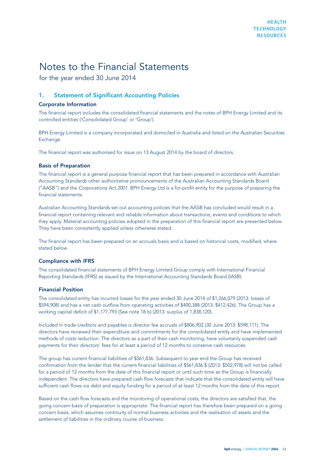for the year ended 30 June 2014

## 1. Statement of Significant Accounting Policies

### Corporate Information

The financial report includes the consolidated financial statements and the notes of BPH Energy Limited and its controlled entities ('Consolidated Group' or 'Group').

BPH Energy Limited is a company incorporated and domiciled in Australia and listed on the Australian Securities Exchange.

The financial report was authorised for issue on 13 August 2014 by the board of directors.

#### Basis of Preparation

The financial report is a general purpose financial report that has been prepared in accordance with Australian Accounting Standards other authoritative pronouncements of the Australian Accounting Standards Board ("AASB") and the *Corporations Act 2001*. BPH Energy Ltd is a for-profit entity for the purpose of preparing the financial statements.

Australian Accounting Standards set out accounting policies that the AASB has concluded would result in a financial report containing relevant and reliable information about transactions, events and conditions to which they apply. Material accounting policies adopted in the preparation of this financial report are presented below. They have been consistently applied unless otherwise stated.

The financial report has been prepared on an accruals basis and is based on historical costs, modified, where stated below.

#### Compliance with IFRS

The consolidated financial statements of BPH Energy Limited Group comply with International Financial Reporting Standards (IFRS) as issued by the International Accounting Standards Board (IASB).

#### Financial Position

The consolidated entity has incurred losses for the year ended 30 June 2014 of \$1,266,079 (2013: losses of \$594,908) and has a net cash outflow from operating activities of \$400,388 (2013: \$412,426). The Group has a working capital deficit of \$1,177,793 (See note 18 b) (2013: surplus of 1,838,120).

Included in trade creditors and payables is director fee accruals of \$806,902 (30 June 2013: \$598,111). The directors have reviewed their expenditure and commitments for the consolidated entity and have implemented methods of costs reduction. The directors as a part of their cash monitoring, have voluntarily suspended cash payments for their directors' fees for at least a period of 12 months to conserve cash resources.

The group has current financial liabilities of \$561,836. Subsequent to year end the Group has received confirmation from the lender that the current financial liabilities of \$561,836 \$ (2013: \$502,978) will not be called for a period of 12 months from the date of this financial report or until such time as the Group is financially independent. The directors have prepared cash flow forecasts that indicate that the consolidated entity will have sufficient cash flows via debt and equity funding for a period of at least 12 months from the date of this report.

Based on the cash flow forecasts and the monitoring of operational costs, the directors are satisfied that, the going concern basis of preparation is appropriate. The financial report has therefore been prepared on a going concern basis, which assumes continuity of normal business activities and the realisation of assets and the settlement of liabilities in the ordinary course of business.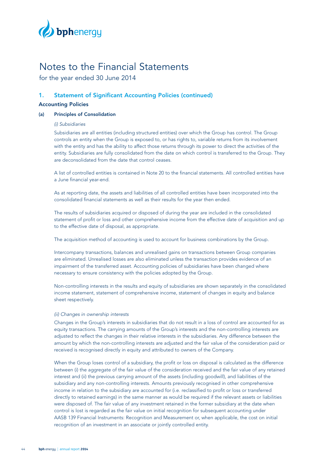

for the year ended 30 June 2014

## 1. Statement of Significant Accounting Policies (continued)

### Accounting Policies

#### (a) Principles of Consolidation

### *(i) Subsidiaries*

Subsidiaries are all entities (including structured entities) over which the Group has control. The Group controls an entity when the Group is exposed to, or has rights to, variable returns from its involvement with the entity and has the ability to affect those returns through its power to direct the activities of the entity. Subsidiaries are fully consolidated from the date on which control is transferred to the Group. They are deconsolidated from the date that control ceases.

A list of controlled entities is contained in Note 20 to the financial statements. All controlled entities have a June financial year-end.

As at reporting date, the assets and liabilities of all controlled entities have been incorporated into the consolidated financial statements as well as their results for the year then ended.

The results of subsidiaries acquired or disposed of during the year are included in the consolidated statement of profit or loss and other comprehensive income from the effective date of acquisition and up to the effective date of disposal, as appropriate.

The acquisition method of accounting is used to account for business combinations by the Group.

Intercompany transactions, balances and unrealised gains on transactions between Group companies are eliminated. Unrealised losses are also eliminated unless the transaction provides evidence of an impairment of the transferred asset. Accounting policies of subsidiaries have been changed where necessary to ensure consistency with the policies adopted by the Group.

Non-controlling interests in the results and equity of subsidiaries are shown separately in the consolidated income statement, statement of comprehensive income, statement of changes in equity and balance sheet respectively.

#### *(ii) Changes in ownership interests*

Changes in the Group's interests in subsidiaries that do not result in a loss of control are accounted for as equity transactions. The carrying amounts of the Group's interests and the non-controlling interests are adjusted to reflect the changes in their relative interests in the subsidiaries. Any difference between the amount by which the non-controlling interests are adjusted and the fair value of the consideration paid or received is recognised directly in equity and attributed to owners of the Company.

When the Group loses control of a subsidiary, the profit or loss on disposal is calculated as the difference between (i) the aggregate of the fair value of the consideration received and the fair value of any retained interest and (ii) the previous carrying amount of the assets (including goodwill), and liabilities of the subsidiary and any non-controlling interests. Amounts previously recognised in other comprehensive income in relation to the subsidiary are accounted for (i.e. reclassified to profit or loss or transferred directly to retained earnings) in the same manner as would be required if the relevant assets or liabilities were disposed of. The fair value of any investment retained in the former subsidiary at the date when control is lost is regarded as the fair value on initial recognition for subsequent accounting under AASB 139 Financial Instruments: Recognition and Measurement or, when applicable, the cost on initial recognition of an investment in an associate or jointly controlled entity.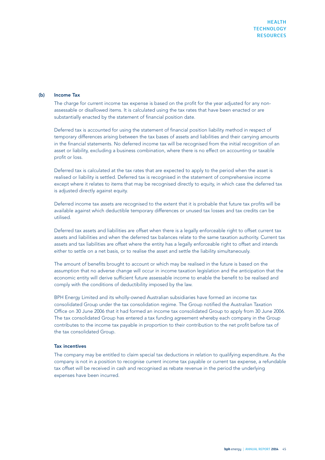#### (b) Income Tax

The charge for current income tax expense is based on the profit for the year adjusted for any nonassessable or disallowed items. It is calculated using the tax rates that have been enacted or are substantially enacted by the statement of financial position date.

Deferred tax is accounted for using the statement of financial position liability method in respect of temporary differences arising between the tax bases of assets and liabilities and their carrying amounts in the financial statements. No deferred income tax will be recognised from the initial recognition of an asset or liability, excluding a business combination, where there is no effect on accounting or taxable profit or loss.

Deferred tax is calculated at the tax rates that are expected to apply to the period when the asset is realised or liability is settled. Deferred tax is recognised in the statement of comprehensive income except where it relates to items that may be recognised directly to equity, in which case the deferred tax is adjusted directly against equity.

Deferred income tax assets are recognised to the extent that it is probable that future tax profits will be available against which deductible temporary differences or unused tax losses and tax credits can be utilised.

Deferred tax assets and liabilities are offset when there is a legally enforceable right to offset current tax assets and liabilities and when the deferred tax balances relate to the same taxation authority. Current tax assets and tax liabilities are offset where the entity has a legally enforceable right to offset and intends either to settle on a net basis, or to realise the asset and settle the liability simultaneously.

The amount of benefits brought to account or which may be realised in the future is based on the assumption that no adverse change will occur in income taxation legislation and the anticipation that the economic entity will derive sufficient future assessable income to enable the benefit to be realised and comply with the conditions of deductibility imposed by the law.

BPH Energy Limited and its wholly-owned Australian subsidiaries have formed an income tax consolidated Group under the tax consolidation regime. The Group notified the Australian Taxation Office on 30 June 2006 that it had formed an income tax consolidated Group to apply from 30 June 2006. The tax consolidated Group has entered a tax funding agreement whereby each company in the Group contributes to the income tax payable in proportion to their contribution to the net profit before tax of the tax consolidated Group.

#### Tax incentives

The company may be entitled to claim special tax deductions in relation to qualifying expenditure. As the company is not in a position to recognise current income tax payable or current tax expense, a refundable tax offset will be received in cash and recognised as rebate revenue in the period the underlying expenses have been incurred.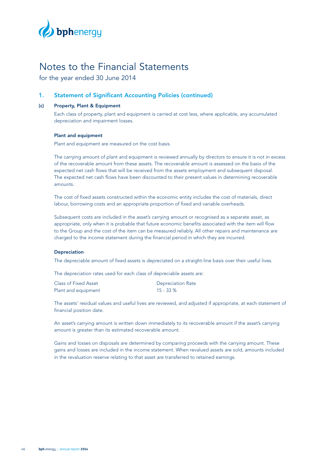

for the year ended 30 June 2014

### 1. Statement of Significant Accounting Policies (continued)

#### (c) Property, Plant & Equipment

Each class of property, plant and equipment is carried at cost less, where applicable, any accumulated depreciation and impairment losses.

#### Plant and equipment

Plant and equipment are measured on the cost basis.

The carrying amount of plant and equipment is reviewed annually by directors to ensure it is not in excess of the recoverable amount from these assets. The recoverable amount is assessed on the basis of the expected net cash flows that will be received from the assets employment and subsequent disposal. The expected net cash flows have been discounted to their present values in determining recoverable amounts.

The cost of fixed assets constructed within the economic entity includes the cost of materials, direct labour, borrowing costs and an appropriate proportion of fixed and variable overheads.

Subsequent costs are included in the asset's carrying amount or recognised as a separate asset, as appropriate, only when it is probable that future economic benefits associated with the item will flow to the Group and the cost of the item can be measured reliably. All other repairs and maintenance are charged to the income statement during the financial period in which they are incurred.

#### Depreciation

The depreciable amount of fixed assets is depreciated on a straight-line basis over their useful lives.

The depreciation rates used for each class of depreciable assets are:

| Class of Fixed Asset | <b>Depreciation Rate</b> |
|----------------------|--------------------------|
| Plant and equipment  | $15 - 33%$               |

The assets' residual values and useful lives are reviewed, and adjusted if appropriate, at each statement of financial position date.

An asset's carrying amount is written down immediately to its recoverable amount if the asset's carrying amount is greater than its estimated recoverable amount.

Gains and losses on disposals are determined by comparing proceeds with the carrying amount. These gains and losses are included in the income statement. When revalued assets are sold, amounts included in the revaluation reserve relating to that asset are transferred to retained earnings.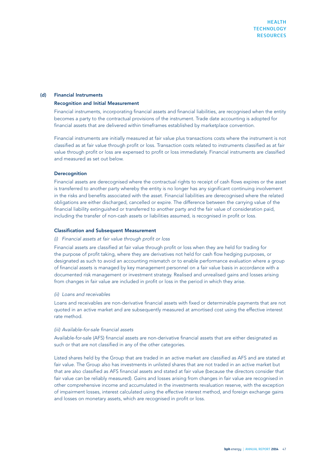#### (d) Financial Instruments

#### Recognition and Initial Measurement

Financial instruments, incorporating financial assets and financial liabilities, are recognised when the entity becomes a party to the contractual provisions of the instrument. Trade date accounting is adopted for financial assets that are delivered within timeframes established by marketplace convention.

Financial instruments are initially measured at fair value plus transactions costs where the instrument is not classified as at fair value through profit or loss. Transaction costs related to instruments classified as at fair value through profit or loss are expensed to profit or loss immediately. Financial instruments are classified and measured as set out below.

#### **Derecognition**

Financial assets are derecognised where the contractual rights to receipt of cash flows expires or the asset is transferred to another party whereby the entity is no longer has any significant continuing involvement in the risks and benefits associated with the asset. Financial liabilities are derecognised where the related obligations are either discharged, cancelled or expire. The difference between the carrying value of the financial liability extinguished or transferred to another party and the fair value of consideration paid, including the transfer of non-cash assets or liabilities assumed, is recognised in profit or loss.

#### Classification and Subsequent Measurement

#### *(i) Financial assets at fair value through profit or loss*

Financial assets are classified at fair value through profit or loss when they are held for trading for the purpose of profit taking, where they are derivatives not held for cash flow hedging purposes, or designated as such to avoid an accounting mismatch or to enable performance evaluation where a group of financial assets is managed by key management personnel on a fair value basis in accordance with a documented risk management or investment strategy. Realised and unrealised gains and losses arising from changes in fair value are included in profit or loss in the period in which they arise.

#### *(ii) Loans and receivables*

Loans and receivables are non-derivative financial assets with fixed or determinable payments that are not quoted in an active market and are subsequently measured at amortised cost using the effective interest rate method.

#### *(iii) Available-for-sale financial assets*

Available-for-sale (AFS) financial assets are non-derivative financial assets that are either designated as such or that are not classified in any of the other categories.

Listed shares held by the Group that are traded in an active market are classified as AFS and are stated at fair value. The Group also has investments in unlisted shares that are not traded in an active market but that are also classified as AFS financial assets and stated at fair value (because the directors consider that fair value can be reliably measured). Gains and losses arising from changes in fair value are recognised in other comprehensive income and accumulated in the investments revaluation reserve, with the exception of impairment losses, interest calculated using the effective interest method, and foreign exchange gains and losses on monetary assets, which are recognised in profit or loss.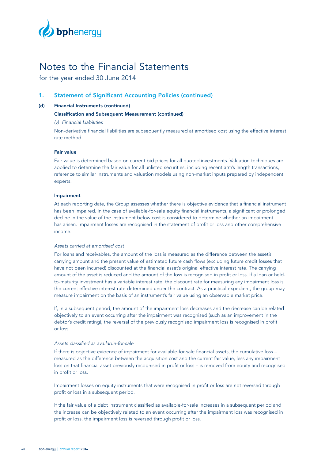

for the year ended 30 June 2014

### 1. Statement of Significant Accounting Policies (continued)

#### (d) Financial Instruments (continued)

#### Classification and Subsequent Measurement (continued)

*(v) Financial Liabilities*

Non-derivative financial liabilities are subsequently measured at amortised cost using the effective interest rate method.

#### Fair value

Fair value is determined based on current bid prices for all quoted investments. Valuation techniques are applied to determine the fair value for all unlisted securities, including recent arm's length transactions, reference to similar instruments and valuation models using non-market inputs prepared by independent experts.

#### Impairment

At each reporting date, the Group assesses whether there is objective evidence that a financial instrument has been impaired. In the case of available-for-sale equity financial instruments, a significant or prolonged decline in the value of the instrument below cost is considered to determine whether an impairment has arisen. Impairment losses are recognised in the statement of profit or loss and other comprehensive income.

#### *Assets carried at amortised cost*

For loans and receivables, the amount of the loss is measured as the difference between the asset's carrying amount and the present value of estimated future cash flows (excluding future credit losses that have not been incurred) discounted at the financial asset's original effective interest rate. The carrying amount of the asset is reduced and the amount of the loss is recognised in profit or loss. If a loan or heldto-maturity investment has a variable interest rate, the discount rate for measuring any impairment loss is the current effective interest rate determined under the contract. As a practical expedient, the group may measure impairment on the basis of an instrument's fair value using an observable market price.

If, in a subsequent period, the amount of the impairment loss decreases and the decrease can be related objectively to an event occurring after the impairment was recognised (such as an improvement in the debtor's credit rating), the reversal of the previously recognised impairment loss is recognised in profit or loss.

#### *Assets classified as available-for-sale*

If there is objective evidence of impairment for available-for-sale financial assets, the cumulative loss – measured as the difference between the acquisition cost and the current fair value, less any impairment loss on that financial asset previously recognised in profit or loss – is removed from equity and recognised in profit or loss.

Impairment losses on equity instruments that were recognised in profit or loss are not reversed through profit or loss in a subsequent period.

If the fair value of a debt instrument classified as available-for-sale increases in a subsequent period and the increase can be objectively related to an event occurring after the impairment loss was recognised in profit or loss, the impairment loss is reversed through profit or loss.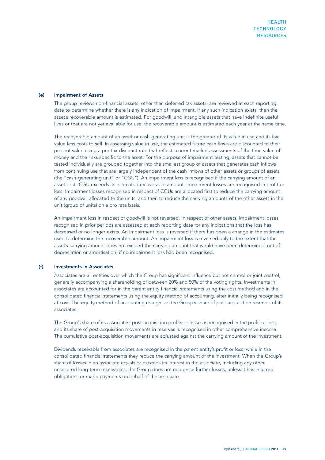#### (e) Impairment of Assets

The group reviews non-financial assets, other than deferred tax assets, are reviewed at each reporting date to determine whether there is any indication of impairment. If any such indication exists, then the asset's recoverable amount is estimated. For goodwill, and intangible assets that have indefinite useful lives or that are not yet available for use, the recoverable amount is estimated each year at the same time.

The recoverable amount of an asset or cash-generating unit is the greater of its value in use and its fair value less costs to sell. In assessing value in use, the estimated future cash flows are discounted to their present value using a pre-tax discount rate that reflects current market assessments of the time value of money and the risks specific to the asset. For the purpose of impairment testing, assets that cannot be tested individually are grouped together into the smallest group of assets that generates cash inflows from continuing use that are largely independent of the cash inflows of other assets or groups of assets (the "cash-generating unit" or "CGU"). An impairment loss is recognised if the carrying amount of an asset or its CGU exceeds its estimated recoverable amount. Impairment losses are recognised in profit or loss. Impairment losses recognised in respect of CGUs are allocated first to reduce the carrying amount of any goodwill allocated to the units, and then to reduce the carrying amounts of the other assets in the unit (group of units) on a pro rata basis.

An impairment loss in respect of goodwill is not reversed. In respect of other assets, impairment losses recognised in prior periods are assessed at each reporting date for any indications that the loss has decreased or no longer exists. An impairment loss is reversed if there has been a change in the estimates used to determine the recoverable amount. An impairment loss is reversed only to the extent that the asset's carrying amount does not exceed the carrying amount that would have been determined, net of depreciation or amortisation, if no impairment loss had been recognised.

#### (f) Investments in Associates

Associates are all entities over which the Group has significant influence but not control or joint control, generally accompanying a shareholding of between 20% and 50% of the voting rights. Investments in associates are accounted for in the parent entity financial statements using the cost method and in the consolidated financial statements using the equity method of accounting, after initially being recognised at cost. The equity method of accounting recognises the Group's share of post-acquisition reserves of its associates.

The Group's share of its associates' post-acquisition profits or losses is recognised in the profit or loss, and its share of post-acquisition movements in reserves is recognised in other comprehensive income. The cumulative post-acquisition movements are adjusted against the carrying amount of the investment.

Dividends receivable from associates are recognised in the parent entity's profit or loss, while in the consolidated financial statements they reduce the carrying amount of the investment. When the Group's share of losses in an associate equals or exceeds its interest in the associate, including any other unsecured long-term receivables, the Group does not recognise further losses, unless it has incurred obligations or made payments on behalf of the associate.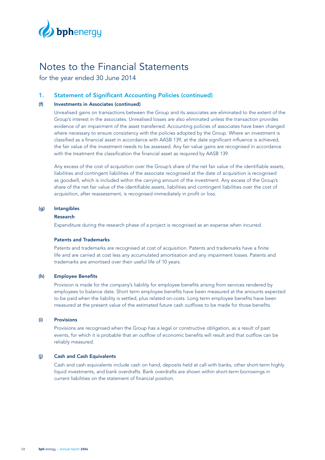

for the year ended 30 June 2014

### 1. Statement of Significant Accounting Policies (continued)

### (f) Investments in Associates (continued)

Unrealised gains on transactions between the Group and its associates are eliminated to the extent of the Group's interest in the associates. Unrealised losses are also eliminated unless the transaction provides evidence of an impairment of the asset transferred. Accounting policies of associates have been changed where necessary to ensure consistency with the policies adopted by the Group. Where an investment is classified as a financial asset in accordance with AASB 139, at the date significant influence is achieved, the fair value of the investment needs to be assessed. Any fair value gains are recognised in accordance with the treatment the classification the financial asset as required by AASB 139.

Any excess of the cost of acquisition over the Group's share of the net fair value of the identifiable assets, liabilities and contingent liabilities of the associate recognised at the date of acquisition is recognised as goodwill, which is included within the carrying amount of the investment. Any excess of the Group's share of the net fair value of the identifiable assets, liabilities and contingent liabilities over the cost of acquisition, after reassessment, is recognised immediately in profit or loss.

#### (g) Intangibles

#### Research

Expenditure during the research phase of a project is recognised as an expense when incurred.

### Patents and Trademarks

Patents and trademarks are recognised at cost of acquisition. Patents and trademarks have a finite life and are carried at cost less any accumulated amortisation and any impairment losses. Patents and trademarks are amortised over their useful life of 10 years.

#### (h) Employee Benefits

Provision is made for the company's liability for employee benefits arising from services rendered by employees to balance date. Short term employee benefits have been measured at the amounts expected to be paid when the liability is settled, plus related on-costs. Long term employee benefits have been measured at the present value of the estimated future cash outflows to be made for those benefits.

#### (i) Provisions

Provisions are recognised when the Group has a legal or constructive obligation, as a result of past events, for which it is probable that an outflow of economic benefits will result and that outflow can be reliably measured.

### (j) Cash and Cash Equivalents

Cash and cash equivalents include cash on hand, deposits held at call with banks, other short-term highly liquid investments, and bank overdrafts. Bank overdrafts are shown within short-term borrowings in current liabilities on the statement of financial position.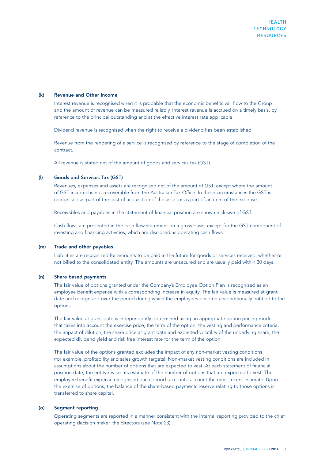#### (k) Revenue and Other Income

Interest revenue is recognised when it is probable that the economic benefits will flow to the Group and the amount of revenue can be measured reliably. Interest revenue is accrued on a timely basis, by reference to the principal outstanding and at the effective interest rate applicable.

Dividend revenue is recognised when the right to receive a dividend has been established.

Revenue from the rendering of a service is recognised by reference to the stage of completion of the contract.

All revenue is stated net of the amount of goods and services tax (GST).

#### (l) Goods and Services Tax (GST)

Revenues, expenses and assets are recognised net of the amount of GST, except where the amount of GST incurred is not recoverable from the Australian Tax Office. In these circumstances the GST is recognised as part of the cost of acquisition of the asset or as part of an item of the expense.

Receivables and payables in the statement of financial position are shown inclusive of GST.

Cash flows are presented in the cash flow statement on a gross basis, except for the GST component of investing and financing activities, which are disclosed as operating cash flows.

#### (m) Trade and other payables

Liabilities are recognized for amounts to be paid in the future for goods or services received, whether or not billed to the consolidated entity. The amounts are unsecured and are usually paid within 30 days.

#### (n) Share based payments

The fair value of options granted under the Company's Employee Option Plan is recognized as an employee benefit expense with a corresponding increase in equity. The fair value is measured at grant date and recognized over the period during which the employees become unconditionally entitled to the options.

The fair value at grant date is independently determined using an appropriate option pricing model that takes into account the exercise price, the term of the option, the vesting and performance criteria, the impact of dilution, the share price at grant date and expected volatility of the underlying share, the expected dividend yield and risk free interest rate for the term of the option.

The fair value of the options granted excludes the impact of any non-market vesting conditions (for example, profitability and sales growth targets). Non-market vesting conditions are included in assumptions about the number of options that are expected to vest. At each statement of financial position date, the entity revises its estimate of the number of options that are expected to vest. The employee benefit expense recognised each period takes into account the most recent estimate. Upon the exercise of options, the balance of the share-based payments reserve relating to those options is transferred to share capital.

#### (o) Segment reporting

Operating segments are reported in a manner consistent with the internal reporting provided to the chief operating decision maker, the directors (see Note 23).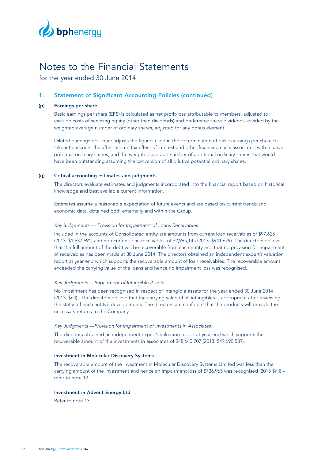

for the year ended 30 June 2014

### 1. Statement of Significant Accounting Policies (continued)

#### (p) Earnings per share

Basic earnings per share (EPS) is calculated as net profit/loss attributable to members, adjusted to exclude costs of servicing equity (other than dividends) and preference share dividends, divided by the weighted average number of ordinary shares, adjusted for any bonus element.

Diluted earnings per share adjusts the figures used in the determination of basic earnings per share to take into account the after income tax effect of interest and other financing costs associated with dilutive potential ordinary shares, and the weighted average number of additional ordinary shares that would have been outstanding assuming the conversion of all dilutive potential ordinary shares.

#### (q) Critical accounting estimates and judgments

The directors evaluate estimates and judgments incorporated into the financial report based on historical knowledge and best available current information.

Estimates assume a reasonable expectation of future events and are based on current trends and economic data, obtained both externally and within the Group.

#### *Key judgements — Provision for Impairment of Loans Receivables*

Included in the accounts of Consolidated entity are amounts from current loan receivables of \$97,625 (2013: \$1,637,691) and non-current loan receivables of \$2,995,145 (2013: \$941,679). The directors believe that the full amount of the debt will be recoverable from each entity and that no provision for impairment of receivables has been made at 30 June 2014. The directors obtained an independent expert's valuation report at year end which supports the recoverable amount of loan receivables. The recoverable amount exceeded the carrying value of the loans and hence no impairment loss was recognised.

#### *Key Judgments —Impairment of Intangible Assets*

No impairment has been recognised in respect of intangible assets for the year ended 30 June 2014 (2013: \$nil). The directors believe that the carrying value of all intangibles is appropriate after reviewing the status of each entity's developments. The directors are confident that the products will provide the necessary returns to the Company.

#### *Key Judgments —Provision for impairment of Investments in Associates*

The directors obtained an independent expert's valuation report at year end which supports the recoverable amount of the investments in associates of \$48,640,707 (2013: \$49,690,539).

#### Investment in Molecular Discovery Systems

The recoverable amount of the investment in Molecular Discovery Systems Limited was less than the carrying amount of the investment and hence an impairment loss of \$736,965 was recognised (2013 \$nil) – refer to note 13.

#### Investment in Advent Energy Ltd

Refer to note 13.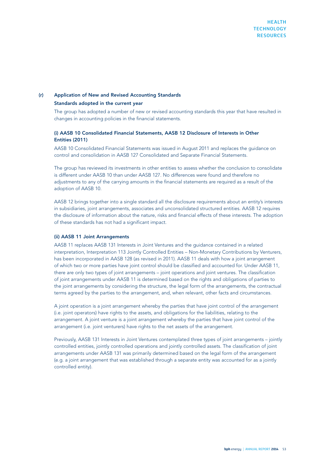## (r) Application of New and Revised Accounting Standards

## Standards adopted in the current year

The group has adopted a number of new or revised accounting standards this year that have resulted in changes in accounting policies in the financial statements.

### (i) AASB 10 Consolidated Financial Statements, AASB 12 Disclosure of Interests in Other Entities (2011)

AASB 10 Consolidated Financial Statements was issued in August 2011 and replaces the guidance on control and consolidation in AASB 127 Consolidated and Separate Financial Statements.

The group has reviewed its investments in other entities to assess whether the conclusion to consolidate is different under AASB 10 than under AASB 127. No differences were found and therefore no adjustments to any of the carrying amounts in the financial statements are required as a result of the adoption of AASB 10.

AASB 12 brings together into a single standard all the disclosure requirements about an entity's interests in subsidiaries, joint arrangements, associates and unconsolidated structured entities. AASB 12 requires the disclosure of information about the nature, risks and financial effects of these interests. The adoption of these standards has not had a significant impact.

#### (ii) AASB 11 Joint Arrangements

AASB 11 replaces AASB 131 Interests in Joint Ventures and the guidance contained in a related interpretation, Interpretation 113 Jointly Controlled Entities – Non-Monetary Contributions by Venturers, has been incorporated in AASB 128 (as revised in 2011). AASB 11 deals with how a joint arrangement of which two or more parties have joint control should be classified and accounted for. Under AASB 11, there are only two types of joint arrangements – joint operations and joint ventures. The classification of joint arrangements under AASB 11 is determined based on the rights and obligations of parties to the joint arrangements by considering the structure, the legal form of the arrangements, the contractual terms agreed by the parties to the arrangement, and, when relevant, other facts and circumstances.

A joint operation is a joint arrangement whereby the parties that have joint control of the arrangement (i.e. joint operators) have rights to the assets, and obligations for the liabilities, relating to the arrangement. A joint venture is a joint arrangement whereby the parties that have joint control of the arrangement (i.e. joint venturers) have rights to the net assets of the arrangement.

Previously, AASB 131 Interests in Joint Ventures contemplated three types of joint arrangements – jointly controlled entities, jointly controlled operations and jointly controlled assets. The classification of joint arrangements under AASB 131 was primarily determined based on the legal form of the arrangement (e.g. a joint arrangement that was established through a separate entity was accounted for as a jointly controlled entity).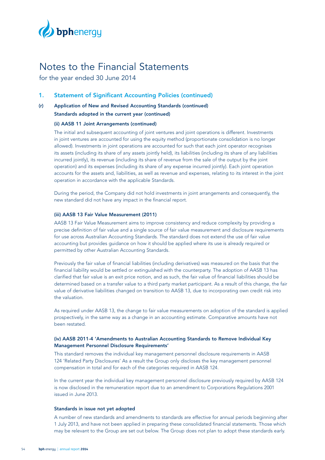

for the year ended 30 June 2014

1. Statement of Significant Accounting Policies (continued)

### (r) Application of New and Revised Accounting Standards (continued)

#### Standards adopted in the current year (continued)

### (ii) AASB 11 Joint Arrangements (continued)

The initial and subsequent accounting of joint ventures and joint operations is different. Investments in joint ventures are accounted for using the equity method (proportionate consolidation is no longer allowed). Investments in joint operations are accounted for such that each joint operator recognises its assets (including its share of any assets jointly held), its liabilities (including its share of any liabilities incurred jointly), its revenue (including its share of revenue from the sale of the output by the joint operation) and its expenses (including its share of any expense incurred jointly). Each joint operation accounts for the assets and, liabilities, as well as revenue and expenses, relating to its interest in the joint operation in accordance with the applicable Standards.

During the period, the Company did not hold investments in joint arrangements and consequently, the new standard did not have any impact in the financial report.

#### (iii) AASB 13 Fair Value Measurement (2011)

AASB 13 Fair Value Measurement aims to improve consistency and reduce complexity by providing a precise definition of fair value and a single source of fair value measurement and disclosure requirements for use across Australian Accounting Standards. The standard does not extend the use of fair value accounting but provides guidance on how it should be applied where its use is already required or permitted by other Australian Accounting Standards.

Previously the fair value of financial liabilities (including derivatives) was measured on the basis that the financial liability would be settled or extinguished with the counterparty. The adoption of AASB 13 has clarified that fair value is an exit price notion, and as such, the fair value of financial liabilities should be determined based on a transfer value to a third party market participant. As a result of this change, the fair value of derivative liabilities changed on transition to AASB 13, due to incorporating own credit risk into the valuation.

As required under AASB 13, the change to fair value measurements on adoption of the standard is applied prospectively, in the same way as a change in an accounting estimate. Comparative amounts have not been restated.

### (iv) AASB 2011-4 'Amendments to Australian Accounting Standards to Remove Individual Key Management Personnel Disclosure Requirements'

This standard removes the individual key management personnel disclosure requirements in AASB 124 'Related Party Disclosures' As a result the Group only discloses the key management personnel compensation in total and for each of the categories required in AASB 124.

In the current year the individual key management personnel disclosure previously required by AASB 124 is now disclosed in the remuneration report due to an amendment to Corporations Regulations 2001 issued in June 2013.

#### Standards in issue not yet adopted

A number of new standards and amendments to standards are effective for annual periods beginning after 1 July 2013, and have not been applied in preparing these consolidated financial statements. Those which may be relevant to the Group are set out below. The Group does not plan to adopt these standards early.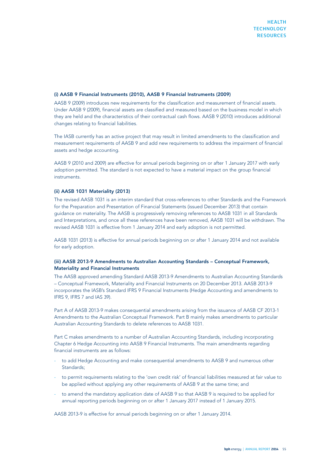#### (i) AASB 9 Financial Instruments (2010), AASB 9 Financial Instruments (2009)

AASB 9 (2009) introduces new requirements for the classification and measurement of financial assets. Under AASB 9 (2009), financial assets are classified and measured based on the business model in which they are held and the characteristics of their contractual cash flows. AASB 9 (2010) introduces additional changes relating to financial liabilities.

The IASB currently has an active project that may result in limited amendments to the classification and measurement requirements of AASB 9 and add new requirements to address the impairment of financial assets and hedge accounting.

AASB 9 (2010 and 2009) are effective for annual periods beginning on or after 1 January 2017 with early adoption permitted. The standard is not expected to have a material impact on the group financial instruments.

#### (ii) AASB 1031 Materiality (2013)

The revised AASB 1031 is an interim standard that cross-references to other Standards and the Framework for the Preparation and Presentation of Financial Statements (issued December 2013) that contain guidance on materiality. The AASB is progressively removing references to AASB 1031 in all Standards and Interpretations, and once all these references have been removed, AASB 1031 will be withdrawn. The revised AASB 1031 is effective from 1 January 2014 and early adoption is not permitted.

AASB 1031 (2013) is effective for annual periods beginning on or after 1 January 2014 and not available for early adoption.

#### (iii) AASB 2013-9 Amendments to Australian Accounting Standards – Conceptual Framework, Materiality and Financial Instruments

The AASB approved amending Standard AASB 2013-9 Amendments to Australian Accounting Standards – Conceptual Framework, Materiality and Financial Instruments on 20 December 2013. AASB 2013-9 incorporates the IASB's Standard IFRS 9 Financial Instruments (Hedge Accounting and amendments to IFRS 9, IFRS 7 and IAS 39).

Part A of AASB 2013-9 makes consequential amendments arising from the issuance of AASB CF 2013-1 Amendments to the Australian Conceptual Framework. Part B mainly makes amendments to particular Australian Accounting Standards to delete references to AASB 1031.

Part C makes amendments to a number of Australian Accounting Standards, including incorporating Chapter 6 Hedge Accounting into AASB 9 Financial Instruments. The main amendments regarding financial instruments are as follows:

- to add Hedge Accounting and make consequential amendments to AASB 9 and numerous other Standards;
- to permit requirements relating to the 'own credit risk' of financial liabilities measured at fair value to be applied without applying any other requirements of AASB 9 at the same time; and
- to amend the mandatory application date of AASB 9 so that AASB 9 is required to be applied for annual reporting periods beginning on or after 1 January 2017 instead of 1 January 2015.

AASB 2013-9 is effective for annual periods beginning on or after 1 January 2014.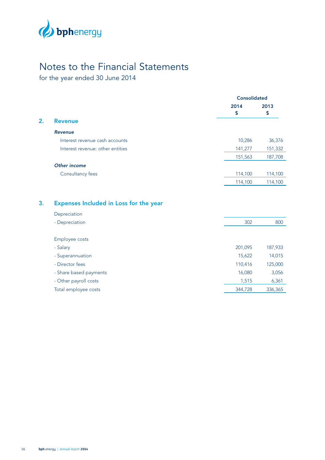

for the year ended 30 June 2014

|    |                                  | Consolidated |         |
|----|----------------------------------|--------------|---------|
|    |                                  | 2014         | 2013    |
|    |                                  | \$           | \$      |
| 2. | <b>Revenue</b>                   |              |         |
|    | <b>Revenue</b>                   |              |         |
|    | Interest revenue cash accounts   | 10,286       | 36,376  |
|    | Interest revenue: other entities | 141,277      | 151,332 |
|    |                                  | 151,563      | 187,708 |
|    | Other income                     |              |         |
|    | Consultancy fees                 | 114,100      | 114,100 |
|    |                                  | 114,100      | 114,100 |

## 3. Expenses Included in Loss for the year

| Depreciation           |         |         |
|------------------------|---------|---------|
| - Depreciation         | 302     | 800     |
|                        |         |         |
| Employee costs         |         |         |
| - Salary               | 201,095 | 187,933 |
| - Superannuation       | 15,622  | 14,015  |
| - Director fees        | 110,416 | 125,000 |
| - Share based payments | 16,080  | 3,056   |
| - Other payroll costs  | 1,515   | 6,361   |
| Total employee costs   | 344,728 | 336,365 |
|                        |         |         |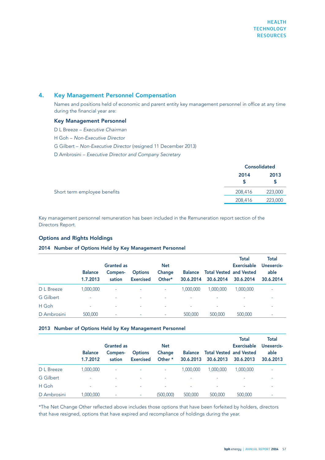## 4. Key Management Personnel Compensation

Names and positions held of economic and parent entity key management personnel in office at any time during the financial year are:

#### Key Management Personnel

D L Breeze – *Executive Chairman*

H Goh – *Non-Executive Director*

G Gilbert – *Non-Executive Director* (resigned 11 December 2013)

D Ambrosini – *Executive Director and Company Secretary* 

|                              |         | <b>Consolidated</b> |
|------------------------------|---------|---------------------|
|                              | 2014    | 2013                |
| Short term employee benefits | 208,416 | 223,000             |
|                              | 208,416 | 223,000             |

Key management personnel remuneration has been included in the Remuneration report section of the Directors Report.

## Options and Rights Holdings

### 2014 Number of Options Held by Key Management Personnel

|                  | <b>Balance</b><br>1.7.2013 | <b>Granted as</b><br>Compen-<br>sation | <b>Options</b><br><b>Exercised</b> | <b>Net</b><br>Change<br>Other* | <b>Balance</b><br>30.6.2014 | <b>Total Vested and Vested</b><br>30.6.2014 | Total<br><b>Exercisable</b><br>30.6.2014 | <b>Total</b><br>Unexercis-<br>able<br>30.6.2014 |
|------------------|----------------------------|----------------------------------------|------------------------------------|--------------------------------|-----------------------------|---------------------------------------------|------------------------------------------|-------------------------------------------------|
| D L Breeze       | 1,000,000                  | ٠                                      |                                    | -                              | 1.000.000                   | 1.000.000                                   | 000,000,1                                | $\overline{\phantom{a}}$                        |
| <b>G</b> Gilbert | ٠                          | ۰                                      |                                    | ۰                              |                             |                                             |                                          | $\overline{\phantom{a}}$                        |
| H Goh            | <b>1</b>                   | ۰                                      |                                    | ۰                              |                             |                                             |                                          | $\overline{\phantom{a}}$                        |
| D Ambrosini      | 500,000                    | ۰                                      |                                    | $\sim$                         | 500,000                     | 500,000                                     | 500,000                                  | $\overline{\phantom{a}}$                        |

#### 2013 Number of Options Held by Key Management Personnel

|                  | <b>Balance</b><br>1.7.2012 | <b>Granted</b> as<br>Compen-<br>sation | <b>Options</b><br><b>Exercised</b> | <b>Net</b><br>Change<br>Other * | <b>Balance</b><br>30.6.2013 | <b>Total Vested and Vested</b><br>30.6.2013 | <b>Total</b><br><b>Exercisable</b><br>30.6.2013 | Total<br>Unexercis-<br>able<br>30.6.2013 |
|------------------|----------------------------|----------------------------------------|------------------------------------|---------------------------------|-----------------------------|---------------------------------------------|-------------------------------------------------|------------------------------------------|
| D L Breeze       | 1,000,000                  | $\overline{\phantom{a}}$               |                                    | ٠                               | 1.000.000                   | $000.000$ .                                 | 1,000,000                                       | ۰                                        |
| <b>G</b> Gilbert |                            | ۰                                      |                                    | ۰                               |                             |                                             |                                                 | ۰                                        |
| H Goh            | ۰                          | ۰                                      |                                    | ۰                               |                             |                                             |                                                 | ۰                                        |
| D Ambrosini      | 1,000,000                  | $\sim$                                 |                                    | (500,000)                       | 500,000                     | 500,000                                     | 500,000                                         | $\overline{\phantom{0}}$                 |

\*The Net Change Other reflected above includes those options that have been forfeited by holders, directors that have resigned, options that have expired and recompliance of holdings during the year.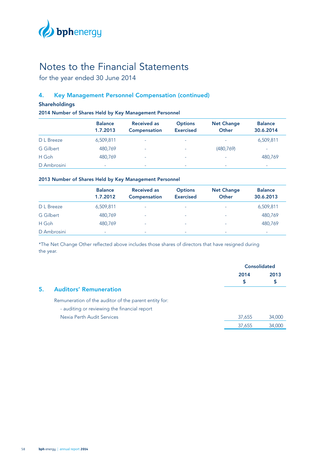

for the year ended 30 June 2014

## 4. Key Management Personnel Compensation (continued)

### Shareholdings

2014 Number of Shares Held by Key Management Personnel

|                  | <b>Balance</b> | <b>Received as</b>       |                          | <b>Net Change</b>        | <b>Balance</b> |  |
|------------------|----------------|--------------------------|--------------------------|--------------------------|----------------|--|
|                  | 1.7.2013       | <b>Compensation</b>      | <b>Exercised</b>         | Other                    | 30.6.2014      |  |
| D L Breeze       | 6,509,811      | $\overline{\phantom{a}}$ | $\overline{\phantom{a}}$ |                          | 6,509,811      |  |
| <b>G</b> Gilbert | 480,769        | $\sim$                   | $\qquad \qquad$          | (480, 769)               |                |  |
| H Goh            | 480,769        | $\overline{\phantom{a}}$ | $\overline{\phantom{a}}$ |                          | 480,769        |  |
| D Ambrosini      | -              | $\overline{\phantom{a}}$ | ۰                        | $\overline{\phantom{a}}$ | -              |  |

#### 2013 Number of Shares Held by Key Management Personnel

|             | <b>Balance</b><br>1.7.2012 | <b>Received as</b><br>Compensation | <b>Options</b><br><b>Exercised</b> | <b>Net Change</b><br>Other | <b>Balance</b><br>30.6.2013 |
|-------------|----------------------------|------------------------------------|------------------------------------|----------------------------|-----------------------------|
| D L Breeze  | 6,509,811                  | ۰                                  | ۰                                  |                            | 6,509,811                   |
| G Gilbert   | 480,769                    | $\overline{\phantom{0}}$           | $\overline{\phantom{m}}$           | $\overline{\phantom{0}}$   | 480,769                     |
| H Goh       | 480.769                    | $\overline{\phantom{a}}$           | $\overline{\phantom{m}}$           | $\overline{\phantom{0}}$   | 480,769                     |
| D Ambrosini | ۰                          | ۰                                  | ۰                                  | ۰                          | -                           |

\*The Net Change Other reflected above includes those shares of directors that have resigned during the year.

|    |                                                       | Consolidated |        |
|----|-------------------------------------------------------|--------------|--------|
|    |                                                       | 2014<br>S    | 2013   |
| 5. | <b>Auditors' Remuneration</b>                         |              |        |
|    | Remuneration of the auditor of the parent entity for: |              |        |
|    | - auditing or reviewing the financial report          |              |        |
|    | Nexia Perth Audit Services                            | 37,655       | 34,000 |
|    |                                                       | 37,655       | 34,000 |
|    |                                                       |              |        |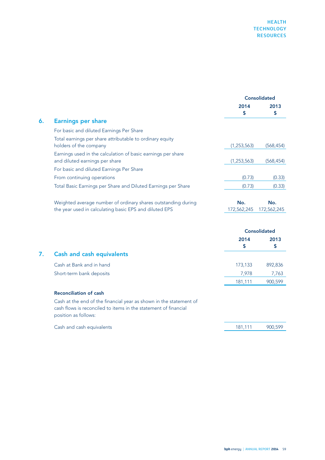|    |                                                                                                                         | <b>Consolidated</b> |                    |
|----|-------------------------------------------------------------------------------------------------------------------------|---------------------|--------------------|
|    |                                                                                                                         | 2014<br>\$          | 2013<br>\$         |
| 6. | <b>Earnings per share</b>                                                                                               |                     |                    |
|    | For basic and diluted Earnings Per Share                                                                                |                     |                    |
|    | Total earnings per share attributable to ordinary equity<br>holders of the company                                      | (1,253,563)         | (568,454)          |
|    | Earnings used in the calculation of basic earnings per share<br>and diluted earnings per share                          | (1,253,563)         | (568,454)          |
|    | For basic and diluted Earnings Per Share                                                                                |                     |                    |
|    | From continuing operations                                                                                              | (0.73)              | (0.33)             |
|    | Total Basic Earnings per Share and Diluted Earnings per Share                                                           | (0.73)              | (0.33)             |
|    | Weighted average number of ordinary shares outstanding during<br>the year used in calculating basic EPS and diluted EPS | No.<br>172,562,245  | No.<br>172,562,245 |

|    |                                  | Consolidated |            |  |
|----|----------------------------------|--------------|------------|--|
|    |                                  | 2014<br>\$   | 2013<br>\$ |  |
| 7. | <b>Cash and cash equivalents</b> |              |            |  |
|    | Cash at Bank and in hand         | 173,133      | 892,836    |  |
|    | Short-term bank deposits         | 7,978        | 7,763      |  |
|    |                                  | 181,111      | 900,599    |  |
|    | <b>Reconciliation of cash</b>    |              |            |  |

Cash at the end of the financial year as shown in the statement of cash flows is reconciled to items in the statement of financial position as follows:

| Cash and cash equivalents | 181.111 | 900.599 |
|---------------------------|---------|---------|
|                           |         |         |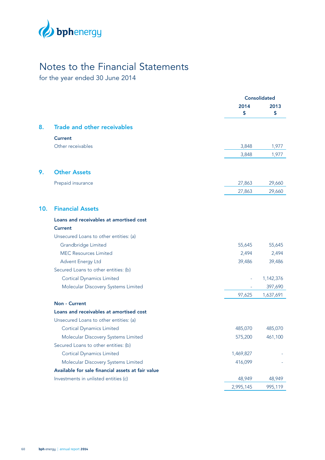

for the year ended 30 June 2014

|     |                                                   |            | <b>Consolidated</b> |
|-----|---------------------------------------------------|------------|---------------------|
|     |                                                   | 2014<br>\$ | 2013<br>\$          |
|     | <b>Trade and other receivables</b>                |            |                     |
| 8.  |                                                   |            |                     |
|     | <b>Current</b>                                    |            |                     |
|     | Other receivables                                 | 3,848      | 1,977               |
|     |                                                   | 3,848      | 1,977               |
| 9.  | <b>Other Assets</b>                               |            |                     |
|     | Prepaid insurance                                 | 27,863     | 29,660              |
|     |                                                   | 27,863     | 29,660              |
| 10. | <b>Financial Assets</b>                           |            |                     |
|     | Loans and receivables at amortised cost           |            |                     |
|     | <b>Current</b>                                    |            |                     |
|     | Unsecured Loans to other entities: (a)            |            |                     |
|     | Grandbridge Limited                               | 55,645     | 55,645              |
|     | <b>MEC Resources Limited</b>                      | 2,494      | 2,494               |
|     | Advent Energy Ltd                                 | 39,486     | 39,486              |
|     | Secured Loans to other entities: (b)              |            |                     |
|     | <b>Cortical Dynamics Limited</b>                  |            | 1,142,376           |
|     | Molecular Discovery Systems Limited               |            | 397,690             |
|     |                                                   | 97,625     | 1,637,691           |
|     | <b>Non - Current</b>                              |            |                     |
|     | Loans and receivables at amortised cost           |            |                     |
|     | Unsecured Loans to other entities: (a)            |            |                     |
|     | <b>Cortical Dynamics Limited</b>                  | 485,070    | 485,070             |
|     | Molecular Discovery Systems Limited               | 575,200    | 461,100             |
|     | Secured Loans to other entities: (b)              |            |                     |
|     | <b>Cortical Dynamics Limited</b>                  | 1,469,827  |                     |
|     | Molecular Discovery Systems Limited               | 416,099    |                     |
|     | Available for sale financial assets at fair value |            |                     |
|     | Investments in unlisted entities (c)              | 48,949     | 48,949              |
|     |                                                   | 2,995,145  | 995,119             |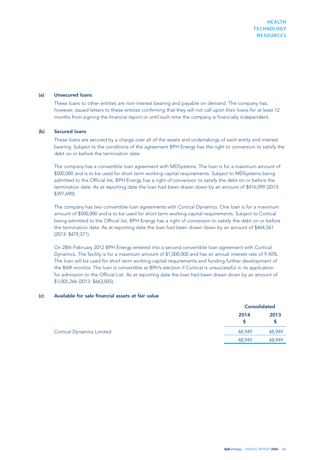#### (a) Unsecured loans

These loans to other entities are non-interest bearing and payable on demand. The company has, however, issued letters to these entities confirming that they will not call upon their loans for at least 12 months from signing the financial report or until such time the company is financially independent.

#### (b) Secured loans

These loans are secured by a charge over all of the assets and undertakings of each entity and interest bearing. Subject to the conditions of the agreement BPH Energy has the right to conversion to satisfy the debt on or before the termination date.

The company has a convertible loan agreement with MDSystems. The loan is for a maximum amount of \$500,000 and is to be used for short term working capital requirements. Subject to MDSystems being admitted to the Official list, BPH Energy has a right of conversion to satisfy the debt on or before the termination date. As at reporting date the loan had been drawn down by an amount of \$416,099 (2013: \$397,690).

The company has two convertible loan agreements with Cortical Dynamics. One loan is for a maximum amount of \$500,000 and is to be used for short term working capital requirements. Subject to Cortical being admitted to the Official list, BPH Energy has a right of conversion to satisfy the debt on or before the termination date. As at reporting date the loan had been drawn down by an amount of \$464,561 (2013: \$479,371).

On 28th February 2012 BPH Energy entered into a second convertible loan agreement with Cortical Dynamics. The facility is for a maximum amount of \$1,000,000 and has an annual interest rate of 9.40%. The loan will be used for short term working capital requirements and funding further development of the BAR monitor. The loan is convertible at BPH's election if Cortical is unsuccessful in its application for admission to the Official List. As at reporting date the loan had been drawn down by an amount of \$1,005,266 (2013: \$663,005).

#### (c) Available for sale financial assets at fair value

|                                  |        | <b>Consolidated</b> |
|----------------------------------|--------|---------------------|
|                                  | 2014   | 2013                |
|                                  | s      |                     |
| <b>Cortical Dynamics Limited</b> | 48.949 | 48,949              |
|                                  | 48,949 | 48,949              |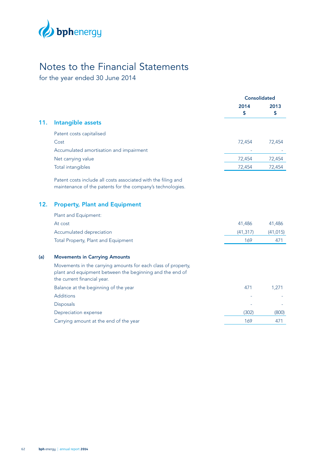

for the year ended 30 June 2014

|     |                                                                                                                                                          | <b>Consolidated</b> |            |
|-----|----------------------------------------------------------------------------------------------------------------------------------------------------------|---------------------|------------|
|     |                                                                                                                                                          | 2014<br>\$          | 2013<br>\$ |
| 11. | Intangible assets                                                                                                                                        |                     |            |
|     | Patent costs capitalised                                                                                                                                 |                     |            |
|     | Cost                                                                                                                                                     | 72,454              | 72,454     |
|     | Accumulated amortisation and impairment                                                                                                                  |                     |            |
|     | Net carrying value                                                                                                                                       | 72,454              | 72,454     |
|     | Total intangibles                                                                                                                                        | 72,454              | 72,454     |
|     | Patent costs include all costs associated with the filing and<br>maintenance of the patents for the company's technologies.                              |                     |            |
| 12. | <b>Property, Plant and Equipment</b>                                                                                                                     |                     |            |
|     | Plant and Equipment:                                                                                                                                     |                     |            |
|     | At cost                                                                                                                                                  | 41,486              | 41,486     |
|     | Accumulated depreciation                                                                                                                                 | (41, 317)           | (41, 015)  |
|     | Total Property, Plant and Equipment                                                                                                                      | 169                 | 471        |
| (a) | <b>Movements in Carrying Amounts</b>                                                                                                                     |                     |            |
|     | Movements in the carrying amounts for each class of property,<br>plant and equipment between the beginning and the end of<br>the current financial year. |                     |            |
|     | Balance at the beginning of the year                                                                                                                     | 471                 | 1,271      |
|     | <b>Additions</b>                                                                                                                                         |                     |            |
|     | Disposals                                                                                                                                                |                     |            |
|     | Depreciation expense                                                                                                                                     | (302)               | (800)      |
|     | Carrying amount at the end of the year                                                                                                                   | 169                 | 471        |
|     |                                                                                                                                                          |                     |            |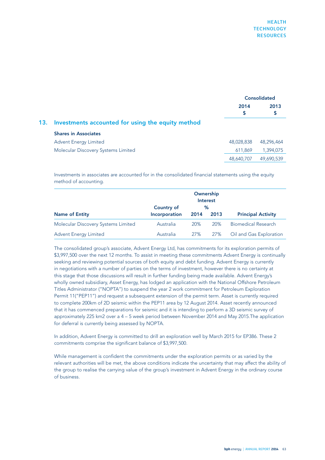|     |                                                   | Consolidated |            |  |
|-----|---------------------------------------------------|--------------|------------|--|
|     |                                                   | 2014<br>\$   | 2013<br>\$ |  |
| 13. | Investments accounted for using the equity method |              |            |  |
|     | <b>Shares in Associates</b>                       |              |            |  |
|     | <b>Advent Energy Limited</b>                      | 48,028,838   | 48,296,464 |  |
|     | Molecular Discovery Systems Limited               | 611,869      | 1,394,075  |  |
|     |                                                   | 48,640,707   | 49,690,539 |  |
|     |                                                   |              |            |  |

Investments in associates are accounted for in the consolidated financial statements using the equity method of accounting.

|                                     |               |      | Ownership<br>Interest |                            |
|-------------------------------------|---------------|------|-----------------------|----------------------------|
|                                     | Country of    |      | ℅                     |                            |
| <b>Name of Entity</b>               | Incorporation | 2014 | 2013                  | <b>Principal Activity</b>  |
| Molecular Discovery Systems Limited | Australia     | 20%  | 20%                   | <b>Biomedical Research</b> |
| <b>Advent Energy Limited</b>        | Australia     | 27%  | 27%                   | Oil and Gas Exploration    |

The consolidated group's associate, Advent Energy Ltd, has commitments for its exploration permits of \$3,997,500 over the next 12 months. To assist in meeting these commitments Advent Energy is continually seeking and reviewing potential sources of both equity and debt funding. Advent Energy is currently in negotiations with a number of parties on the terms of investment, however there is no certainty at this stage that those discussions will result in further funding being made available. Advent Energy's wholly owned subsidiary, Asset Energy, has lodged an application with the National Offshore Petroleum Titles Administrator ("NOPTA") to suspend the year 2 work commitment for Petroleum Exploration Permit 11("PEP11") and request a subsequent extension of the permit term. Asset is currently required to complete 200km of 2D seismic within the PEP11 area by 12 August 2014. Asset recently announced that it has commenced preparations for seismic and it is intending to perform a 3D seismic survey of approximately 225 km2 over a 4 – 5 week period between November 2014 and May 2015.The application for deferral is currently being assessed by NOPTA.

In addition, Advent Energy is committed to drill an exploration well by March 2015 for EP386. These 2 commitments comprise the significant balance of \$3,997,500.

While management is confident the commitments under the exploration permits or as varied by the relevant authorities will be met, the above conditions indicate the uncertainty that may affect the ability of the group to realise the carrying value of the group's investment in Advent Energy in the ordinary course of business.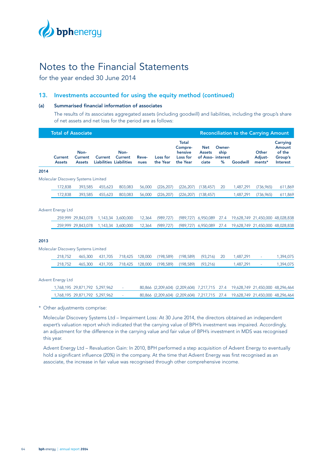

for the year ended 30 June 2014

### 13. Investments accounted for using the equity method (continued)

#### (a) Summarised financial information of associates

The results of its associates aggregated assets (including goodwill) and liabilities, including the group's share of net assets and net loss for the period are as follows:

|      | <b>Total of Associate</b>       |                                         |                                           |                    |               |                      |                                                                                |                                                          |                     |           | <b>Reconciliation to the Carrying Amount</b> |                                                     |
|------|---------------------------------|-----------------------------------------|-------------------------------------------|--------------------|---------------|----------------------|--------------------------------------------------------------------------------|----------------------------------------------------------|---------------------|-----------|----------------------------------------------|-----------------------------------------------------|
|      | <b>Current</b><br><b>Assets</b> | Non-<br><b>Current</b><br><b>Assets</b> | Current<br><b>Liabilities Liabilities</b> | Non-<br>Current    | Reve-<br>nues | Loss for<br>the Year | <b>Total</b><br>Compre-<br>hensive<br>Loss for<br>the Year                     | <b>Net</b><br><b>Assets</b><br>of Asso-interest<br>ciate | Owner-<br>ship<br>% | Goodwill  | Other<br>Adjust-<br>ments*                   | Carrying<br>Amount<br>of the<br>Group's<br>Interest |
| 2014 |                                 |                                         |                                           |                    |               |                      |                                                                                |                                                          |                     |           |                                              |                                                     |
|      |                                 | Molecular Discovery Systems Limited     |                                           |                    |               |                      |                                                                                |                                                          |                     |           |                                              |                                                     |
|      | 172,838                         | 393,585                                 | 455,623                                   | 803,083            | 56,000        | (226, 207)           | (226, 207)                                                                     | (138, 457)                                               | 20                  | 1,487,291 | (736, 965)                                   | 611,869                                             |
|      | 172,838                         | 393,585                                 | 455,623                                   | 803,083            | 56,000        | (226, 207)           | (226, 207)                                                                     | (138, 457)                                               |                     | 1,487,291 | (736, 965)                                   | 611,869                                             |
|      | Advent Energy Ltd               |                                         |                                           |                    |               |                      |                                                                                |                                                          |                     |           |                                              |                                                     |
|      |                                 | 259,999 29,843,078                      |                                           | 1,143,34 3,600,000 | 12,364        | (989, 727)           |                                                                                | (989,727) 6,950,089                                      | 27.4                |           | 19,628,749 21,450,000 48,028,838             |                                                     |
|      |                                 | 259,999 29,843,078                      |                                           | 1,143,34 3,600,000 | 12,364        | (989, 727)           | (989, 727)                                                                     | 6,950,089                                                | 27.4                |           | 19,628,749 21,450,000 48,028,838             |                                                     |
| 2013 |                                 |                                         |                                           |                    |               |                      |                                                                                |                                                          |                     |           |                                              |                                                     |
|      |                                 | Molecular Discovery Systems Limited     |                                           |                    |               |                      |                                                                                |                                                          |                     |           |                                              |                                                     |
|      | 218,752                         | 465,300                                 | 431,705                                   | 718,425            | 128,000       | (198, 589)           | (198, 589)                                                                     | (93, 216)                                                | 20                  | 1,487,291 |                                              | 1,394,075                                           |
|      | 218,752                         | 465,300                                 | 431,705                                   | 718,425            | 128,000       | (198, 589)           | (198, 589)                                                                     | (93, 216)                                                |                     | 1,487,291 |                                              | 1,394,075                                           |
|      | <b>Advent Energy Ltd</b>        |                                         |                                           |                    |               |                      |                                                                                |                                                          |                     |           |                                              |                                                     |
|      |                                 | 1,768,195 29,871,792 5,297,962          |                                           |                    |               |                      | 80,866 (2,209,604) (2,209,604) 7,217,715                                       |                                                          | 27.4                |           | 19,628,749 21,450,000 48,296,464             |                                                     |
|      |                                 | 1,768,195 29,871,792 5,297,962          |                                           |                    |               |                      | 80,866 (2,209,604) (2,209,604) 7,217,715 27.4 19,628,749 21,450,000 48,296,464 |                                                          |                     |           |                                              |                                                     |

\* Other adjustments comprise:

Molecular Discovery Systems Ltd – Impairment Loss: At 30 June 2014, the directors obtained an independent expert's valuation report which indicated that the carrying value of BPH's investment was impaired. Accordingly, an adjustment for the difference in the carrying value and fair value of BPH's investment in MDS was recognised this year.

Advent Energy Ltd – Revaluation Gain: In 2010, BPH performed a step acquisition of Advent Energy to eventually hold a significant influence (20%) in the company. At the time that Advent Energy was first recognised as an associate, the increase in fair value was recognised through other comprehensive income.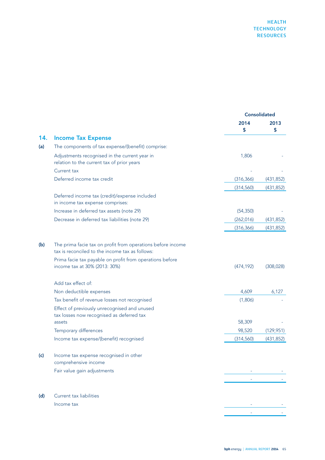|     |                                                                                                                |                          | <b>Consolidated</b>      |
|-----|----------------------------------------------------------------------------------------------------------------|--------------------------|--------------------------|
|     |                                                                                                                | 2014<br>\$               | 2013<br>\$               |
| 14. | <b>Income Tax Expense</b>                                                                                      |                          |                          |
| (a) | The components of tax expense/(benefit) comprise:                                                              |                          |                          |
|     | Adjustments recognised in the current year in<br>relation to the current tax of prior years                    | 1,806                    |                          |
|     | Current tax                                                                                                    |                          |                          |
|     | Deferred income tax credit                                                                                     | (316, 366)<br>(314, 560) | (431, 852)<br>(431, 852) |
|     | Deferred income tax (credit)/expense included<br>in income tax expense comprises:                              |                          |                          |
|     | Increase in deferred tax assets (note 29)                                                                      | (54, 350)                |                          |
|     | Decrease in deferred tax liabilities (note 29)                                                                 | (262, 016)               | (431, 852)               |
|     |                                                                                                                | (316, 366)               | (431, 852)               |
| (b) | The prima facie tax on profit from operations before income<br>tax is reconciled to the income tax as follows: |                          |                          |
|     | Prima facie tax payable on profit from operations before<br>income tax at 30% (2013: 30%)                      | (474, 192)               | (308, 028)               |
|     | Add tax effect of:                                                                                             |                          |                          |
|     | Non deductible expenses                                                                                        | 4,609                    | 6,127                    |
|     | Tax benefit of revenue losses not recognised                                                                   | (1,806)                  |                          |
|     | Effect of previously unrecognised and unused                                                                   |                          |                          |
|     | tax losses now recognised as deferred tax                                                                      |                          |                          |
|     | assets                                                                                                         | 58,309                   |                          |
|     | Temporary differences<br>Income tax expense/(benefit) recognised                                               | 98,520<br>(314, 560)     | (129, 951)<br>(431, 852) |
| (c) | Income tax expense recognised in other                                                                         |                          |                          |
|     | comprehensive income                                                                                           |                          |                          |
|     | Fair value gain adjustments                                                                                    |                          |                          |
|     |                                                                                                                |                          |                          |
| (d) | Current tax liabilities                                                                                        |                          |                          |
|     | Income tax                                                                                                     |                          |                          |
|     |                                                                                                                |                          |                          |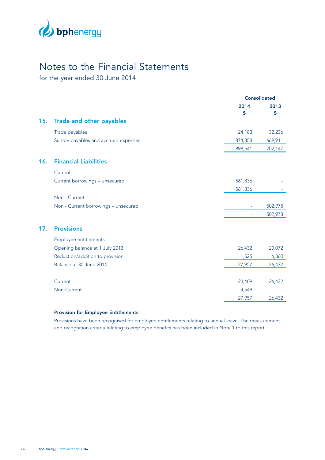

for the year ended 30 June 2014

|     |                                      |            | <b>Consolidated</b> |
|-----|--------------------------------------|------------|---------------------|
|     |                                      | 2014<br>\$ | 2013<br>\$          |
| 15. | <b>Trade and other payables</b>      |            |                     |
|     | Trade payables                       | 24,183     | 32,236              |
|     | Sundry payables and accrued expenses | 874,358    | 669,911             |
|     |                                      | 898,541    | 702,147             |
| 16. | <b>Financial Liabilities</b>         |            |                     |
|     | Current                              |            |                     |
|     | Current borrowings - unsecured       | 561,836    |                     |
|     |                                      | 561,836    |                     |
|     | Non - Current                        |            |                     |
|     | Non - Current borrowings - unsecured |            | 502,978             |
|     |                                      |            | 502,978             |
| 17. | <b>Provisions</b>                    |            |                     |
|     | Employee entitlements:               |            |                     |
|     | Opening balance at 1 July 2013       | 26,432     | 20,072              |
|     | Reduction/addition to provision      | 1,525      | 6,360               |
|     | Balance at 30 June 2014              | 27,957     | 26,432              |
|     | Current                              | 23,409     | 26,432              |
|     | Non-Current                          | 4,548      |                     |
|     |                                      | 27,957     | 26,432              |

### Provision for Employee Entitlements

Provisions have been recognised for employee entitlements relating to annual leave. The measurement and recognition criteria relating to employee benefits has been included in Note 1 to this report.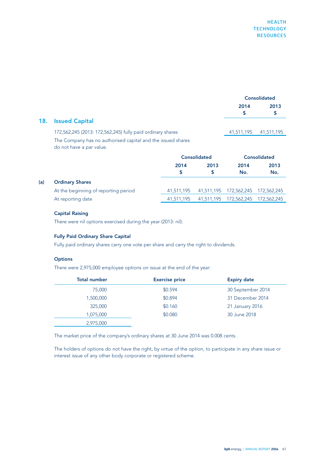|     |                                                                                         |            |              | Consolidated                       |             |
|-----|-----------------------------------------------------------------------------------------|------------|--------------|------------------------------------|-------------|
|     |                                                                                         |            |              | 2014<br>\$                         | 2013<br>\$  |
| 18. | <b>Issued Capital</b>                                                                   |            |              |                                    |             |
|     | 172,562,245 (2013: 172,562,245) fully paid ordinary shares                              |            |              | 41,511,195                         | 41,511,195  |
|     | The Company has no authorised capital and the issued shares<br>do not have a par value. |            |              |                                    |             |
|     |                                                                                         |            | Consolidated | <b>Consolidated</b>                |             |
|     |                                                                                         | 2014       | 2013         | 2014                               | 2013        |
|     |                                                                                         | \$         | \$           | No.                                | No.         |
| (a) | <b>Ordinary Shares</b>                                                                  |            |              |                                    |             |
|     | At the beginning of reporting period                                                    | 41,511,195 | 41,511,195   | 172,562,245                        | 172,562,245 |
|     | At reporting date                                                                       | 41.511.195 |              | 41,511,195 172,562,245 172,562,245 |             |

#### Capital Raising

There were nil options exercised during the year (2013: nil).

### Fully Paid Ordinary Share Capital

Fully paid ordinary shares carry one vote per share and carry the right to dividends.

#### **Options**

There were 2,975,000 employee options on issue at the end of the year:

| <b>Total number</b> | <b>Exercise price</b> | <b>Expiry date</b> |
|---------------------|-----------------------|--------------------|
| 75,000              | \$0.594               | 30 September 2014  |
| 1,500,000           | \$0.894               | 31 December 2014   |
| 325,000             | \$0.160               | 21 January 2016    |
| 1,075,000           | \$0.080               | 30 June 2018       |
| 2,975,000           |                       |                    |

The market price of the company's ordinary shares at 30 June 2014 was 0.008 cents.

The holders of options do not have the right, by virtue of the option, to participate in any share issue or interest issue of any other body corporate or registered scheme.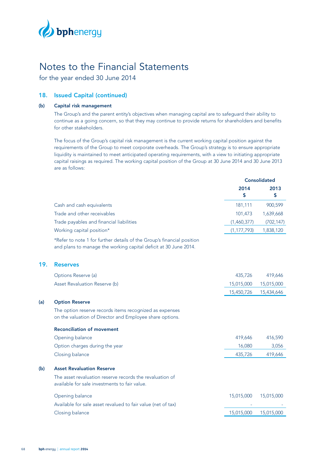

for the year ended 30 June 2014

## 18. Issued Capital (continued)

### (b) Capital risk management

The Group's and the parent entity's objectives when managing capital are to safeguard their ability to continue as a going concern, so that they may continue to provide returns for shareholders and benefits for other stakeholders.

The focus of the Group's capital risk management is the current working capital position against the requirements of the Group to meet corporate overheads. The Group's strategy is to ensure appropriate liquidity is maintained to meet anticipated operating requirements, with a view to initiating appropriate capital raisings as required. The working capital position of the Group at 30 June 2014 and 30 June 2013 are as follows:

| 2014<br>2013<br>\$<br>\$<br>900,599<br>181,111<br>Cash and cash equivalents<br>Trade and other receivables<br>101,473<br>1,639,668<br>Trade payables and financial liabilities<br>(1,460,377)<br>Working capital position*<br>(1, 177, 793)<br>1,838,120<br>*Refer to note 1 for further details of the Group's financial position<br>and plans to manage the working capital deficit at 30 June 2014.<br>19.<br><b>Reserves</b><br>Options Reserve (a)<br>435,726<br>419,646 |  | <b>Consolidated</b> |  |
|-------------------------------------------------------------------------------------------------------------------------------------------------------------------------------------------------------------------------------------------------------------------------------------------------------------------------------------------------------------------------------------------------------------------------------------------------------------------------------|--|---------------------|--|
|                                                                                                                                                                                                                                                                                                                                                                                                                                                                               |  |                     |  |
|                                                                                                                                                                                                                                                                                                                                                                                                                                                                               |  |                     |  |
|                                                                                                                                                                                                                                                                                                                                                                                                                                                                               |  |                     |  |
|                                                                                                                                                                                                                                                                                                                                                                                                                                                                               |  | (702, 147)          |  |
|                                                                                                                                                                                                                                                                                                                                                                                                                                                                               |  |                     |  |
|                                                                                                                                                                                                                                                                                                                                                                                                                                                                               |  |                     |  |
|                                                                                                                                                                                                                                                                                                                                                                                                                                                                               |  |                     |  |
|                                                                                                                                                                                                                                                                                                                                                                                                                                                                               |  |                     |  |
| Asset Revaluation Reserve (b)<br>15,015,000<br>15,015,000                                                                                                                                                                                                                                                                                                                                                                                                                     |  |                     |  |
| 15,450,726<br>15,434,646                                                                                                                                                                                                                                                                                                                                                                                                                                                      |  |                     |  |
| (a)<br><b>Option Reserve</b>                                                                                                                                                                                                                                                                                                                                                                                                                                                  |  |                     |  |
| The option reserve records items recognized as expenses<br>on the valuation of Director and Employee share options.                                                                                                                                                                                                                                                                                                                                                           |  |                     |  |
| <b>Reconciliation of movement</b>                                                                                                                                                                                                                                                                                                                                                                                                                                             |  |                     |  |
| Opening balance<br>419,646<br>416,590                                                                                                                                                                                                                                                                                                                                                                                                                                         |  |                     |  |
| Option charges during the year<br>16,080<br>3,056                                                                                                                                                                                                                                                                                                                                                                                                                             |  |                     |  |
| Closing balance<br>435,726<br>419,646                                                                                                                                                                                                                                                                                                                                                                                                                                         |  |                     |  |
| <b>Asset Revaluation Reserve</b><br>(b)                                                                                                                                                                                                                                                                                                                                                                                                                                       |  |                     |  |
| The asset revaluation reserve records the revaluation of<br>available for sale investments to fair value.                                                                                                                                                                                                                                                                                                                                                                     |  |                     |  |
| Opening balance<br>15,015,000<br>15,015,000                                                                                                                                                                                                                                                                                                                                                                                                                                   |  |                     |  |
| Available for sale asset revalued to fair value (net of tax)                                                                                                                                                                                                                                                                                                                                                                                                                  |  |                     |  |
| 15,015,000<br>Closing balance<br>15,015,000                                                                                                                                                                                                                                                                                                                                                                                                                                   |  |                     |  |

 $(a)$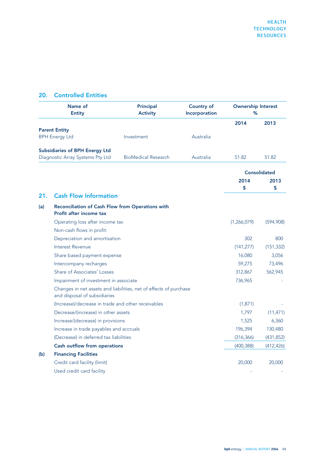## 20. Controlled Entities

|     | Name of<br><b>Entity</b>                           | <b>Principal</b><br><b>Activity</b>                               | Country of<br>Incorporation | <b>Ownership Interest</b><br>% |                     |
|-----|----------------------------------------------------|-------------------------------------------------------------------|-----------------------------|--------------------------------|---------------------|
|     |                                                    |                                                                   |                             | 2014                           | 2013                |
|     | <b>Parent Entity</b>                               |                                                                   |                             |                                |                     |
|     | <b>BPH Energy Ltd</b>                              | Investment                                                        | Australia                   |                                |                     |
|     | <b>Subsidiaries of BPH Energy Ltd</b>              |                                                                   |                             |                                |                     |
|     | Diagnostic Array Systems Pty Ltd                   | <b>BioMedical Research</b>                                        | Australia                   | 51.82                          | 51.82               |
|     |                                                    |                                                                   |                             |                                |                     |
|     |                                                    |                                                                   |                             |                                | <b>Consolidated</b> |
|     |                                                    |                                                                   |                             | 2014<br>\$                     | 2013<br>\$          |
| 21. | <b>Cash Flow Information</b>                       |                                                                   |                             |                                |                     |
| (a) | Reconciliation of Cash Flow from Operations with   |                                                                   |                             |                                |                     |
|     | Profit after income tax                            |                                                                   |                             |                                |                     |
|     | Operating loss after income tax                    |                                                                   |                             | (1,266,079)                    | (594,908)           |
|     | Non-cash flows in profit:                          |                                                                   |                             |                                |                     |
|     | Depreciation and amortisation                      |                                                                   |                             | 302                            | 800                 |
|     | Interest Revenue                                   |                                                                   |                             | (141, 277)                     | (151, 332)          |
|     | Share based payment expense                        |                                                                   |                             | 16,080                         | 3,056               |
|     | Intercompany recharges                             |                                                                   |                             | 59,275                         | 73,496              |
|     | Share of Associates' Losses                        |                                                                   |                             | 312,867                        | 562,945             |
|     | Impairment of investment in associate              |                                                                   |                             | 736,965                        |                     |
|     | and disposal of subsidiaries                       | Changes in net assets and liabilities, net of effects of purchase |                             |                                |                     |
|     | (Increase)/decrease in trade and other receivables |                                                                   |                             | (1,871)                        |                     |
|     | Decrease/(increase) in other assets                |                                                                   |                             | 1,797                          | (11, 471)           |
|     | Increase/(decrease) in provisions                  |                                                                   |                             | 1,525                          | 6,360               |
|     | Increase in trade payables and accruals            |                                                                   |                             | 196,394                        | 130,480             |
|     | (Decrease) in deferred tax liabilities             |                                                                   |                             | (316, 366)                     | (431, 852)          |
|     | Cash outflow from operations                       |                                                                   |                             | (400, 388)                     | (412, 426)          |
| (b) | <b>Financing Facilities</b>                        |                                                                   |                             |                                |                     |
|     | Credit card facility (limit)                       |                                                                   |                             | 20,000                         | 20,000              |
|     | Used credit card facility                          |                                                                   |                             |                                |                     |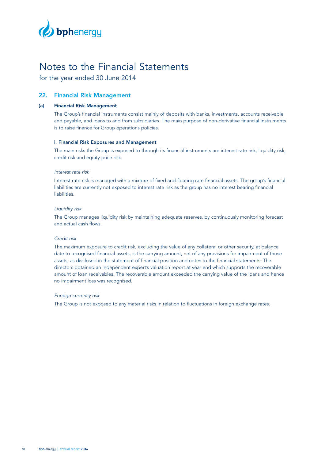

for the year ended 30 June 2014

### 22. Financial Risk Management

#### (a) Financial Risk Management

The Group's financial instruments consist mainly of deposits with banks, investments, accounts receivable and payable, and loans to and from subsidiaries. The main purpose of non-derivative financial instruments is to raise finance for Group operations policies.

#### i. Financial Risk Exposures and Management

The main risks the Group is exposed to through its financial instruments are interest rate risk, liquidity risk, credit risk and equity price risk.

#### *Interest rate risk*

Interest rate risk is managed with a mixture of fixed and floating rate financial assets. The group's financial liabilities are currently not exposed to interest rate risk as the group has no interest bearing financial liabilities.

#### *Liquidity risk*

The Group manages liquidity risk by maintaining adequate reserves, by continuously monitoring forecast and actual cash flows.

#### *Credit risk*

The maximum exposure to credit risk, excluding the value of any collateral or other security, at balance date to recognised financial assets, is the carrying amount, net of any provisions for impairment of those assets, as disclosed in the statement of financial position and notes to the financial statements. The directors obtained an independent expert's valuation report at year end which supports the recoverable amount of loan receivables. The recoverable amount exceeded the carrying value of the loans and hence no impairment loss was recognised.

#### *Foreign currency risk*

The Group is not exposed to any material risks in relation to fluctuations in foreign exchange rates.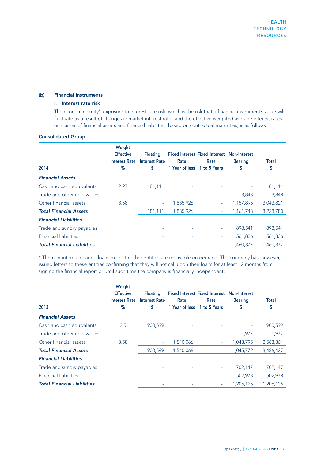### (b) Financial Instruments

## i. Interest rate risk

The economic entity's exposure to interest rate risk, which is the risk that a financial instrument's value will fluctuate as a result of changes in market interest rates and the effective weighted average interest rates on classes of financial assets and financial liabilities, based on contractual maturities, is as follows:

## Consolidated Group

| 2014                               | Weight<br><b>Effective</b><br><b>Interest Rate</b><br>% | <b>Floating</b><br><b>Interest Rate</b><br>\$ | Rate<br>1 Year of less 1 to 5 Years | <b>Fixed Interest Fixed Interest Non-Interest</b><br>Rate | <b>Bearing</b><br>S | Total<br>\$ |
|------------------------------------|---------------------------------------------------------|-----------------------------------------------|-------------------------------------|-----------------------------------------------------------|---------------------|-------------|
| <b>Financial Assets</b>            |                                                         |                                               |                                     |                                                           |                     |             |
| Cash and cash equivalents          | 2.27                                                    | 181,111                                       |                                     |                                                           |                     | 181,111     |
| Trade and other receivables        |                                                         |                                               |                                     |                                                           | 3,848               | 3,848       |
| Other financial assets             | 8.58                                                    | ۰                                             | 1,885,926                           |                                                           | 1,157,895           | 3,043,821   |
| <b>Total Financial Assets</b>      |                                                         | 181,111                                       | 1,885,926                           |                                                           | 1,161,743           | 3,228,780   |
| <b>Financial Liabilities</b>       |                                                         |                                               |                                     |                                                           |                     |             |
| Trade and sundry payables          |                                                         |                                               |                                     |                                                           | 898,541             | 898,541     |
| <b>Financial liabilities</b>       |                                                         |                                               |                                     |                                                           | 561,836             | 561,836     |
| <b>Total Financial Liabilities</b> |                                                         |                                               |                                     |                                                           | 1,460,377           | 1,460,377   |

\* The non-interest bearing loans made to other entities are repayable on demand. The company has, however, issued letters to these entities confirming that they will not call upon their loans for at least 12 months from signing the financial report or until such time the company is financially independent.

| 2013                               | Weight<br><b>Effective</b><br><b>Interest Rate</b><br>% | <b>Floating</b><br><b>Interest Rate</b><br>\$ | Rate<br>1 Year of less 1 to 5 Years | <b>Fixed Interest Fixed Interest Non-Interest</b><br>Rate | <b>Bearing</b><br>\$ | Total<br>\$ |
|------------------------------------|---------------------------------------------------------|-----------------------------------------------|-------------------------------------|-----------------------------------------------------------|----------------------|-------------|
| <b>Financial Assets</b>            |                                                         |                                               |                                     |                                                           |                      |             |
| Cash and cash equivalents          | 2.5                                                     | 900.599                                       |                                     |                                                           | ۰                    | 900,599     |
| Trade and other receivables        |                                                         |                                               |                                     |                                                           | 1,977                | 1,977       |
| Other financial assets             | 8.58                                                    | $\qquad \qquad$                               | 1,540,066                           |                                                           | 1,043,795            | 2,583,861   |
| <b>Total Financial Assets</b>      |                                                         | 900,599                                       | 1,540,066                           |                                                           | 1,045,772            | 3,486,437   |
| <b>Financial Liabilities</b>       |                                                         |                                               |                                     |                                                           |                      |             |
| Trade and sundry payables          |                                                         |                                               |                                     | ٠                                                         | 702,147              | 702,147     |
| <b>Financial liabilities</b>       |                                                         |                                               |                                     |                                                           | 502,978              | 502,978     |
| <b>Total Financial Liabilities</b> |                                                         |                                               |                                     |                                                           | 1,205,125            | 1,205,125   |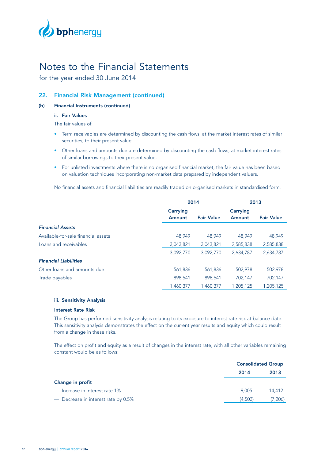

for the year ended 30 June 2014

## 22. Financial Risk Management (continued)

## (b) Financial Instruments (continued)

## ii. Fair Values

The fair values of:

- Term receivables are determined by discounting the cash flows, at the market interest rates of similar securities, to their present value.
- Other loans and amounts due are determined by discounting the cash flows, at market interest rates of similar borrowings to their present value.
- For unlisted investments where there is no organised financial market, the fair value has been based on valuation techniques incorporating non-market data prepared by independent valuers.

No financial assets and financial liabilities are readily traded on organised markets in standardised form.

|                                     | 2014      |                   | 2013      |                   |
|-------------------------------------|-----------|-------------------|-----------|-------------------|
|                                     | Carrying  |                   | Carrying  |                   |
|                                     | Amount    | <b>Fair Value</b> | Amount    | <b>Fair Value</b> |
| <b>Financial Assets</b>             |           |                   |           |                   |
| Available-for-sale financial assets | 48.949    | 48.949            | 48.949    | 48,949            |
| Loans and receivables               | 3,043,821 | 3,043,821         | 2,585,838 | 2,585,838         |
|                                     | 3,092,770 | 3,092,770         | 2,634,787 | 2,634,787         |
| <b>Financial Liabilities</b>        |           |                   |           |                   |
| Other loans and amounts due         | 561,836   | 561,836           | 502,978   | 502,978           |
| Trade payables                      | 898,541   | 898.541           | 702.147   | 702,147           |
|                                     | 1,460,377 | 1.460.377         | 1,205,125 | 1,205,125         |

## iii. Sensitivity Analysis

## Interest Rate Risk

The Group has performed sensitivity analysis relating to its exposure to interest rate risk at balance date. This sensitivity analysis demonstrates the effect on the current year results and equity which could result from a change in these risks.

The effect on profit and equity as a result of changes in the interest rate, with all other variables remaining constant would be as follows:

|                                     |         | <b>Consolidated Group</b> |
|-------------------------------------|---------|---------------------------|
|                                     | 2014    | 2013                      |
| Change in profit                    |         |                           |
| - Increase in interest rate 1%      | 9.005   | 14.412                    |
| - Decrease in interest rate by 0.5% | (4,503) | (7,206)                   |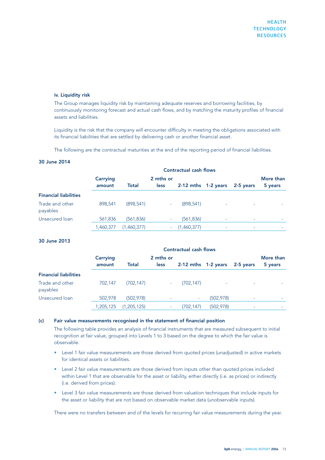### iv. Liquidity risk

The Group manages liquidity risk by maintaining adequate reserves and borrowing facilities, by continuously monitoring forecast and actual cash flows, and by matching the maturity profiles of financial assets and liabilities.

Liquidity is the risk that the company will encounter difficulty in meeting the obligations associated with its financial liabilities that are settled by delivering cash or another financial asset.

The following are the contractual maturities at the end of the reporting period of financial liabilities.

## 30 June 2014

|                              | <b>Contractual cash flows</b> |              |           |                     |                |           |           |
|------------------------------|-------------------------------|--------------|-----------|---------------------|----------------|-----------|-----------|
|                              | Carrying                      |              | 2 mths or |                     |                |           | More than |
|                              | amount                        | <b>Total</b> | less      | 2-12 mths 1-2 years |                | 2-5 years | 5 years   |
| <b>Financial liabilities</b> |                               |              |           |                     |                |           |           |
| Trade and other<br>payables  | 898.541                       | (898.541)    | ۰.        | (898, 541)          | $\overline{a}$ | ۰         |           |
| Unsecured loan               | 561,836                       | (561, 836)   |           | (561, 836)          | ۰              |           |           |
|                              | 1,460,377                     | (1,460,377)  | ۰.        | (1,460,377)         | ۰              |           |           |

## 30 June 2013

|                              | <b>Contractual cash flows</b> |              |           |                     |                 |           |           |
|------------------------------|-------------------------------|--------------|-----------|---------------------|-----------------|-----------|-----------|
|                              | Carrying                      |              | 2 mths or |                     |                 |           | More than |
|                              | amount                        | <b>Total</b> | less      | 2-12 mths 1-2 years |                 | 2-5 years | 5 years   |
| <b>Financial liabilities</b> |                               |              |           |                     |                 |           |           |
| Trade and other<br>payables  | 702.147                       | (702.147)    |           | (702, 147)          | $\qquad \qquad$ |           |           |
| Unsecured loan               | 502,978                       | (502, 978)   |           | -                   | (502, 978)      |           |           |
|                              | 1,205,125                     | (1,205,125)  |           | (702,147)           | (502, 978)      |           |           |

### (c) Fair value measurements recognised in the statement of financial position

The following table provides an analysis of financial instruments that are measured subsequent to initial recognition at fair value, grouped into Levels 1 to 3 based on the degree to which the fair value is observable.

- • Level 1 fair value measurements are those derived from quoted prices (unadjusted) in active markets for identical assets or liabilities.
- Level 2 fair value measurements are those derived from inputs other than quoted prices included within Level 1 that are observable for the asset or liability, either directly (i.e. as prices) or indirectly (i.e. derived from prices).
- • Level 3 fair value measurements are those derived from valuation techniques that include inputs for the asset or liability that are not based on observable market data (unobservable inputs).

There were no transfers between and of the levels for recurring fair value measurements during the year.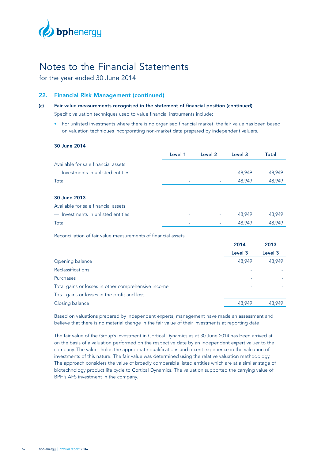

for the year ended 30 June 2014

## 22. Financial Risk Management (continued)

## (c) Fair value measurements recognised in the statement of financial position (continued)

Specific valuation techniques used to value financial instruments include:

• For unlisted investments where there is no organised financial market, the fair value has been based on valuation techniques incorporating non-market data prepared by independent valuers.

### 30 June 2014

|                                     | Level 1 | Level 2 | Level 3 | Total  |
|-------------------------------------|---------|---------|---------|--------|
| Available for sale financial assets |         |         |         |        |
| — Investments in unlisted entities  |         |         | 48,949  | 48,949 |
| Total                               |         |         | 48,949  | 48,949 |
|                                     |         |         |         |        |
| 30 June 2013                        |         |         |         |        |
| Available for sale financial assets |         |         |         |        |
| — Investments in unlisted entities  |         |         | 48,949  | 48,949 |
| Total                               |         |         | 48,949  | 48,949 |

Reconciliation of fair value measurements of financial assets

|                                                     | 2014               | 2013    |
|-----------------------------------------------------|--------------------|---------|
|                                                     | Level <sub>3</sub> | Level 3 |
| Opening balance                                     | 48,949             | 48.949  |
| Reclassifications                                   |                    |         |
| Purchases                                           |                    |         |
| Total gains or losses in other comprehensive income |                    |         |
| Total gains or losses in the profit and loss        |                    |         |
| Closing balance                                     | 48,949             | 48,949  |

Based on valuations prepared by independent experts, management have made an assessment and believe that there is no material change in the fair value of their investments at reporting date

The fair value of the Group's investment in Cortical Dynamics as at 30 June 2014 has been arrived at on the basis of a valuation performed on the respective date by an independent expert valuer to the company. The valuer holds the appropriate qualifications and recent experience in the valuation of investments of this nature. The fair value was determined using the relative valuation methodology. The approach considers the value of broadly comparable listed entities which are at a similar stage of biotechnology product life cycle to Cortical Dynamics. The valuation supported the carrying value of BPH's AFS investment in the company.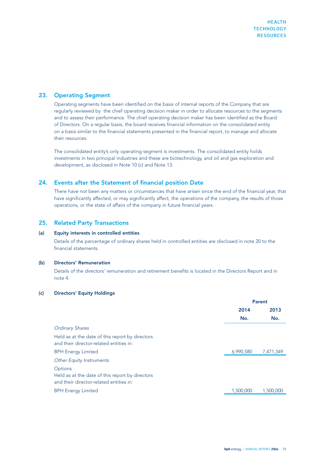## 23. Operating Segment

Operating segments have been identified on the basis of internal reports of the Company that are regularly reviewed by the chief operating decision maker in order to allocate resources to the segments and to assess their performance. The chief operating decision maker has been identified as the Board of Directors. On a regular basis, the board receives financial information on the consolidated entity on a basis similar to the financial statements presented in the financial report, to manage and allocate their resources.

The consolidated entity's only operating segment is investments. The consolidated entity holds investments in two principal industries and these are biotechnology, and oil and gas exploration and development, as disclosed in Note 10 (c) and Note 13.

## 24. Events after the Statement of financial position Date

There have not been any matters or circumstances that have arisen since the end of the financial year, that have significantly affected, or may significantly affect, the operations of the company, the results of those operations, or the state of affairs of the company in future financial years.

## 25. Related Party Transactions

### (a) Equity interests in controlled entities

Details of the percentage of ordinary shares held in controlled entities are disclosed in note 20 to the financial statements.

## (b) Directors' Remuneration

Details of the directors' remuneration and retirement benefits is located in the Directors Report and in note 4.

## (c) Directors' Equity Holdings

|                                                                                                       |           | Parent    |
|-------------------------------------------------------------------------------------------------------|-----------|-----------|
|                                                                                                       | 2014      | 2013      |
|                                                                                                       | No.       | No.       |
| <b>Ordinary Shares</b>                                                                                |           |           |
| Held as at the date of this report by directors<br>and their director-related entities in:            |           |           |
| <b>BPH Energy Limited</b>                                                                             | 6,990,580 | 7,471,349 |
| <b>Other Equity Instruments</b>                                                                       |           |           |
| Options<br>Held as at the date of this report by directors<br>and their director-related entities in: |           |           |
| <b>BPH Energy Limited</b>                                                                             | 1,500,000 | 1,500,000 |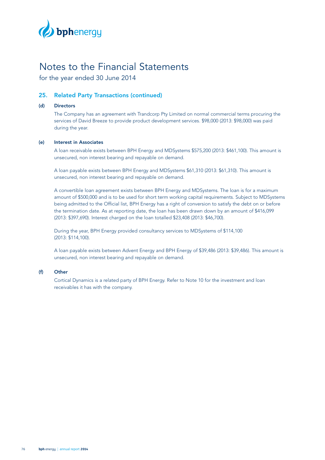

for the year ended 30 June 2014

## 25. Related Party Transactions (continued)

## (d) Directors

The Company has an agreement with Trandcorp Pty Limited on normal commercial terms procuring the services of David Breeze to provide product development services. \$98,000 (2013: \$98,000) was paid during the year.

## (e) Interest in Associates

A loan receivable exists between BPH Energy and MDSystems \$575,200 (2013: \$461,100). This amount is unsecured, non interest bearing and repayable on demand.

A loan payable exists between BPH Energy and MDSystems \$61,310 (2013: \$61,310). This amount is unsecured, non interest bearing and repayable on demand.

A convertible loan agreement exists between BPH Energy and MDSystems. The loan is for a maximum amount of \$500,000 and is to be used for short term working capital requirements. Subject to MDSystems being admitted to the Official list, BPH Energy has a right of conversion to satisfy the debt on or before the termination date. As at reporting date, the loan has been drawn down by an amount of \$416,099 (2013: \$397,690). Interest charged on the loan totalled \$23,408 (2013: \$46,700).

During the year, BPH Energy provided consultancy services to MDSystems of \$114,100 (2013: \$114,100).

A loan payable exists between Advent Energy and BPH Energy of \$39,486 (2013: \$39,486). This amount is unsecured, non interest bearing and repayable on demand.

## (f) Other

Cortical Dynamics is a related party of BPH Energy. Refer to Note 10 for the investment and loan receivables it has with the company.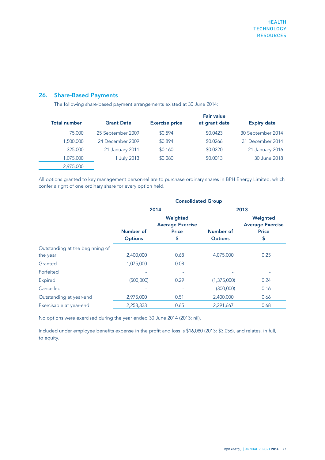## 26. Share-Based Payments

The following share-based payment arrangements existed at 30 June 2014:

|                     |                   |                       | <b>Fair value</b> |                    |
|---------------------|-------------------|-----------------------|-------------------|--------------------|
| <b>Total number</b> | <b>Grant Date</b> | <b>Exercise price</b> | at grant date     | <b>Expiry date</b> |
| 75,000              | 25 September 2009 | \$0.594               | \$0.0423          | 30 September 2014  |
| 1,500,000           | 24 December 2009  | \$0.894               | \$0.0266          | 31 December 2014   |
| 325,000             | 21 January 2011   | \$0.160               | \$0.0220          | 21 January 2016    |
| 1,075,000           | 1 July 2013       | \$0.080               | \$0,0013          | 30 June 2018       |
| 2,975,000           |                   |                       |                   |                    |

All options granted to key management personnel are to purchase ordinary shares in BPH Energy Limited, which confer a right of one ordinary share for every option held.

|                                 | <b>Consolidated Group</b>   |                                                           |                             |                                                           |  |  |
|---------------------------------|-----------------------------|-----------------------------------------------------------|-----------------------------|-----------------------------------------------------------|--|--|
|                                 |                             | 2014                                                      |                             | 2013                                                      |  |  |
|                                 | Number of<br><b>Options</b> | Weighted<br><b>Average Exercise</b><br><b>Price</b><br>\$ | Number of<br><b>Options</b> | Weighted<br><b>Average Exercise</b><br><b>Price</b><br>\$ |  |  |
| Outstanding at the beginning of |                             |                                                           |                             |                                                           |  |  |
| the year                        | 2,400,000                   | 0.68                                                      | 4,075,000                   | 0.25                                                      |  |  |
| Granted                         | 1,075,000                   | 0.08                                                      |                             |                                                           |  |  |
| Forfeited                       |                             |                                                           |                             |                                                           |  |  |
| <b>Expired</b>                  | (500,000)                   | 0.29                                                      | (1, 375, 000)               | 0.24                                                      |  |  |
| Cancelled                       |                             |                                                           | (300,000)                   | 0.16                                                      |  |  |
| Outstanding at year-end         | 2,975,000                   | 0.51                                                      | 2,400,000                   | 0.66                                                      |  |  |
| Exercisable at year-end         | 2,258,333                   | 0.65                                                      | 2,291,667                   | 0.68                                                      |  |  |

No options were exercised during the year ended 30 June 2014 (2013: nil).

Included under employee benefits expense in the profit and loss is \$16,080 (2013: \$3,056), and relates, in full, to equity.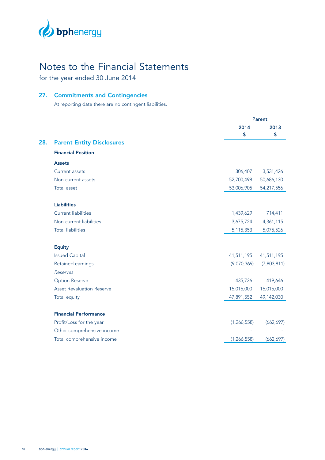

for the year ended 30 June 2014

# 27. Commitments and Contingencies

At reporting date there are no contingent liabilities.

|     |                                  |               | Parent      |
|-----|----------------------------------|---------------|-------------|
|     |                                  | 2014<br>\$    | 2013<br>\$  |
| 28. | <b>Parent Entity Disclosures</b> |               |             |
|     | <b>Financial Position</b>        |               |             |
|     | <b>Assets</b>                    |               |             |
|     | Current assets                   | 306,407       | 3,531,426   |
|     | Non-current assets               | 52,700,498    | 50,686,130  |
|     | Total asset                      | 53,006,905    | 54,217,556  |
|     | <b>Liabilities</b>               |               |             |
|     | <b>Current liabilities</b>       | 1,439,629     | 714,411     |
|     | Non-current liabilities          | 3,675,724     | 4,361,115   |
|     | <b>Total liabilities</b>         | 5,115,353     | 5,075,526   |
|     | <b>Equity</b>                    |               |             |
|     | <b>Issued Capital</b>            | 41,511,195    | 41,511,195  |
|     | Retained earnings                | (9,070,369)   | (7,803,811) |
|     | Reserves                         |               |             |
|     | <b>Option Reserve</b>            | 435,726       | 419,646     |
|     | <b>Asset Revaluation Reserve</b> | 15,015,000    | 15,015,000  |
|     | Total equity                     | 47,891,552    | 49,142,030  |
|     | <b>Financial Performance</b>     |               |             |
|     | Profit/Loss for the year         | (1,266,558)   | (662, 697)  |
|     | Other comprehensive income       |               |             |
|     | Total comprehensive income       | (1, 266, 558) | (662, 697)  |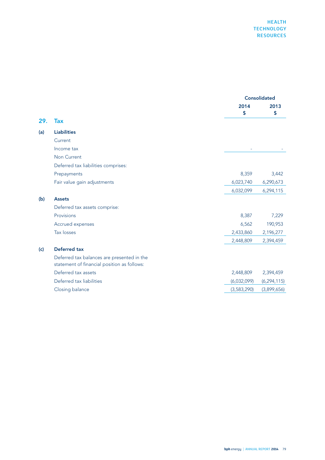|     |                                                                                           |             | <b>Consolidated</b> |  |
|-----|-------------------------------------------------------------------------------------------|-------------|---------------------|--|
|     |                                                                                           | 2014<br>\$  | 2013<br>\$          |  |
| 29. | <b>Tax</b>                                                                                |             |                     |  |
| (a) | <b>Liabilities</b>                                                                        |             |                     |  |
|     | Current                                                                                   |             |                     |  |
|     | Income tax                                                                                |             |                     |  |
|     | Non Current                                                                               |             |                     |  |
|     | Deferred tax liabilities comprises:                                                       |             |                     |  |
|     | Prepayments                                                                               | 8,359       | 3,442               |  |
|     | Fair value gain adjustments                                                               | 6,023,740   | 6,290,673           |  |
|     |                                                                                           | 6,032,099   | 6,294,115           |  |
| (b) | <b>Assets</b>                                                                             |             |                     |  |
|     | Deferred tax assets comprise:                                                             |             |                     |  |
|     | Provisions                                                                                | 8,387       | 7,229               |  |
|     | Accrued expenses                                                                          | 6,562       | 190,953             |  |
|     | Tax losses                                                                                | 2,433,860   | 2,196,277           |  |
|     |                                                                                           | 2,448,809   | 2,394,459           |  |
| (c) | <b>Deferred tax</b>                                                                       |             |                     |  |
|     | Deferred tax balances are presented in the<br>statement of financial position as follows: |             |                     |  |
|     | Deferred tax assets                                                                       | 2,448,809   | 2,394,459           |  |
|     | Deferred tax liabilities                                                                  | (6,032,099) | (6, 294, 115)       |  |
|     | Closing balance                                                                           | (3,583,290) | (3,899,656)         |  |
|     |                                                                                           |             |                     |  |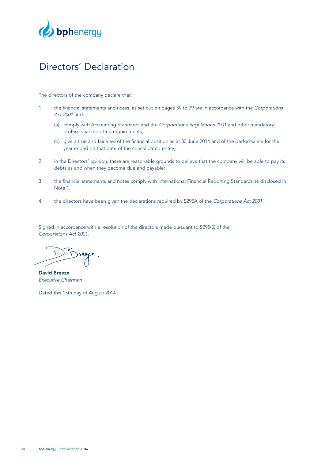

# Directors' Declaration

The directors of the company declare that:

- 1. the financial statements and notes, as set out on pages 39 to 79 are in accordance with the *Corporations Act 2001* and:
	- (a) comply with Accounting Standards and the *Corporations Regulations 2001* and other mandatory professional reporting requirements;
	- (b) give a true and fair view of the financial position as at 30 June 2014 and of the performance for the year ended on that date of the consolidated entity;
- 2. in the Directors' opinion, there are reasonable grounds to believe that the company will be able to pay its debts as and when they become due and payable:
- 3. the financial statements and notes comply with International Financial Reporting Standards as disclosed in Note 1.
- 4. the directors have been given the declarations required by S295A of the *Corporations Act 2001*.

Signed in accordance with a resolution of the directors made pursuant to S295(5) of the *Corporations Act 2001*.

David Breeze *Executive Chairman*

Dated this 13th day of August 2014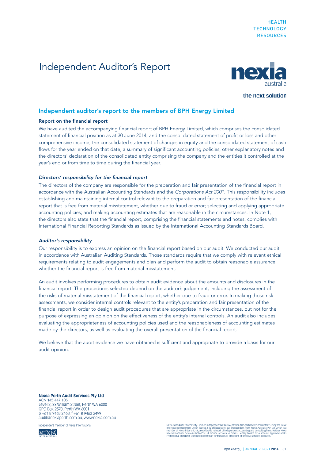# Independent Auditor's Report



the next solution

## Independent auditor's report to the members of BPH Energy Limited

### Report on the financial report

We have audited the accompanying financial report of BPH Energy Limited, which comprises the consolidated statement of financial position as at 30 June 2014, and the consolidated statement of profit or loss and other comprehensive income, the consolidated statement of changes in equity and the consolidated statement of cash flows for the year ended on that date, a summary of significant accounting policies, other explanatory notes and the directors' declaration of the consolidated entity comprising the company and the entities it controlled at the year's end or from time to time during the financial year.

## *Directors' responsibility for the financial report*

The directors of the company are responsible for the preparation and fair presentation of the financial report in accordance with the Australian Accounting Standards and the *Corporations Act 2001*. This responsibility includes establishing and maintaining internal control relevant to the preparation and fair presentation of the financial report that is free from material misstatement, whether due to fraud or error; selecting and applying appropriate accounting policies; and making accounting estimates that are reasonable in the circumstances. In Note 1, the directors also state that the financial report, comprising the financial statements and notes, complies with International Financial Reporting Standards as issued by the International Accounting Standards Board.

### *Auditor's responsibility*

Our responsibility is to express an opinion on the financial report based on our audit. We conducted our audit in accordance with Australian Auditing Standards. Those standards require that we comply with relevant ethical requirements relating to audit engagements and plan and perform the audit to obtain reasonable assurance whether the financial report is free from material misstatement.

An audit involves performing procedures to obtain audit evidence about the amounts and disclosures in the financial report. The procedures selected depend on the auditor's judgement, including the assessment of the risks of material misstatement of the financial report, whether due to fraud or error. In making those risk assessments, we consider internal controls relevant to the entity's preparation and fair presentation of the financial report in order to design audit procedures that are appropriate in the circumstances, but not for the purpose of expressing an opinion on the effectiveness of the entity's internal controls. An audit also includes evaluating the appropriateness of accounting policies used and the reasonableness of accounting estimates made by the directors, as well as evaluating the overall presentation of the financial report.

We believe that the audit evidence we have obtained is sufficient and appropriate to provide a basis for our audit opinion.

**Nexia Perth Audit Services Pty Ltd** ACN 145 447 105 Level 3, 88 William Street, Perth WA 6000 GPO Box 2570, Perth WA 6001<br>D +61 8 9463 2463, f +61 8 9463 2499 audit@nexiaperth.com.au. www.nexia.com.au

Independent member of Nexia International

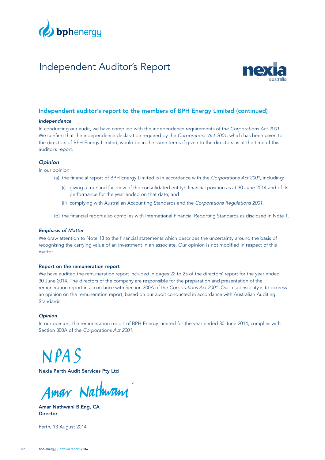

# Independent Auditor's Report



## Independent auditor's report to the members of BPH Energy Limited (continued)

### *Independence*

In conducting our audit, we have complied with the independence requirements of the *Corporations Act 2001*. We confirm that the independence declaration required by the *Corporations Act 2001*, which has been given to the directors of BPH Energy Limited, would be in the same terms if given to the directors as at the time of this auditor's report.

## *Opinion*

In our opinion:

- (a) the financial report of BPH Energy Limited is in accordance with the *Corporations Act 2001*, including:
	- (i) giving a true and fair view of the consolidated entity's financial position as at 30 June 2014 and of its performance for the year ended on that date; and
	- (ii) complying with Australian Accounting Standards and the *Corporations Regulations 2001*.
- (b) the financial report also complies with International Financial Reporting Standards as disclosed in Note 1.

## *Emphasis of Matter*

We draw attention to Note 13 to the financial statements which describes the uncertainty around the basis of recognising the carrying value of an investment in an associate. Our opinion is not modified in respect of this matter.

### Report on the remuneration report

We have audited the remuneration report included in pages 22 to 25 of the directors' report for the year ended 30 June 2014. The directors of the company are responsible for the preparation and presentation of the remuneration report in accordance with Section 300A of the *Corporations Act 2001*. Our responsibility is to express an opinion on the remuneration report, based on our audit conducted in accordance with Australian Auditing Standards.

## *Opinion*

In our opinion, the remuneration report of BPH Energy Limited for the year ended 30 June 2014, complies with Section 300A of the *Corporations Act 2001*.

NPAS

Nexia Perth Audit Services Pty Ltd

Amar Nathwann

Amar Nathwani B.Eng, CA **Director** 

Perth, 13 August 2014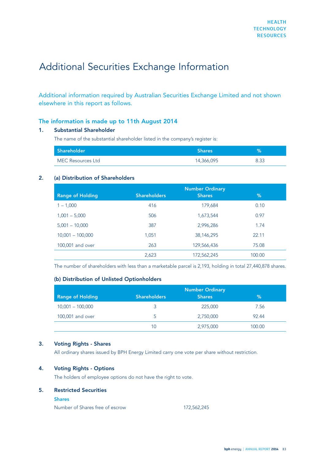# Additional Securities Exchange Information

Additional information required by Australian Securities Exchange Limited and not shown elsewhere in this report as follows.

# The information is made up to 11th August 2014

## 1. Substantial Shareholder

The name of the substantial shareholder listed in the company's register is:

| Shareholder       | <b>Shares</b> | <b>Volt</b> |
|-------------------|---------------|-------------|
| MEC Resources Ltd | 14,366,095    | 8.33        |

# 2. (a) Distribution of Shareholders

|                         | <b>Number Ordinary</b> |               |        |
|-------------------------|------------------------|---------------|--------|
| <b>Range of Holding</b> | <b>Shareholders</b>    | <b>Shares</b> | $\%$   |
| $1 - 1,000$             | 416                    | 179,684       | 0.10   |
| $1,001 - 5,000$         | 506                    | 1,673,544     | 0.97   |
| $5,001 - 10,000$        | 387                    | 2,996,286     | 1.74   |
| $10,001 - 100,000$      | 1,051                  | 38,146,295    | 22.11  |
| 100,001 and over        | 263                    | 129,566,436   | 75.08  |
|                         | 2,623                  | 172,562,245   | 100.00 |

The number of shareholders with less than a marketable parcel is 2,193, holding in total 27,440,878 shares.

## (b) Distribution of Unlisted Optionholders

|                         | <b>Number Ordinary</b> |               |        |
|-------------------------|------------------------|---------------|--------|
| <b>Range of Holding</b> | <b>Shareholders</b>    | <b>Shares</b> | ℅      |
| $10,001 - 100,000$      | 3                      | 225,000       | 7.56   |
| 100,001 and over        | 5                      | 2,750,000     | 92.44  |
|                         | 10                     | 2,975,000     | 100.00 |

# 3. Voting Rights - Shares

All ordinary shares issued by BPH Energy Limited carry one vote per share without restriction.

# 4. Voting Rights - Options

The holders of employee options do not have the right to vote.

# 5. Restricted Securities

## Shares

Number of Shares free of escrow 172,562,245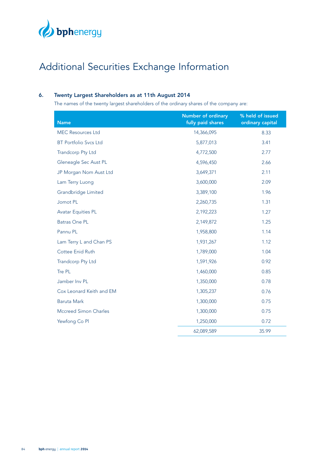

# Additional Securities Exchange Information

## 6. Twenty Largest Shareholders as at 11th August 2014

The names of the twenty largest shareholders of the ordinary shares of the company are:

| <b>Name</b>                  | <b>Number of ordinary</b><br>fully paid shares | % held of issued<br>ordinary capital |
|------------------------------|------------------------------------------------|--------------------------------------|
| <b>MEC Resources Ltd</b>     | 14,366,095                                     | 8.33                                 |
| <b>BT Portfolio Svcs Ltd</b> | 5,877,013                                      | 3.41                                 |
| Trandcorp Pty Ltd            | 4,772,500                                      | 2.77                                 |
| Gleneagle Sec Aust PL        | 4,596,450                                      | 2.66                                 |
| JP Morgan Nom Aust Ltd       | 3,649,371                                      | 2.11                                 |
| Lam Terry Luong              | 3,600,000                                      | 2.09                                 |
| Grandbridge Limited          | 3,389,100                                      | 1.96                                 |
| Jomot PL                     | 2,260,735                                      | 1.31                                 |
| <b>Avatar Equities PL</b>    | 2,192,223                                      | 1.27                                 |
| <b>Batras One PL</b>         | 2,149,872                                      | 1.25                                 |
| Pannu PL                     | 1,958,800                                      | 1.14                                 |
| Lam Terry L and Chan PS      | 1,931,267                                      | 1.12                                 |
| Cottee Enid Ruth             | 1,789,000                                      | 1.04                                 |
| Trandcorp Pty Ltd            | 1,591,926                                      | 0.92                                 |
| Tre PL                       | 1,460,000                                      | 0.85                                 |
| Jamber Inv PL                | 1,350,000                                      | 0.78                                 |
| Cox Leonard Keith and EM     | 1,305,237                                      | 0.76                                 |
| <b>Baruta Mark</b>           | 1,300,000                                      | 0.75                                 |
| <b>Mccreed Simon Charles</b> | 1,300,000                                      | 0.75                                 |
| Yewfong Co Pl                | 1,250,000                                      | 0.72                                 |
|                              | 62,089,589                                     | 35.99                                |